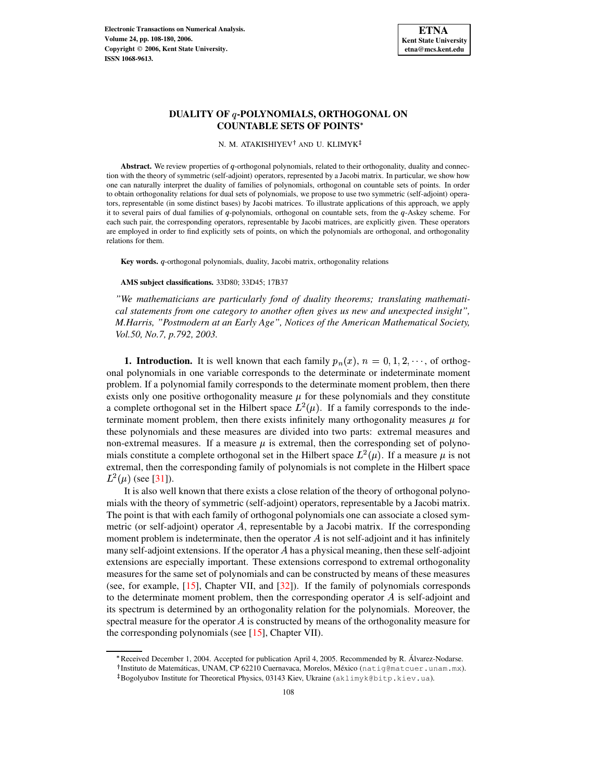N. M. ATAKISHIYEV† AND U. KLIMYK<sup>‡</sup>

Abstract. We review properties of q-orthogonal polynomials, related to their orthogonality, duality and connection with the theory of symmetric (self-adjoint) operators, represented by a Jacobi matrix. In particular, we show how one can naturally interpret the duality of families of polynomials, orthogonal on countable sets of points. In order to obtain orthogonality relations for dual sets of polynomials, we propose to use two symmetric (self-adjoint) operators, representable (in some distinct bases) by Jacobi matrices. To illustrate applications of this approach, we apply it to several pairs of dual families of  $q$ -polynomials, orthogonal on countable sets, from the  $q$ -Askey scheme. For each such pair, the corresponding operators, representable by Jacobi matrices, are explicitly given. These operators are employed in order to find explicitly sets of points, on which the polynomials are orthogonal, and orthogonality relations for them.

Key words. *q*-orthogonal polynomials, duality, Jacobi matrix, orthogonality relations

**AMS subject classifications.** 33D80; 33D45; 17B37

*"We mathematicians are particularly fond of duality theorems; translating mathematical statements from one category to another often gives us new and unexpected insight", M.Harris, "Postmodern at an Early Age", Notices of the American Mathematical Society, Vol.50, No.7, p.792, 2003.*

**1. Introduction.** It is well known that each family  $p_n(x)$ ,  $n = 0, 1, 2, \dots$ , of orthogonal polynomials in one variable corresponds to the determinate or indeterminate moment problem. If a polynomial family corresponds to the determinate moment problem, then there exists only one positive orthogonality measure  $\mu$  for these polynomials and they constitute a complete orthogonal set in the Hilbert space  $L^2(\mu)$ . If a family corresponds to the indeterminate moment problem, then there exists infinitely many orthogonality measures  $\mu$  for these polynomials and these measures are divided into two parts: extremal measures and non-extremal measures. If a measure  $\mu$  is extremal, then the corresponding set of polynomials constitute a complete orthogonal set in the Hilbert space  $L^2(\mu)$ . If a measure  $\mu$  is not extremal, then the corresponding family of polynomials is not complete in the Hilbert space  $L^2(\mu)$  (see [\[31\]](#page-72-0)).

It is also well known that there exists a close relation of the theory of orthogonal polynomials with the theory of symmetric (self-adjoint) operators, representable by a Jacobi matrix. The point is that with each family of orthogonal polynomials one can associate a closed symmetric (or self-adjoint) operator  $A$ , representable by a Jacobi matrix. If the corresponding moment problem is indeterminate, then the operator  $\hat{A}$  is not self-adjoint and it has infinitely many self-adjoint extensions. If the operator  $A$  has a physical meaning, then these self-adjoint extensions are especially important. These extensions correspond to extremal orthogonality measures for the same set of polynomials and can be constructed by means of these measures (see, for example, [\[15\]](#page-72-1), Chapter VII, and [\[32\]](#page-72-2)). If the family of polynomials corresponds to the determinate moment problem, then the corresponding operator  $\vec{A}$  is self-adjoint and its spectrum is determined by an orthogonality relation for the polynomials. Moreover, the spectral measure for the operator  $\vec{A}$  is constructed by means of the orthogonality measure for the corresponding polynomials (see [\[15\]](#page-72-1), Chapter VII).

<sup>\*</sup> Received December 1, 2004. Accepted for publication April 4, 2005. Recommended by R. Álvarez-Nodarse.

<sup>&</sup>lt;sup>†</sup> Instituto de Matemáticas, UNAM, CP 62210 Cuernavaca, Morelos, México (natig@matcuer.unam.mx).

Bogolyubov Institute for Theoretical Physics, 03143 Kiev, Ukraine (aklimyk@bitp.kiev.ua).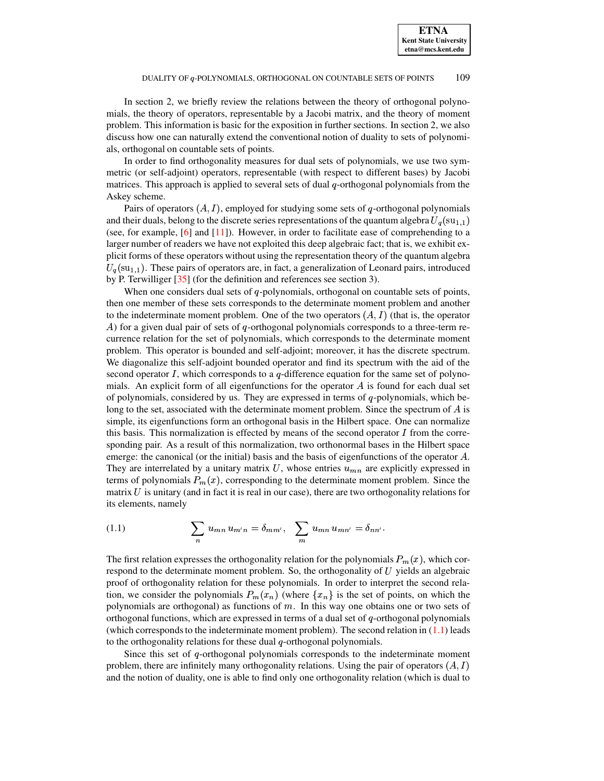In section 2, we briefly review the relations between the theory of orthogonal polynomials, the theory of operators, representable by a Jacobi matrix, and the theory of moment problem. This information is basic for the exposition in further sections. In section 2, we also discuss how one can naturally extend the conventional notion of duality to sets of polynomials, orthogonal on countable sets of points.

In order to find orthogonality measures for dual sets of polynomials, we use two symmetric (or self-adjoint) operators, representable (with respect to different bases) by Jacobi matrices. This approach is applied to several sets of dual  $q$ -orthogonal polynomials from the Askey scheme.

Pairs of operators  $(A, I)$ , employed for studying some sets of q-orthogonal polynomials and their duals, belong to the discrete series representations of the quantum algebra  $U_q(\text{su}_{1,1})$ (see, for example, [\[6\]](#page-71-0) and [\[11\]](#page-72-3)). However, in order to facilitate ease of comprehending to a larger number of readers we have not exploited this deep algebraic fact; that is, we exhibit explicit forms of these operators without using the representation theory of the quantum algebra  $U_q(\text{su}_{1,1})$ . These pairs of operators are, in fact, a generalization of Leonard pairs, introduced by P. Terwilliger [\[35\]](#page-72-4) (for the definition and references see section 3).

When one considers dual sets of  $q$ -polynomials, orthogonal on countable sets of points, then one member of these sets corresponds to the determinate moment problem and another to the indeterminate moment problem. One of the two operators  $(A, I)$  (that is, the operator A) for a given dual pair of sets of q-orthogonal polynomials corresponds to a three-term recurrence relation for the set of polynomials, which corresponds to the determinate moment problem. This operator is bounded and self-adjoint; moreover, it has the discrete spectrum. We diagonalize this self-adjoint bounded operator and find its spectrum with the aid of the second operator  $I$ , which corresponds to a  $q$ -difference equation for the same set of polynomials. An explicit form of all eigenfunctions for the operator  $\vec{A}$  is found for each dual set of polynomials, considered by us. They are expressed in terms of  $q$ -polynomials, which belong to the set, associated with the determinate moment problem. Since the spectrum of  $A$  is simple, its eigenfunctions form an orthogonal basis in the Hilbert space. One can normalize this basis. This normalization is effected by means of the second operator  $I$  from the corresponding pair. As a result of this normalization, two orthonormal bases in the Hilbert space emerge: the canonical (or the initial) basis and the basis of eigenfunctions of the operator  $A$ . They are interrelated by a unitary matrix U, whose entries  $u_{mn}$  are explicitly expressed in terms of polynomials  $P_m(x)$ , corresponding to the determinate moment problem. Since the matrix  $U$  is unitary (and in fact it is real in our case), there are two orthogonality relations for its elements, namely

<span id="page-1-0"></span>(1.1) 
$$
\sum_{n} u_{mn} u_{m'n} = \delta_{mm'}, \sum_{m} u_{mn} u_{mn'} = \delta_{nn'}.
$$

The first relation expresses the orthogonality relation for the polynomials  $P_m(x)$ , which correspond to the determinate moment problem. So, the orthogonality of  $U$  yields an algebraic proof of orthogonality relation for these polynomials. In order to interpret the second relation, we consider the polynomials  $P_m(x_n)$  (where  $\{x_n\}$  is the set of points, on which the polynomials are orthogonal) as functions of  $m$ . In this way one obtains one or two sets of orthogonal functions, which are expressed in terms of a dual set of  $q$ -orthogonal polynomials (which corresponds to the indeterminate moment problem). The second relation in  $(1.1)$  leads to the orthogonality relations for these dual  $q$ -orthogonal polynomials.

Since this set of  $q$ -orthogonal polynomials corresponds to the indeterminate moment problem, there are infinitely many orthogonality relations. Using the pair of operators  $(A, I)$ and the notion of duality, one is able to find only one orthogonality relation (which is dual to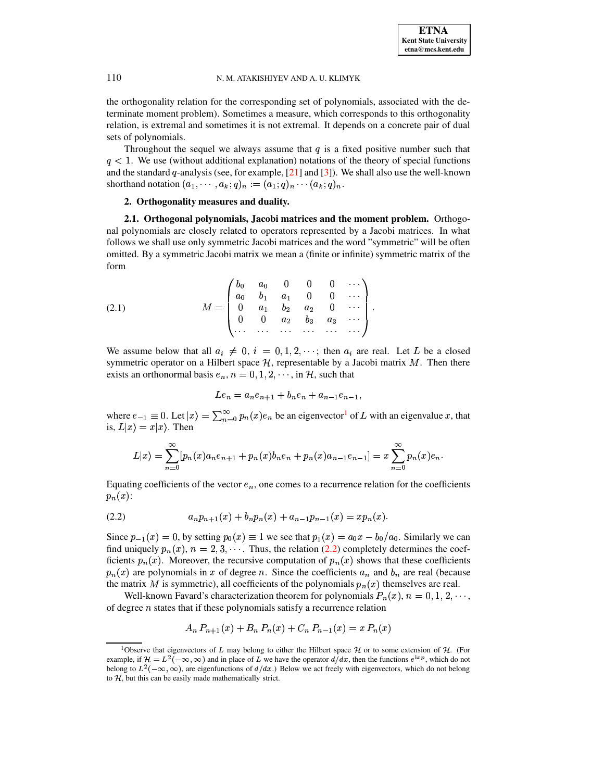the orthogonality relation for the corresponding set of polynomials, associated with the determinate moment problem). Sometimes a measure, which corresponds to this orthogonality relation, is extremal and sometimes it is not extremal. It depends on a concrete pair of dual sets of polynomials.

Throughout the sequel we always assume that  $q$  is a fixed positive number such that  $q < 1$ . We use (without additional explanation) notations of the theory of special functions and the standard  $q$ -analysis (see, for example,  $[21]$  and  $[3]$ ). We shall also use the well-known shorthand notation  $(a_1, \cdots, a_k; q)_n := (a_1; q)_n \cdots (a_k; q)_n.$ 

# **2. Orthogonality measures and duality.**

**2.1. Orthogonal polynomials, Jacobi matrices and the moment problem.** Orthogonal polynomials are closely related to operators represented by a Jacobi matrices. In what follows we shall use only symmetric Jacobi matrices and the word "symmetric" will be often omitted. By a symmetric Jacobi matrix we mean a (finite or infinite) symmetric matrix of the form

<span id="page-2-2"></span>(2.1) 
$$
M = \begin{pmatrix} b_0 & a_0 & 0 & 0 & 0 & \cdots \\ a_0 & b_1 & a_1 & 0 & 0 & \cdots \\ 0 & a_1 & b_2 & a_2 & 0 & \cdots \\ 0 & 0 & a_2 & b_3 & a_3 & \cdots \\ \cdots & \cdots & \cdots & \cdots & \cdots & \cdots \end{pmatrix}.
$$

We assume below that all  $a_i \neq 0$ ,  $i = 0, 1, 2, \cdots$ ; then  $a_i$  are real. Let L be a closed symmetric operator on a Hilbert space  $H$ , representable by a Jacobi matrix  $M$ . Then there exists an orthonormal basis  $e_n$ ,  $n = 0, 1, 2, \dots$ , in H, such that

$$
Le_n = a_n e_{n+1} + b_n e_n + a_{n-1} e_{n-1},
$$

where  $e_{-1} \equiv 0$  $e_{-1} \equiv 0$  $e_{-1} \equiv 0$ . Let  $|x| = \sum_{n=0}^{\infty} p_n(x)e_n$  be an eigenvector<sup>1</sup> of L with an eigenvalue x, that is,  $L|x\rangle = x|x\rangle$ . Then

$$
L|x\rangle = \sum_{n=0}^{\infty} [p_n(x)a_n e_{n+1} + p_n(x)b_n e_n + p_n(x)a_{n-1} e_{n-1}] = x \sum_{n=0}^{\infty} p_n(x)e_n.
$$

<span id="page-2-1"></span>Equating coefficients of the vector  $e_n$ , one comes to a recurrence relation for the coefficients  $p_n(x)$ :

$$
(2.2) \t\t\t a_n p_{n+1}(x) + b_n p_n(x) + a_{n-1} p_{n-1}(x) = x p_n(x).
$$

Since  $p_{-1}(x) = 0$ , by setting  $p_0(x) \equiv 1$  we see that  $p_1(x) = a_0 x - b_0/a_0$ . Similarly we can find uniquely  $p_n(x)$ ,  $n = 2, 3, \cdots$ . Thus, the relation [\(2.2\)](#page-2-1) completely determines the coefficients  $p_n(x)$ . Moreover, the recursive computation of  $p_n(x)$  shows that these coefficients  $p_n(x)$  are polynomials in x of degree n. Since the coefficients  $a_n$  and  $b_n$  are real (because the matrix  $M$  is symmetric), all coefficients of the polynomials  $p_n(x)$  themselves are real.

Well-known Favard's characterization theorem for polynomials  $P_n(x)$ ,  $n = 0, 1, 2, \dots$ , of degree  $n$  states that if these polynomials satisfy a recurrence relation

$$
A_n P_{n+1}(x) + B_n P_n(x) + C_n P_{n-1}(x) = x P_n(x)
$$

<span id="page-2-0"></span><sup>&</sup>lt;sup>1</sup>Observe that eigenvectors of L may belong to either the Hilbert space  $H$  or to some extension of  $H$ . (For example, if  $\mathcal{H} = L^2(-\infty, \infty)$  and in place of L we have the operator  $d/dx$ , then the functions  $e^{ixp}$ , which do not belong to  $L^2(-\infty, \infty)$ , are eigenfunctions of  $d/dx$ .) Below we act freely with eigenvectors, which do not belong to  $H$ , but this can be easily made mathematically strict.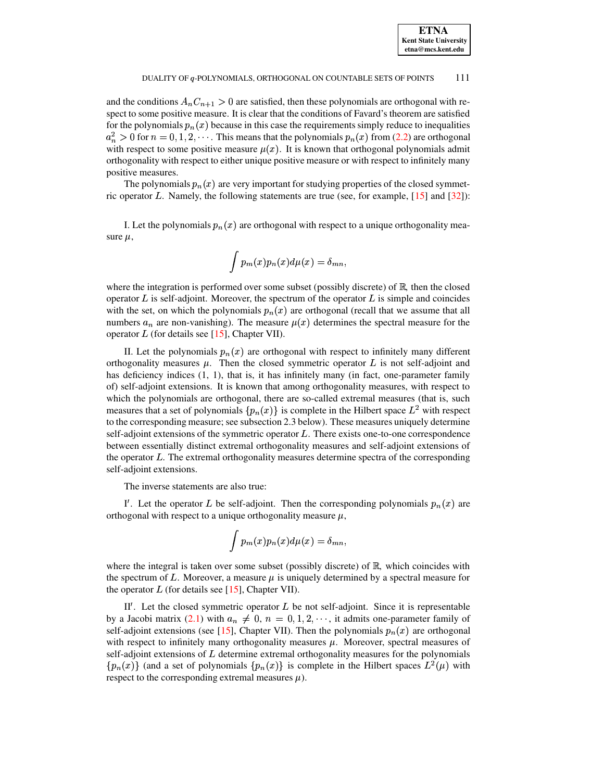and the conditions  $A_n C_{n+1} > 0$  are satisfied, then these polynomials are orthogonal with respect to some positive measure. It is clear that the conditions of Favard's theorem are satisfied for the polynomials  $p_n(x)$  because in this case the requirements simply reduce to inequalities  $a_n^2 > 0$  for  $n = 0, 1, 2, \cdots$ . This means that the polynomials  $p_n(x)$  from [\(2.2\)](#page-2-1) are orthogonal with respect to some positive measure  $\mu(x)$ . It is known that orthogonal polynomials admit orthogonality with respect to either unique positive measure or with respect to infinitely many positive measures.

The polynomials  $p_n(x)$  are very important for studying properties of the closed symmetric operator L. Namely, the following statements are true (see, for example,  $[15]$  and  $[32]$ ):

I. Let the polynomials  $p_n(x)$  are orthogonal with respect to a unique orthogonality measure  $\mu$ ,

$$
\int p_m(x)p_n(x)d\mu(x)=\delta_{mn},
$$

where the integration is performed over some subset (possibly discrete) of  $\mathbb{R}$ , then the closed operator  $L$  is self-adjoint. Moreover, the spectrum of the operator  $L$  is simple and coincides with the set, on which the polynomials  $p_n(x)$  are orthogonal (recall that we assume that all numbers  $a_n$  are non-vanishing). The measure  $\mu(x)$  determines the spectral measure for the operator  $L$  (for details see [\[15\]](#page-72-1), Chapter VII).

II. Let the polynomials  $p_n(x)$  are orthogonal with respect to infinitely many different orthogonality measures  $\mu$ . Then the closed symmetric operator  $L$  is not self-adjoint and has deficiency indices (1, 1), that is, it has infinitely many (in fact, one-parameter family of) self-adjoint extensions. It is known that among orthogonality measures, with respect to which the polynomials are orthogonal, there are so-called extremal measures (that is, such measures that a set of polynomials  $\{p_n(x)\}\$ is complete in the Hilbert space  $L^2$  with respect to the corresponding measure; see subsection 2.3 below). These measures uniquely determine self-adjoint extensions of the symmetric operator  $L$ . There exists one-to-one correspondence between essentially distinct extremal orthogonality measures and self-adjoint extensions of the operator  $L$ . The extremal orthogonality measures determine spectra of the corresponding self-adjoint extensions.

The inverse statements are also true:

I'. Let the operator L be self-adjoint. Then the corresponding polynomials  $p_n(x)$  are orthogonal with respect to a unique orthogonality measure  $\mu$ ,

$$
\int p_m(x) p_n(x) d\mu(x) = \delta_{mn},
$$

where the integral is taken over some subset (possibly discrete) of  $\mathbb{R}$ , which coincides with the spectrum of L. Moreover, a measure  $\mu$  is uniquely determined by a spectral measure for the operator  $L$  (for details see [\[15\]](#page-72-1), Chapter VII).

II'. Let the closed symmetric operator  $L$  be not self-adjoint. Since it is representable by a Jacobi matrix [\(2.1\)](#page-2-2) with  $a_n \neq 0$ ,  $n = 0, 1, 2, \dots$ , it admits one-parameter family of self-adjoint extensions (see [\[15\]](#page-72-1), Chapter VII). Then the polynomials  $p_n(x)$  are orthogonal with respect to infinitely many orthogonality measures  $\mu$ . Moreover, spectral measures of self-adjoint extensions of  $L$  determine extremal orthogonality measures for the polynomials  $\{p_n(x)\}\$  (and a set of polynomials  $\{p_n(x)\}\$ is complete in the Hilbert spaces  $L^2(\mu)$  with respect to the corresponding extremal measures  $\mu$ ).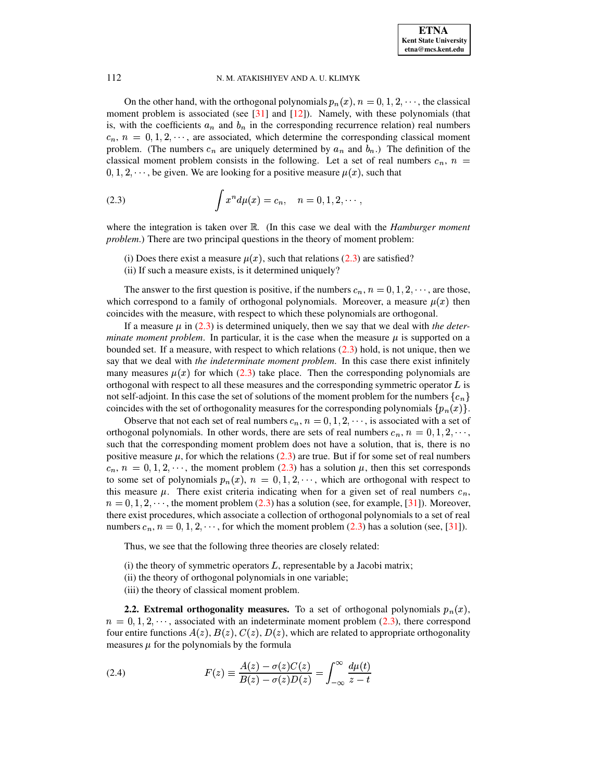On the other hand, with the orthogonal polynomials  $p_n(x)$ ,  $n = 0, 1, 2, \dots$ , the classical moment problem is associated (see  $[31]$  and  $[12]$ ). Namely, with these polynomials (that is, with the coefficients  $a_n$  and  $b_n$  in the corresponding recurrence relation) real numbers  $c_n$ ,  $n = 0, 1, 2, \dots$ , are associated, which determine the corresponding classical moment problem. (The numbers  $c_n$  are uniquely determined by  $a_n$  and  $b_n$ .) The definition of the classical moment problem consists in the following. Let a set of real numbers  $c_n$ ,  $n =$  $0, 1, 2, \dots$ , be given. We are looking for a positive measure  $\mu(x)$ , such that

(2.3) 
$$
\int x^n d\mu(x) = c_n, \quad n = 0, 1, 2, \cdots,
$$

where the integration is taken over  $\mathbb{R}$ . (In this case we deal with the *Hamburger moment problem*.) There are two principal questions in the theory of moment problem:

- <span id="page-4-0"></span>(i) Does there exist a measure  $\mu(x)$ , such that relations [\(2.3\)](#page-4-0) are satisfied?
- (ii) If such a measure exists, is it determined uniquely?

The answer to the first question is positive, if the numbers  $c_n$ ,  $n = 0, 1, 2, \dots$ , are those, which correspond to a family of orthogonal polynomials. Moreover, a measure  $\mu(x)$  then coincides with the measure, with respect to which these polynomials are orthogonal.

If a measure  $\mu$  in [\(2.3\)](#page-4-0) is determined uniquely, then we say that we deal with *the determinate moment problem*. In particular, it is the case when the measure  $\mu$  is supported on a bounded set. If a measure, with respect to which relations [\(2.3\)](#page-4-0) hold, is not unique, then we say that we deal with *the indeterminate moment problem*. In this case there exist infinitely many measures  $\mu(x)$  for which [\(2.3\)](#page-4-0) take place. Then the corresponding polynomials are orthogonal with respect to all these measures and the corresponding symmetric operator  $L$  is not self-adjoint. In this case the set of solutions of the moment problem for the numbers  $\{c_n\}$ coincides with the set of orthogonality measures for the corresponding polynomials  $\{p_n(x)\}\$ .

Observe that not each set of real numbers  $c_n$ ,  $n = 0, 1, 2, \dots$ , is associated with a set of orthogonal polynomials. In other words, there are sets of real numbers  $c_n$ ,  $n = 0, 1, 2, \dots$ , such that the corresponding moment problem does not have a solution, that is, there is no positive measure  $\mu$ , for which the relations [\(2.3\)](#page-4-0) are true. But if for some set of real numbers  $c_n$ ,  $n = 0, 1, 2, \dots$ , the moment problem [\(2.3\)](#page-4-0) has a solution  $\mu$ , then this set corresponds to some set of polynomials  $p_n(x)$ ,  $n = 0, 1, 2, \dots$ , which are orthogonal with respect to this measure  $\mu$ . There exist criteria indicating when for a given set of real numbers  $c_n$ ,  $n = 0, 1, 2, \dots$ , the moment problem [\(2.3\)](#page-4-0) has a solution (see, for example, [\[31\]](#page-72-0)). Moreover, there exist procedures, which associate a collection of orthogonal polynomials to a set of real numbers  $c_n$ ,  $n = 0, 1, 2, \dots$ , for which the moment problem [\(2.3\)](#page-4-0) has a solution (see, [\[31\]](#page-72-0)).

Thus, we see that the following three theories are closely related:

(i) the theory of symmetric operators  $L$ , representable by a Jacobi matrix;

- (ii) the theory of orthogonal polynomials in one variable;
- <span id="page-4-1"></span>(iii) the theory of classical moment problem.

**2.2. Extremal orthogonality measures.** To a set of orthogonal polynomials  $p_n(x)$ ,  $n = 0, 1, 2, \dots$ , associated with an indeterminate moment problem [\(2.3\)](#page-4-0), there correspond four entire functions  $A(z)$ ,  $B(z)$ ,  $C(z)$ ,  $D(z)$ , which are related to appropriate orthogonality measures  $\mu$  for the polynomials by the formula

(2.4) 
$$
F(z) \equiv \frac{A(z) - \sigma(z)C(z)}{B(z) - \sigma(z)D(z)} = \int_{-\infty}^{\infty} \frac{d\mu(t)}{z - t}
$$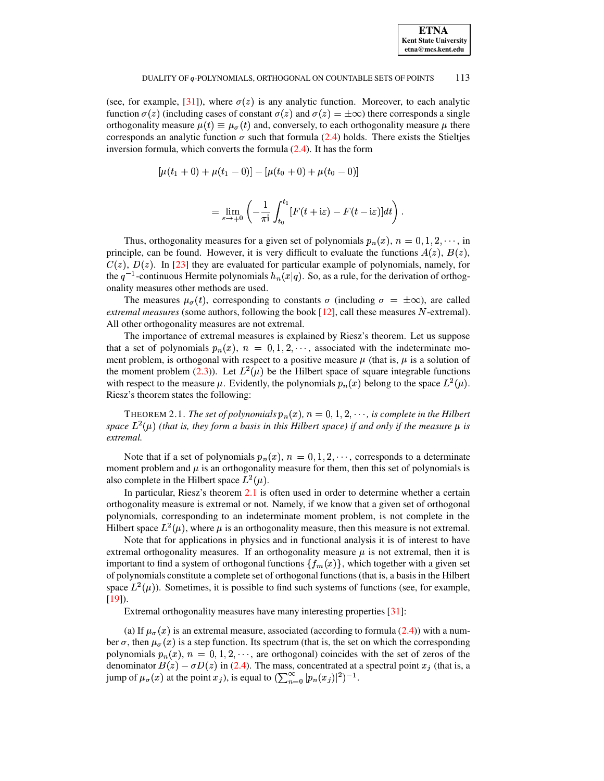| <b>ETNA</b>                  |
|------------------------------|
| <b>Kent State University</b> |
| etna@mcs.kent.edu            |

(see, for example, [31]), where  $\sigma(z)$  is any analytic function. Moreover, to each analytic function  $\sigma(z)$  (including cases of constant  $\sigma(z)$  and  $\sigma(z) = \pm \infty$ ) there corresponds a single orthogonality measure  $\mu(t) \equiv \mu_{\sigma}(t)$  and, conversely, to each orthogonality measure  $\mu$  there corresponds an analytic function  $\sigma$  such that formula (2.4) holds. There exists the Stieltjes inversion formula, which converts the formula  $(2.4)$ . It has the form

$$
[\mu(t_1+0)+\mu(t_1-0)]-[\mu(t_0+0)+\mu(t_0-0)]
$$

$$
= \lim_{\varepsilon \to +0} \left( -\frac{1}{\pi \mathrm{i}} \int_{t_0}^{t_1} [F(t + \mathrm{i}\varepsilon) - F(t - \mathrm{i}\varepsilon)] dt \right)
$$

Thus, orthogonality measures for a given set of polynomials  $p_n(x)$ ,  $n = 0, 1, 2, \dots$ , in principle, can be found. However, it is very difficult to evaluate the functions  $A(z)$ ,  $B(z)$ ,  $C(z)$ ,  $D(z)$ . In [23] they are evaluated for particular example of polynomials, namely, for the  $q^{-1}$ -continuous Hermite polynomials  $h_n(x|q)$ . So, as a rule, for the derivation of orthogonality measures other methods are used.

The measures  $\mu_{\sigma}(t)$ , corresponding to constants  $\sigma$  (including  $\sigma = \pm \infty$ ), are called *extremal measures* (some authors, following the book  $[12]$ , call these measures N-extremal). All other orthogonality measures are not extremal.

The importance of extremal measures is explained by Riesz's theorem. Let us suppose that a set of polynomials  $p_n(x)$ ,  $n = 0, 1, 2, \dots$ , associated with the indeterminate moment problem, is orthogonal with respect to a positive measure  $\mu$  (that is,  $\mu$  is a solution of the moment problem (2.3)). Let  $L^2(\mu)$  be the Hilbert space of square integrable functions with respect to the measure  $\mu$ . Evidently, the polynomials  $p_n(x)$  belong to the space  $L^2(\mu)$ . Riesz's theorem states the following:

THEOREM 2.1. The set of polynomials  $p_n(x)$ ,  $n = 0, 1, 2, \dots$ , is complete in the Hilbert space  $L^2(\mu)$  (that is, they form a basis in this Hilbert space) if and only if the measure  $\mu$  is extremal.

Note that if a set of polynomials  $p_n(x)$ ,  $n = 0, 1, 2, \dots$ , corresponds to a determinate moment problem and  $\mu$  is an orthogonality measure for them, then this set of polynomials is also complete in the Hilbert space  $L^2(\mu)$ .

In particular, Riesz's theorem 2.1 is often used in order to determine whether a certain orthogonality measure is extremal or not. Namely, if we know that a given set of orthogonal polynomials, corresponding to an indeterminate moment problem, is not complete in the Hilbert space  $L^2(\mu)$ , where  $\mu$  is an orthogonality measure, then this measure is not extremal.

Note that for applications in physics and in functional analysis it is of interest to have extremal orthogonality measures. If an orthogonality measure  $\mu$  is not extremal, then it is important to find a system of orthogonal functions  $\{f_m(x)\}\$ , which together with a given set of polynomials constitute a complete set of orthogonal functions (that is, a basis in the Hilbert space  $L^2(\mu)$ ). Sometimes, it is possible to find such systems of functions (see, for example,  $[19]$ ).

Extremal orthogonality measures have many interesting properties [31]:

(a) If  $\mu_{\sigma}(x)$  is an extremal measure, associated (according to formula (2.4)) with a number  $\sigma$ , then  $\mu_{\sigma}(x)$  is a step function. Its spectrum (that is, the set on which the corresponding polynomials  $p_n(x)$ ,  $n = 0, 1, 2, \dots$ , are orthogonal) coincides with the set of zeros of the denominator  $B(z) - \sigma D(z)$  in (2.4). The mass, concentrated at a spectral point  $x_j$  (that is, a jump of  $\mu_{\sigma}(x)$  at the point  $x_j$ ), is equal to  $(\sum_{n=0}^{\infty} |p_n(x_j)|^2)^{-1}$ .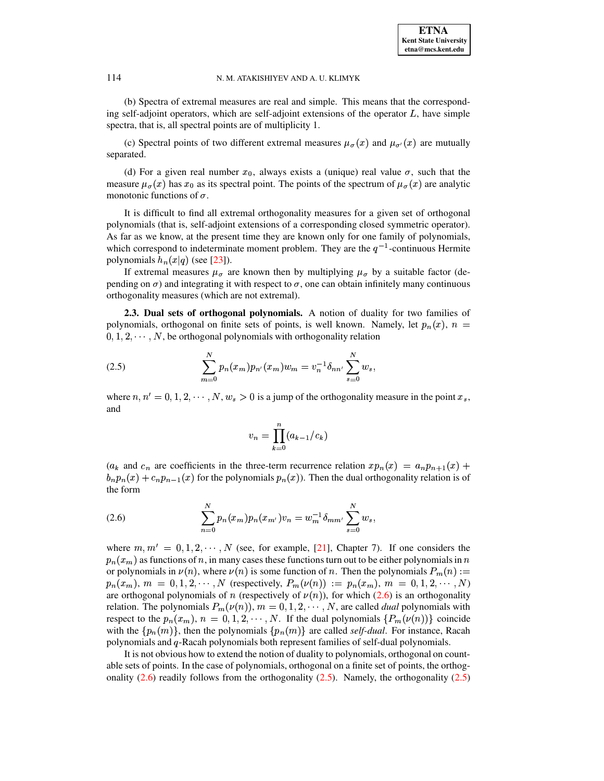(b) Spectra of extremal measures are real and simple. This means that the corresponding self-adjoint operators, which are self-adjoint extensions of the operator  $L$ , have simple spectra, that is, all spectral points are of multiplicity 1.

(c) Spectral points of two different extremal measures  $\mu_{\sigma}(x)$  and  $\mu_{\sigma'}(x)$  are mutually separated.

(d) For a given real number  $x_0$ , always exists a (unique) real value  $\sigma$ , such that the measure  $\mu_{\sigma}(x)$  has  $x_0$  as its spectral point. The points of the spectrum of  $\mu_{\sigma}(x)$  are analytic monotonic functions of  $\sigma$ .

It is difficult to find all extremal orthogonality measures for a given set of orthogonal polynomials (that is, self-adjoint extensions of a corresponding closed symmetric operator). As far as we know, at the present time they are known only for one family of polynomials, which correspond to indeterminate moment problem. They are the  $q^{-1}$ -continuous Hermite polynomials  $h_n(x|q)$  (see [\[23\]](#page-72-7)).

If extremal measures  $\mu_{\sigma}$  are known then by multiplying  $\mu_{\sigma}$  by a suitable factor (depending on  $\sigma$ ) and integrating it with respect to  $\sigma$ , one can obtain infinitely many continuous orthogonality measures (which are not extremal).

**2.3. Dual sets of orthogonal polynomials.** A notion of duality for two families of polynomials, orthogonal on finite sets of points, is well known. Namely, let  $p_n(x)$ ,  $n =$  $0, 1, 2, \cdots, N$ , be orthogonal polynomials with orthogonality relation

(2.5) 
$$
\sum_{m=0}^{N} p_n(x_m) p_{n'}(x_m) w_m = v_n^{-1} \delta_{nn'} \sum_{s=0}^{N} w_s,
$$

where  $n, n' = 0, 1, 2, \dots, N, w_s > 0$  is a jump of the orthogonality measure in the point  $x_s$ , and

<span id="page-6-1"></span>
$$
v_n = \prod_{k=0}^n (a_{k-1}/c_k)
$$

 $(a_k$  and  $c_n$  are coefficients in the three-term recurrence relation  $xp_n(x) = a_np_{n+1}(x) +$  $b_n p_n(x) + c_n p_{n-1}(x)$  for the polynomials  $p_n(x)$ ). Then the dual orthogonality relation is of the form

<span id="page-6-0"></span>(2.6) 
$$
\sum_{n=0}^{N} p_n(x_m) p_n(x_{m'}) v_n = w_m^{-1} \delta_{mm'} \sum_{s=0}^{N} w_s,
$$

where  $m, m' = 0, 1, 2, \cdots, N$  (see, for example, [\[21\]](#page-72-5), Chapter 7). If one considers the  $p_n(x_m)$  as functions of n, in many cases these functions turn out to be either polynomials in n or polynomials in  $\nu(n)$ , where  $\nu(n)$  is some function of n. Then the polynomials  $P_m(n) :=$  $p_n(x_m)$ ,  $m = 0, 1, 2, \cdots, N$  (respectively,  $P_m(\nu(n)) := p_n(x_m)$ ,  $m = 0, 1, 2, \cdots, N$ ) are orthogonal polynomials of *n* (respectively of  $\nu(n)$ ), for which [\(2.6\)](#page-6-0) is an orthogonality relation. The polynomials  $P_m(\nu(n))$ ,  $m = 0, 1, 2, \cdots, N$ , are called *dual* polynomials with respect to the  $p_n(x_m)$ ,  $n = 0, 1, 2, \cdots, N$ . If the dual polynomials  $\{P_m(\nu(n))\}$  coincide with the  $\{p_n(m)\}\$ , then the polynomials  $\{p_n(m)\}\$  are called *self-dual*. For instance, Racah polynomials and q-Racah polynomials both represent families of self-dual polynomials.

It is not obvious how to extend the notion of duality to polynomials, orthogonal on countable sets of points. In the case of polynomials, orthogonal on a finite set of points, the orthogonality  $(2.6)$  readily follows from the orthogonality  $(2.5)$ . Namely, the orthogonality  $(2.5)$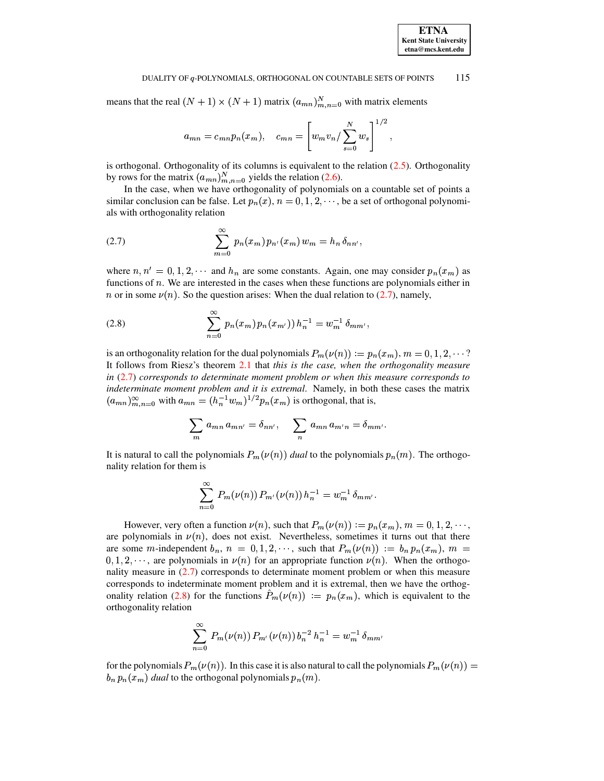means that the real  $(N + 1) \times (N + 1)$  matrix  $(a_{mn})_{m,n=0}^N$  with matrix elements

$$
a_{mn} = c_{mn}p_n(x_m),
$$
  $c_{mn} = \left[w_mv_n/\sum_{s=0}^{N}w_s\right]^{1/2}$ 

is orthogonal. Orthogonality of its columns is equivalent to the relation  $(2.5)$ . Orthogonality by rows for the matrix  $(a_{mn})_{m,n=0}^N$  yields the relation (2.6).

<span id="page-7-0"></span>In the case, when we have orthogonality of polynomials on a countable set of points a similar conclusion can be false. Let  $p_n(x)$ ,  $n = 0, 1, 2, \dots$ , be a set of orthogonal polynomials with orthogonality relation

(2.7) 
$$
\sum_{m=0}^{\infty} p_n(x_m) p_{n'}(x_m) w_m = h_n \, \delta_{nn'},
$$

where  $n, n' = 0, 1, 2, \cdots$  and  $h_n$  are some constants. Again, one may consider  $p_n(x_m)$  as functions of  $n$ . We are interested in the cases when these functions are polynomials either in *n* or in some  $\nu(n)$ . So the question arises: When the dual relation to (2.7), namely,

(2.8) 
$$
\sum_{n=0}^{\infty} p_n(x_m) p_n(x_{m'})) h_n^{-1} = w_m^{-1} \delta_{mm'}
$$

is an orthogonality relation for the dual polynomials  $P_m(\nu(n)) := p_n(x_m)$ ,  $m = 0, 1, 2, \dots$ ? It follows from Riesz's theorem 2.1 that this is the case, when the orthogonality measure in  $(2.7)$  corresponds to determinate moment problem or when this measure corresponds to indeterminate moment problem and it is extremal. Namely, in both these cases the matrix  $(a_{mn})_{m,n=0}^{\infty}$  with  $a_{mn} = (h_n^{-1}w_m)^{1/2} p_n(x_m)$  is orthogonal, that is,

<span id="page-7-1"></span>
$$
\sum_{m} a_{mn} a_{mn'} = \delta_{nn'}, \quad \sum_{n} a_{mn} a_{m'n} = \delta_{mm'}.
$$

It is natural to call the polynomials  $P_m(\nu(n))$  dual to the polynomials  $p_n(m)$ . The orthogonality relation for them is

$$
\sum_{n=0}^{\infty} P_m(\nu(n)) P_{m'}(\nu(n)) h_n^{-1} = w_m^{-1} \, \delta_{mm'}.
$$

However, very often a function  $\nu(n)$ , such that  $P_m(\nu(n)) := p_n(x_m)$ ,  $m = 0, 1, 2, \dots$ , are polynomials in  $\nu(n)$ , does not exist. Nevertheless, sometimes it turns out that there are some m-independent  $b_n$ ,  $n = 0, 1, 2, \cdots$ , such that  $P_m(\nu(n)) := b_n p_n(x_m)$ ,  $m =$  $0, 1, 2, \dots$ , are polynomials in  $\nu(n)$  for an appropriate function  $\nu(n)$ . When the orthogonality measure in  $(2.7)$  corresponds to determinate moment problem or when this measure corresponds to indeterminate moment problem and it is extremal, then we have the orthogonality relation (2.8) for the functions  $P_m(\nu(n)) := p_n(x_m)$ , which is equivalent to the orthogonality relation

$$
\sum_{n=0}^{\infty} P_m(\nu(n)) P_{m'}(\nu(n)) b_n^{-2} h_n^{-1} = w_m^{-1} \delta_{mm'}
$$

for the polynomials  $P_m(\nu(n))$ . In this case it is also natural to call the polynomials  $P_m(\nu(n)) =$  $b_n p_n(x_m)$  dual to the orthogonal polynomials  $p_n(m)$ .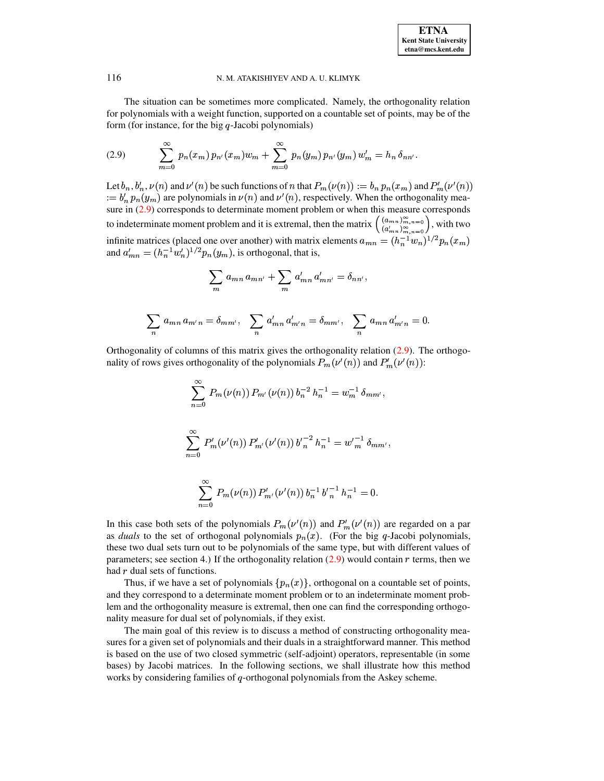

 $\overline{0}$ .

### <span id="page-8-0"></span>N. M. ATAKISHIYEV AND A. U. KLIMYK

The situation can be sometimes more complicated. Namely, the orthogonality relation for polynomials with a weight function, supported on a countable set of points, may be of the form (for instance, for the big  $q$ -Jacobi polynomials)

(2.9) 
$$
\sum_{m=0}^{\infty} p_n(x_m) p_{n'}(x_m) w_m + \sum_{m=0}^{\infty} p_n(y_m) p_{n'}(y_m) w'_m = h_n \delta_{nn'}.
$$

Let  $b_n$ ,  $b'_n$ ,  $\nu(n)$  and  $\nu'(n)$  be such functions of n that  $P_m(\nu(n)) := b_n p_n(x_m)$  and  $P'_m(\nu'(n))$  $u = b'_n p_n(y_m)$  are polynomials in  $\nu(n)$  and  $\nu'(n)$ , respectively. When the orthogonality measure in  $(2.9)$  corresponds to determinate moment problem or when this measure corresponds to indeterminate moment problem and it is extremal, then the matrix  $\binom{(a_{m,n})_{m,n=0}^{\infty}}{(a'_{m,n})_{m,n=0}^{\infty}}$ , with two infinite matrices (placed one over another) with matrix elements  $a_{mn} = (h_n^{-1}w_n)^{1/2} p_n(x_m)$ <br>and  $a'_{mn} = (h_n^{-1}w'_n)^{1/2} p_n(y_m)$ , is orthogonal, that is,

$$
\sum_{m} a_{mn} a_{mn'} + \sum_{m} a'_{mn} a'_{mn'} = \delta_{nn'},
$$
  

$$
\sum_{n} a_{mn} a_{m'n} = \delta_{mm'}, \sum_{n} a'_{mn} a'_{m'n} = \delta_{mm'}, \sum_{n} a_{mn} a'_{m'n} =
$$

Orthogonality of columns of this matrix gives the orthogonality relation  $(2.9)$ . The orthogonality of rows gives orthogonality of the polynomials  $P_m(\nu'(n))$  and  $P'_m(\nu'(n))$ :

$$
\sum_{n=0}^{\infty} P_m(\nu(n)) P_{m'}(\nu(n)) b_n^{-2} h_n^{-1} = w_m^{-1} \delta_{mm'},
$$
  

$$
\sum_{n=0}^{\infty} P'_m(\nu'(n)) P'_{m'}(\nu'(n)) b_n^{-2} h_n^{-1} = w_m^{-1} \delta_{mm'},
$$
  

$$
\sum_{n=0}^{\infty} P_m(\nu(n)) P'_{m'}(\nu'(n)) b_n^{-1} b_n^{-1} h_n^{-1} = 0.
$$

In this case both sets of the polynomials  $P_m(\nu'(n))$  and  $P'_m(\nu'(n))$  are regarded on a par as *duals* to the set of orthogonal polynomials  $p_n(x)$ . (For the big q-Jacobi polynomials, these two dual sets turn out to be polynomials of the same type, but with different values of parameters; see section 4.) If the orthogonality relation  $(2.9)$  would contain r terms, then we had  $r$  dual sets of functions.

Thus, if we have a set of polynomials  $\{p_n(x)\}\$ , orthogonal on a countable set of points, and they correspond to a determinate moment problem or to an indeterminate moment problem and the orthogonality measure is extremal, then one can find the corresponding orthogonality measure for dual set of polynomials, if they exist.

The main goal of this review is to discuss a method of constructing orthogonality measures for a given set of polynomials and their duals in a straightforward manner. This method is based on the use of two closed symmetric (self-adjoint) operators, representable (in some bases) by Jacobi matrices. In the following sections, we shall illustrate how this method works by considering families of  $q$ -orthogonal polynomials from the Askey scheme.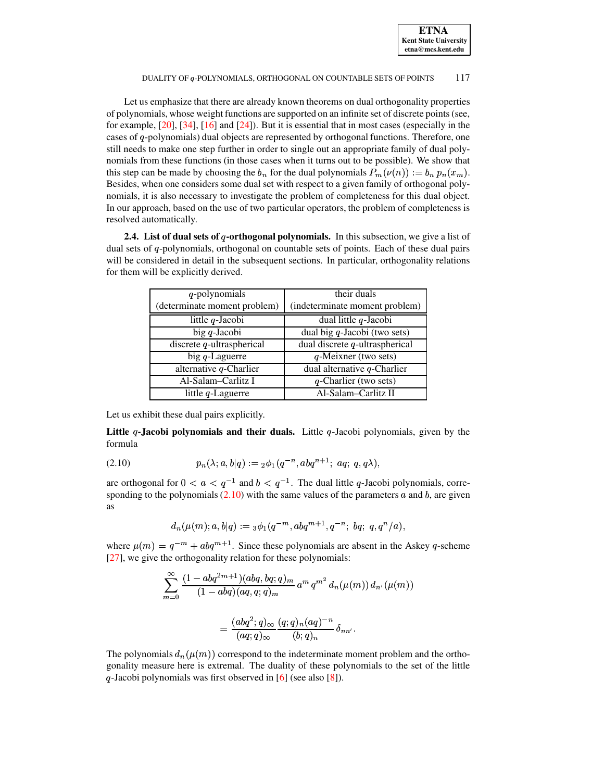Let us emphasize that there are already known theorems on dual orthogonality properties of polynomials, whose weight functions are supported on an infinite set of discrete points(see, for example, [\[20\]](#page-72-9), [\[34\]](#page-72-10), [\[16\]](#page-72-11) and [\[24\]](#page-72-12)). But it is essential that in most cases (especially in the cases of q-polynomials) dual objects are represented by orthogonal functions. Therefore, one still needs to make one step further in order to single out an appropriate family of dual polynomials from these functions (in those cases when it turns out to be possible). We show that this step can be made by choosing the  $b_n$  for the dual polynomials  $P_m(\nu(n)) := b_n p_n(x_m)$ . Besides, when one considers some dual set with respect to a given family of orthogonal polynomials, it is also necessary to investigate the problem of completeness for this dual object. In our approach, based on the use of two particular operators, the problem of completeness is resolved automatically.

**2.4.** List of dual sets of q-orthogonal polynomials. In this subsection, we give a list of dual sets of q-polynomials, orthogonal on countable sets of points. Each of these dual pairs will be considered in detail in the subsequent sections. In particular, orthogonality relations for them will be explicitly derived.

| q-polynomials                | their duals                       |
|------------------------------|-----------------------------------|
| (determinate moment problem) | (indeterminate moment problem)    |
| little $q$ -Jacobi           | dual little $q$ -Jacobi           |
| big $q$ -Jacobi              | dual big $q$ -Jacobi (two sets)   |
| discrete $q$ -ultraspherical | dual discrete $q$ -ultraspherical |
| big $q$ -Laguerre            | $q$ -Meixner (two sets)           |
| alternative $q$ -Charlier    | dual alternative $q$ -Charlier    |
| Al-Salam-Carlitz I           | $q$ -Charlier (two sets)          |
| little $q$ -Laguerre         | Al-Salam-Carlitz II               |

Let us exhibit these dual pairs explicitly.

<span id="page-9-0"></span>**Little -Jacobi polynomials and their duals.** Little -Jacobi polynomials, given by the formula

(2.10) 
$$
p_n(\lambda; a, b|q) := {}_2\phi_1(q^{-n}, abq^{n+1}; aq; q, q\lambda),
$$

are orthogonal for  $0 < a < q^{-1}$  and  $b < q^{-1}$ . The dual little q-Jacobi polynomials, corresponding to the polynomials  $(2.10)$  with the same values of the parameters a and b, are given as

$$
d_n(\mu(m); a, b|q) := {}_3\phi_1(q^{-m}, abq^{m+1}, q^{-n}; bd; q, q^n/a),
$$

where  $\mu(m) = q^{-m} + abq^{m+1}$ . Since these polynomials are absent in the Askey q-scheme [\[27\]](#page-72-13), we give the orthogonality relation for these polynomials:

$$
\sum_{m=0}^{\infty} \frac{(1 - abq^{2m+1})(abq, bq; q)_m}{(1 - abq)(aq, q; q)_m} a^m q^{m^2} d_n(\mu(m)) d_{n'}(\mu(m))
$$

$$
= \frac{(abq^2; q)_{\infty}}{(aq; q)_{\infty}} \frac{(q; q)_n (aq)^{-n}}{(b; q)_n} \delta_{nn'}.
$$

The polynomials  $d_n(\mu(m))$  correspond to the indeterminate moment problem and the orthogonality measure here is extremal. The duality of these polynomials to the set of the little  $q$ -Jacobi polynomials was first observed in  $[6]$  (see also  $[8]$ ).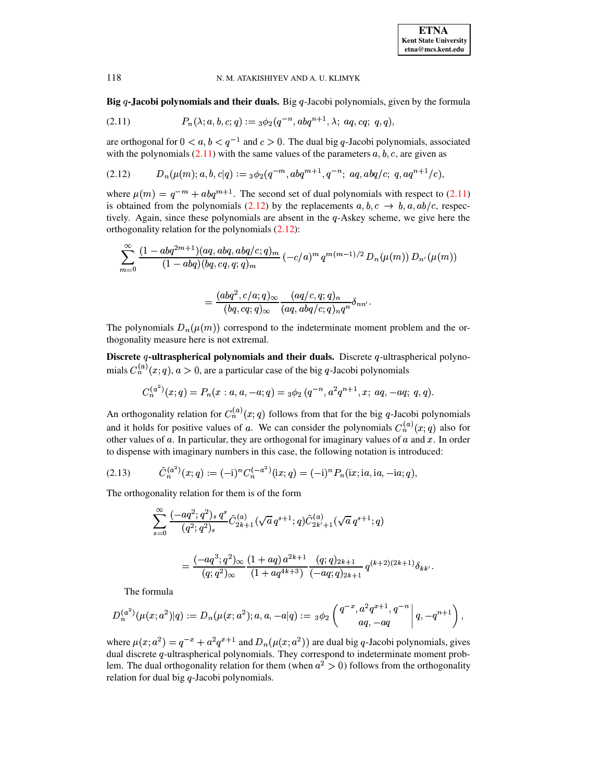Big  $q$ -Jacobi polynomials and their duals. Big  $q$ -Jacobi polynomials, given by the formula

(2.11) 
$$
P_n(\lambda; a, b, c; q) := {}_3\phi_2(q^{-n}, abq^{n+1}, \lambda; aq, cq; q, q)
$$

are orthogonal for  $0 < a, b < q^{-1}$  and  $c > 0$ . The dual big q-Jacobi polynomials, associated with the polynomials  $(2.11)$  with the same values of the parameters  $a, b, c$ , are given as

$$
(2.12) \tDn(\mu(m); a, b, c|q) := {}_3\phi_2(q^{-m}, abq^{m+1}, q^{-n}; aq, abq/c; q, aq^{n+1}/c),
$$

where  $\mu(m) = q^{-m} + abq^{m+1}$ . The second set of dual polynomials with respect to (2.11) is obtained from the polynomials (2.12) by the replacements  $a, b, c \rightarrow b, a, ab/c$ , respectively. Again, since these polynomials are absent in the  $q$ -Askey scheme, we give here the orthogonality relation for the polynomials  $(2.12)$ :

$$
\sum_{m=0}^{\infty} \frac{(1 - abq^{2m+1})(aq, abq, cbq/c;q)_m}{(1 - abq)(bq, cq, q;q)_m} \left(-c/a\right)^m q^{m(m-1)/2} D_n(\mu(m)) D_{n'}(\mu(m))
$$

<span id="page-10-2"></span><span id="page-10-1"></span><span id="page-10-0"></span>
$$
=\frac{(abq^2,c/a;q)_\infty}{(bq,cq;q)_\infty}\frac{(aq/c,q;q)_n}{(aq,abq/c;q)_nq^n}\delta_{nn'}
$$

The polynomials  $D_n(\mu(m))$  correspond to the indeterminate moment problem and the orthogonality measure here is not extremal.

Discrete  $q$ -ultraspherical polynomials and their duals. Discrete  $q$ -ultraspherical polynomials  $C_n^{(a)}(x;q)$ ,  $a > 0$ , are a particular case of the big q-Jacobi polynomials

$$
C_n^{(a^2)}(x;q) = P_n(x:a,a,-a;q) = {}_3\phi_2(q^{-n},a^2q^{n+1},x;aq,-aq;q,q).
$$

An orthogonality relation for  $C_n^{(a)}(x;q)$  follows from that for the big q-Jacobi polynomials and it holds for positive values of a. We can consider the polynomials  $C_n^{(a)}(x;q)$  also for other values of  $a$ . In particular, they are orthogonal for imaginary values of  $a$  and  $x$ . In order to dispense with imaginary numbers in this case, the following notation is introduced:

(2.13) 
$$
\tilde{C}_n^{(a^2)}(x;q) := (-i)^n C_n^{(-a^2)}(ix;q) = (-i)^n P_n(ix;ia,ia,-ia;q),
$$

The orthogonality relation for them is of the form

$$
\begin{split} \sum_{s=0}^{\infty}\frac{(-aq^2;q^2)_s\,q^s}{(q^2;q^2)_s}\tilde{C}_{2k+1}^{(a)}(\sqrt{a}\,q^{s+1};q)\tilde{C}_{2k'+1}^{(a)}(\sqrt{a}\,q^{s+1};q) \\ &\quad = \frac{(-aq^3;q^2)_{\infty}}{(q;q^2)_{\infty}}\frac{(1+aq)\,a^{2k+1}}{(1+aq^{4k+3})}\frac{(q;q)_{2k+1}}{(-aq;q)_{2k+1}}\,q^{(k+2)(2k+1)}\delta_{kk'}.\end{split}
$$

The formula

$$
D_n^{(a^2)}(\mu(x;a^2)|q):=D_n(\mu(x;a^2);a,a,-a|q):={}_3\phi_2\left(\begin{matrix}q^{-x},a^2q^{x+1},q^{-n}\\aq,-aq\end{matrix}\bigg|q,-q^{n+1}\right),
$$

where  $\mu(x; a^2) = q^{-x} + a^2 q^{x+1}$  and  $D_n(\mu(x; a^2))$  are dual big q-Jacobi polynomials, gives dual discrete q-ultraspherical polynomials. They correspond to indeterminate moment problem. The dual orthogonality relation for them (when  $a^2 > 0$ ) follows from the orthogonality relation for dual big q-Jacobi polynomials.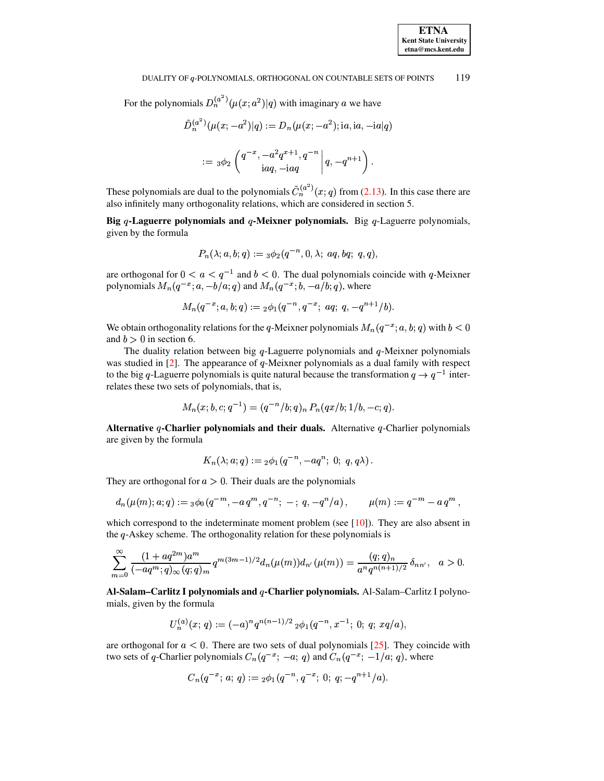For the polynomials  $D_n^{(a^2)}(\mu(x; a^2)|q)$  with imaginary a we have

$$
\tilde{D}_n^{(a^2)}(\mu(x; -a^2)|q) := D_n(\mu(x; -a^2); \text{ia}, \text{ia}, -\text{ia}|q)
$$

$$
:= 3\phi_2\left(\frac{q^{-x}, -a^2q^{x+1}, q^{-n}}{\text{ia}q, -\text{ia}q}\bigg|q, -q^{n+1}\right).
$$

These polynomials are dual to the polynomials  $\tilde{C}_n^{(a^2)}(x;q)$  from (2.13). In this case there are also infinitely many orthogonality relations, which are considered in section 5.

Big q-Laguerre polynomials and q-Meixner polynomials. Big q-Laguerre polynomials, given by the formula

$$
P_n(\lambda; a, b; q) :=_3 \phi_2(q^{-n}, 0, \lambda; aq, bq; q, q)
$$

are orthogonal for  $0 < a < q^{-1}$  and  $b < 0$ . The dual polynomials coincide with q-Meixner polynomials  $M_n(q^{-x}; a, -b/a; q)$  and  $M_n(q^{-x}; b, -a/b; q)$ , where

$$
M_n(q^{-x};a,b;q):={}_2\phi_1(q^{-n},q^{-x};~aq;~q,-q^{n+1}/b).
$$

We obtain orthogonality relations for the q-Meixner polynomials  $M_n(q^{-x}; a, b; q)$  with  $b < 0$ and  $b > 0$  in section 6.

The duality relation between big  $q$ -Laguerre polynomials and  $q$ -Meixner polynomials was studied in  $[2]$ . The appearance of q-Meixner polynomials as a dual family with respect to the big q-Laguerre polynomials is quite natural because the transformation  $q \to q^{-1}$  interrelates these two sets of polynomials, that is,

$$
M_n(x;b,c;q^{-1})=(q^{-n}/b;q)_n P_n(qx/b;1/b,-c;q).
$$

Alternative q-Charlier polynomials and their duals. Alternative q-Charlier polynomials are given by the formula

$$
K_n(\lambda; a; q) := {}_2\phi_1(q^{-n}, -aq^n; 0; q, q\lambda) .
$$

They are orthogonal for  $a > 0$ . Their duals are the polynomials

$$
d_n(\mu(m);a;q):=s\phi_0(q^{-m},-a\,q^m,q^{-n};-;q,-q^n/a)\,,\qquad \mu(m):=q^{-m}-a\,q^m\,,
$$

which correspond to the indeterminate moment problem (see [10]). They are also absent in the  $q$ -Askey scheme. The orthogonality relation for these polynomials is

$$
\sum_{m=0}^{\infty} \frac{(1+aq^{2m})a^m}{(-aq^m;q)_{\infty}(q;q)_m} q^{m(3m-1)/2} d_n(\mu(m)) d_{n'}(\mu(m)) = \frac{(q;q)_n}{a^n q^{n(n+1)/2}} \delta_{nn'}, \quad a > 0
$$

Al-Salam-Carlitz I polynomials and q-Charlier polynomials. Al-Salam-Carlitz I polynomials, given by the formula

$$
U_n^{(a)}(x; q) := (-a)^n q^{n(n-1)/2} {}_2\phi_1(q^{-n}, x^{-1}; 0; q; xq/a)
$$

are orthogonal for  $a < 0$ . There are two sets of dual polynomials [25]. They coincide with two sets of q-Charlier polynomials  $C_n(q^{-x}; -a; q)$  and  $C_n(q^{-x}; -1/a; q)$ , where

$$
C_n(q^{-x}; a; q) := {}_2\phi_1(q^{-n}, q^{-x}; 0; q; -q^{n+1}/a).
$$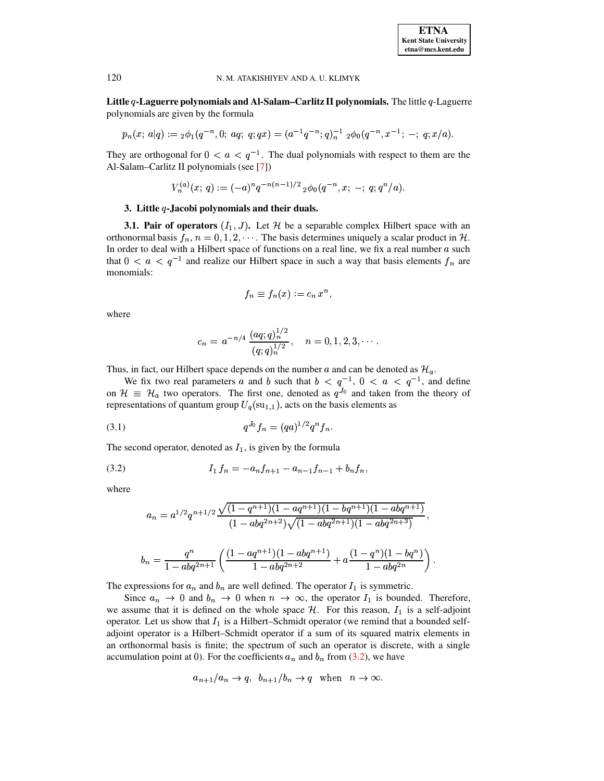Little  $q$ -Laguerre polynomials and Al-Salam-Carlitz II polynomials. The little  $q$ -Laguerre polynomials are given by the formula

$$
p_n(x; a|q) := {}_2\phi_1(q^{-n}, 0; aq; q; qx) = (a^{-1}q^{-n}; q)_n^{-1} {}_2\phi_0(q^{-n}, x^{-1}; -; q; x/a).
$$

They are orthogonal for  $0 < a < q^{-1}$ . The dual polynomials with respect to them are the Al-Salam-Carlitz II polynomials (see [7])

$$
V_n^{(a)}(x; q) := (-a)^n q^{-n(n-1)/2} {}_2\phi_0(q^{-n}, x; -; q; q^n/a).
$$

# 3. Little  $q$ -Jacobi polynomials and their duals.

**3.1. Pair of operators**  $(I_1, J)$ . Let H be a separable complex Hilbert space with an orthonormal basis  $f_n$ ,  $n = 0, 1, 2, \dots$ . The basis determines uniquely a scalar product in H. In order to deal with a Hilbert space of functions on a real line, we fix a real number  $a$  such that  $0 < a < q^{-1}$  and realize our Hilbert space in such a way that basis elements  $f_n$  are monomials:

$$
f_n \equiv f_n(x) := c_n x^n,
$$

where

<span id="page-12-0"></span>
$$
c_n = a^{-n/4} \, \frac{(aq;q)_n^{1/2}}{(q;q)_n^{1/2}} \,, \quad n = 0, 1, 2, 3, \cdots.
$$

Thus, in fact, our Hilbert space depends on the number a and can be denoted as  $\mathcal{H}_a$ .

We fix two real parameters a and b such that  $b < q^{-1}$ ,  $0 < a < q^{-1}$ , and define on  $\mathcal{H} \equiv \mathcal{H}_a$  two operators. The first one, denoted as  $q^{J_0}$  and taken from the theory of representations of quantum group  $U_q(su_{1,1})$ , acts on the basis elements as

(3.1) 
$$
q^{J_0} f_n = (qa)^{1/2} q^n f_n.
$$

The second operator, denoted as  $I_1$ , is given by the formula

$$
(3.2) \t I_1 f_n = -a_n f_{n+1} - a_{n-1} f_{n-1} + b_n f_n,
$$

where

$$
a_n = a^{1/2} q^{n+1/2} \frac{\sqrt{(1-q^{n+1})(1-aq^{n+1})(1-bq^{n+1})(1-abq^{n+1})}}{(1-abq^{2n+2})\sqrt{(1-abq^{2n+1})(1-abq^{2n+3})}},
$$
  

$$
b_n = \frac{q^n}{1-abq^{2n+1}} \left( \frac{(1-aq^{n+1})(1-abq^{n+1})}{1-abq^{2n+2}} + a \frac{(1-q^n)(1-bq^n)}{1-abq^{2n}} \right).
$$

The expressions for  $a_n$  and  $b_n$  are well defined. The operator  $I_1$  is symmetric.

Since  $a_n \to 0$  and  $b_n \to 0$  when  $n \to \infty$ , the operator  $I_1$  is bounded. Therefore, we assume that it is defined on the whole space  $H$ . For this reason,  $I_1$  is a self-adjoint operator. Let us show that  $I_1$  is a Hilbert–Schmidt operator (we remind that a bounded selfadjoint operator is a Hilbert-Schmidt operator if a sum of its squared matrix elements in an orthonormal basis is finite; the spectrum of such an operator is discrete, with a single accumulation point at 0). For the coefficients  $a_n$  and  $b_n$  from (3.2), we have

$$
a_{n+1}/a_n \to q
$$
,  $b_{n+1}/b_n \to q$  when  $n \to \infty$ .

120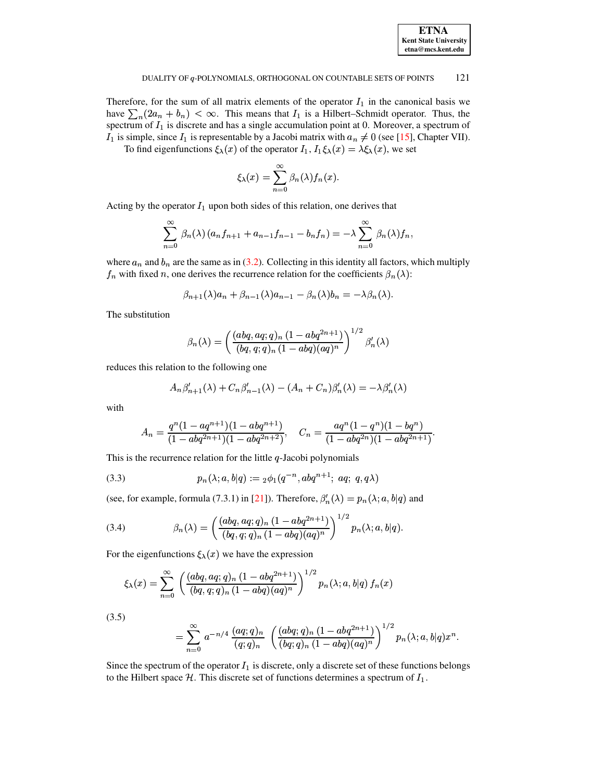| <b>ETNA</b>                  |
|------------------------------|
| <b>Kent State University</b> |
| etna@mcs.kent.edu            |

Therefore, for the sum of all matrix elements of the operator  $I_1$  in the canonical basis we have  $\sum_{n}(2a_n + b_n) < \infty$ . This means that  $I_1$  is a Hilbert-Schmidt operator. Thus, the spectrum of  $I_1$  is discrete and has a single accumulation point at 0. Moreover, a spectrum of  $I_1$  is simple, since  $I_1$  is representable by a Jacobi matrix with  $a_n \neq 0$  (see [15], Chapter VII).

To find eigenfunctions  $\xi_{\lambda}(x)$  of the operator  $I_1$ ,  $I_1 \xi_{\lambda}(x) = \lambda \xi_{\lambda}(x)$ , we set

$$
\xi_{\lambda}(x) = \sum_{n=0}^{\infty} \beta_n(\lambda) f_n(x)
$$

Acting by the operator  $I_1$  upon both sides of this relation, one derives that

$$
\sum_{n=0}^{\infty} \beta_n(\lambda) (a_n f_{n+1} + a_{n-1} f_{n-1} - b_n f_n) = -\lambda \sum_{n=0}^{\infty} \beta_n(\lambda) f_n,
$$

where  $a_n$  and  $b_n$  are the same as in (3.2). Collecting in this identity all factors, which multiply  $f_n$  with fixed n, one derives the recurrence relation for the coefficients  $\beta_n(\lambda)$ :

$$
\beta_{n+1}(\lambda)a_n + \beta_{n-1}(\lambda)a_{n-1} - \beta_n(\lambda)b_n = -\lambda\beta_n(\lambda).
$$

The substitution

$$
\beta_n(\lambda) = \left(\frac{(abq, aq;q)_n (1 - abq^{2n+1})}{(bq, q;q)_n (1 - abq)(aq)^n}\right)^{1/2} \beta'_n(\lambda)
$$

reduces this relation to the following one

<span id="page-13-2"></span><span id="page-13-0"></span>
$$
A_n \beta'_{n+1}(\lambda) + C_n \beta'_{n-1}(\lambda) - (A_n + C_n) \beta'_n(\lambda) = -\lambda \beta'_n(\lambda)
$$

with

$$
A_n = \frac{q^n (1 - aq^{n+1})(1 - abq^{n+1})}{(1 - abq^{2n+1})(1 - abq^{2n+2})}, \quad C_n = \frac{aq^n (1 - q^n)(1 - bq^n)}{(1 - abq^{2n})(1 - abq^{2n+1})}.
$$

This is the recurrence relation for the little  $q$ -Jacobi polynomials

(3.3) 
$$
p_n(\lambda; a, b|q) := {}_2\phi_1(q^{-n}, abq^{n+1}; aq; q, q\lambda)
$$

(see, for example, formula (7.3.1) in [21]). Therefore,  $\beta'_n(\lambda) = p_n(\lambda; a, b|q)$  and

(3.4) 
$$
\beta_n(\lambda) = \left(\frac{(abq, aq;q)_n (1 - abq^{2n+1})}{(bq, q;q)_n (1 - abq)(aq)^n}\right)^{1/2} p_n(\lambda; a, b|q)
$$

For the eigenfunctions  $\xi_{\lambda}(x)$  we have the expression

$$
\xi_{\lambda}(x) = \sum_{n=0}^{\infty} \left( \frac{(abq, aq;q)_n (1 - abq^{2n+1})}{(bq, q;q)_n (1 - abq)(aq)^n} \right)^{1/2} p_n(\lambda; a, b|q) f_n(x)
$$

<span id="page-13-1"></span> $(3.5)$ 

$$
= \sum_{n=0}^{\infty} a^{-n/4} \frac{(aq;q)_n}{(q;q)_n} \left( \frac{(abq;q)_n (1-abq^{2n+1})}{(bq;q)_n (1-abq)(aq)^n} \right)^{1/2} p_n(\lambda;a,b|q) x^n.
$$

Since the spectrum of the operator  $I_1$  is discrete, only a discrete set of these functions belongs to the Hilbert space  $H$ . This discrete set of functions determines a spectrum of  $I_1$ .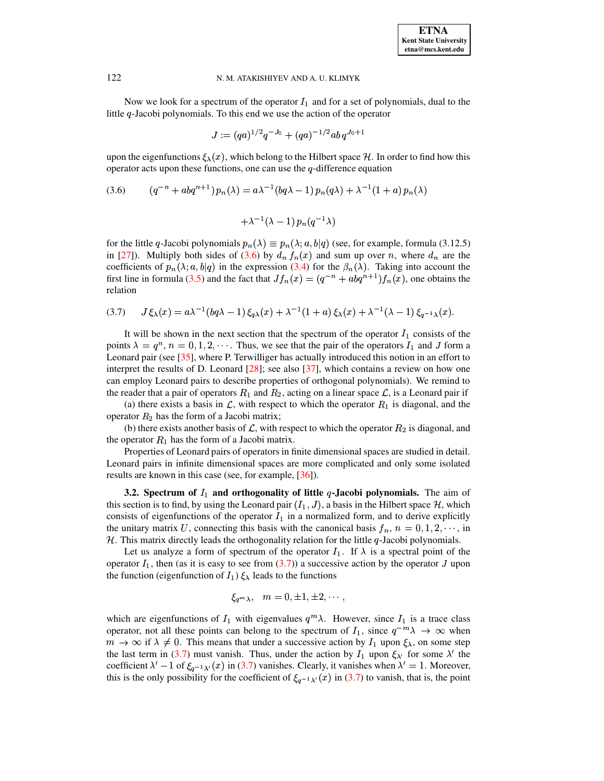Now we look for a spectrum of the operator  $I_1$  and for a set of polynomials, dual to the little q-Jacobi polynomials. To this end we use the action of the operator

$$
J:=(qa)^{1/2}q^{-J_0}+(qa)^{-1/2}ab\,q^{J_0+1}
$$

upon the eigenfunctions  $\xi_{\lambda}(x)$ , which belong to the Hilbert space H. In order to find how this operator acts upon these functions, one can use the  $q$ -difference equation

(3.6) 
$$
(q^{-n} + abq^{n+1}) p_n(\lambda) = a\lambda^{-1} (bq\lambda - 1) p_n(q\lambda) + \lambda^{-1} (1 + a) p_n(\lambda)
$$

<span id="page-14-0"></span>
$$
+ \lambda^{-1} (\lambda - 1) \, p_n(q^{-1} \lambda)
$$

for the little q-Jacobi polynomials  $p_n(\lambda) \equiv p_n(\lambda; a, b|q)$  (see, for example, formula (3.12.5) in [\[27\]](#page-72-13)). Multiply both sides of [\(3.6\)](#page-14-0) by  $d_n f_n(x)$  and sum up over n, where  $d_n$  are the coefficients of  $p_n(\lambda; a, b|q)$  in the expression [\(3.4\)](#page-13-0) for the  $\beta_n(\lambda)$ . Taking into account the first line in formula [\(3.5\)](#page-13-1) and the fact that  $Jf_n(x) = (q^{-n} + abq^{n+1})f_n(x)$ , one obtains the relation

<span id="page-14-1"></span>
$$
(3.7) \qquad J\xi_{\lambda}(x) = a\lambda^{-1}(bq\lambda - 1)\xi_{q\lambda}(x) + \lambda^{-1}(1+a)\xi_{\lambda}(x) + \lambda^{-1}(\lambda - 1)\xi_{q^{-1}\lambda}(x).
$$

It will be shown in the next section that the spectrum of the operator  $I_1$  consists of the points  $\lambda = q^n$ ,  $n = 0, 1, 2, \cdots$ . Thus, we see that the pair of the operators  $I_1$  and J form a Leonard pair (see [\[35\]](#page-72-4), where P. Terwilliger has actually introduced this notion in an effort to interpret the results of D. Leonard  $[28]$ ; see also  $[37]$ , which contains a review on how one can employ Leonard pairs to describe properties of orthogonal polynomials). We remind to the reader that a pair of operators  $R_1$  and  $R_2$ , acting on a linear space  $\mathcal{L}$ , is a Leonard pair if

(a) there exists a basis in  $\mathcal{L}$ , with respect to which the operator  $R_1$  is diagonal, and the operator  $R_2$  has the form of a Jacobi matrix;

(b) there exists another basis of  $\mathcal{L}$ , with respect to which the operator  $R_2$  is diagonal, and the operator  $R_1$  has the form of a Jacobi matrix.

Properties of Leonard pairs of operators in finite dimensional spaces are studied in detail. Leonard pairs in infinite dimensional spaces are more complicated and only some isolated results are known in this case (see, for example, [\[36\]](#page-72-20)).

**3.2.** Spectrum of  $I_1$  and orthogonality of little  $q$ -Jacobi polynomials. The aim of this section is to find, by using the Leonard pair  $(I_1, J)$ , a basis in the Hilbert space  $\mathcal{H}$ , which consists of eigenfunctions of the operator  $I_1$  in a normalized form, and to derive explicitly the unitary matrix U, connecting this basis with the canonical basis  $f_n$ ,  $n = 0, 1, 2, \dots$ , in  $H$ . This matrix directly leads the orthogonality relation for the little  $q$ -Jacobi polynomials.

Let us analyze a form of spectrum of the operator  $I_1$ . If  $\lambda$  is a spectral point of the operator  $I_1$ , then (as it is easy to see from [\(3.7\)](#page-14-1)) a successive action by the operator J upon the function (eigenfunction of  $I_1$ )  $\xi_{\lambda}$  leads to the functions

$$
\xi_{q^m\lambda},\quad m=0,\pm 1,\pm 2,\cdots,
$$

which are eigenfunctions of  $I_1$  with eigenvalues  $q^m\lambda$ . However, since  $I_1$  is a trace class operator, not all these points can belong to the spectrum of  $I_1$ , since  $q^{-m}\lambda \to \infty$  when  $m \to \infty$  if  $\lambda \neq 0$ . This means that under a successive action by  $I_1$  upon  $\xi_\lambda$ , on some step the last term in [\(3.7\)](#page-14-1) must vanish. Thus, under the action by  $I_1$  upon  $\xi_{\lambda'}$  for some  $\lambda'$  the coefficient  $\lambda' - 1$  of  $\xi_{q-1\lambda'}(x)$  in [\(3.7\)](#page-14-1) vanishes. Clearly, it vanishes when  $\lambda' = 1$ . Moreover, this is the only possibility for the coefficient of  $\xi_{q-1}$   $\chi(x)$  in [\(3.7\)](#page-14-1) to vanish, that is, the point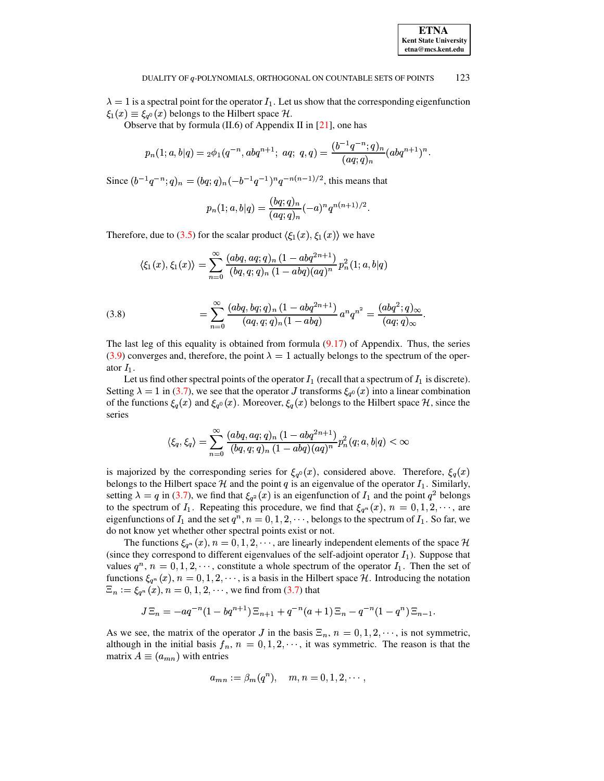$\lambda = 1$  is a spectral point for the operator  $I_1$ . Let us show that the corresponding eigenfunction  $\xi_1(x) \equiv \xi_{a^0}(x)$  belongs to the Hilbert space H.

Observe that by formula  $(II.6)$  of Appendix II in  $[21]$ , one has

$$
p_n(1; a, b|q) = {}_2\phi_1(q^{-n}, abq^{n+1};\ aq;\ q, q) = \frac{(b^{-1}q^{-n};q)_n}{(aq;q)_n}(abq^{n+1})^n.
$$

Since  $(b^{-1}q^{-n};q)_n = (bq;q)_n(-b^{-1}q^{-1})^n q^{-n(n-1)/2}$ , this means that

$$
p_n(1; a, b|q) = \frac{(bq; q)_n}{(aq; q)_n} (-a)^n q^{n(n+1)/2}.
$$

Therefore, due to [\(3.5\)](#page-13-1) for the scalar product  $\langle \xi_1(x), \xi_1(x) \rangle$  we have

$$
\langle \xi_1(x), \xi_1(x) \rangle = \sum_{n=0}^\infty \frac{(abq,aq;q)_n\ (1-abq^{2n+1})}{(bq,q;q)_n\ (1-abq)(aq)^n} \, p_n^2(1;a,b|q)
$$

<span id="page-15-0"></span>(3.8) 
$$
= \sum_{n=0}^{\infty} \frac{(abq, bq;q)_n (1 - abq^{2n+1})}{(aq,q;q)_n (1 - abq)} a^n q^{n^2} = \frac{(abq^2;q)_{\infty}}{(aq;q)_{\infty}}.
$$

The last leg of this equality is obtained from formula  $(9.17)$  of Appendix. Thus, the series [\(3.9\)](#page-16-0) converges and, therefore, the point  $\lambda = 1$  actually belongs to the spectrum of the operator  $I_1$ .

Let us find other spectral points of the operator  $I_1$  (recall that a spectrum of  $I_1$  is discrete). Setting  $\lambda = 1$  in [\(3.7\)](#page-14-1), we see that the operator J transforms  $\xi_{q0}(x)$  into a linear combination of the functions  $\xi_q(x)$  and  $\xi_{q^0}(x)$ . Moreover,  $\xi_q(x)$  belongs to the Hilbert space  $\mathcal{H}$ , since the series

$$
\langle \xi_q,\xi_q\rangle=\sum_{n=0}^\infty\frac{(abq,aq;q)_n\,(1-abq^{2n+1})}{(bq,q;q)_n\,(1-abq)(aq)^n}p_n^2(q;a,b|q)<\infty
$$

is majorized by the corresponding series for  $\xi_{q0}(x)$ , considered above. Therefore,  $\xi_{q}(x)$ belongs to the Hilbert space H and the point q is an eigenvalue of the operator  $I_1$ . Similarly, setting  $\lambda = q$  in [\(3.7\)](#page-14-1), we find that  $\xi_{q^2}(x)$  is an eigenfunction of  $I_1$  and the point  $q^2$  belongs to the spectrum of  $I_1$ . Repeating this procedure, we find that  $\xi_{q^n}(x)$ ,  $n = 0, 1, 2, \cdots$ , are eigenfunctions of  $I_1$  and the set  $q^n$ ,  $n = 0, 1, 2, \dots$ , belongs to the spectrum of  $I_1$ . So far, we do not know yet whether other spectral points exist or not.

The functions  $\xi_{q^n}(x)$ ,  $n = 0, 1, 2, \cdots$ , are linearly independent elements of the space H (since they correspond to different eigenvalues of the self-adjoint operator  $I_1$ ). Suppose that values  $q^n$ ,  $n = 0, 1, 2, \dots$ , constitute a whole spectrum of the operator  $I_1$ . Then the set of functions  $\xi_{q^n}(x)$ ,  $n = 0, 1, 2, \dots$ , is a basis in the Hilbert space H. Introducing the notation  $\Xi_n := \xi_{q^n}(x), n = 0, 1, 2, \cdots$ , we find from [\(3.7\)](#page-14-1) that

$$
J\Xi_n = -aq^{-n}(1-bq^{n+1})\Xi_{n+1} + q^{-n}(a+1)\Xi_n - q^{-n}(1-q^n)\Xi_{n-1}.
$$

As we see, the matrix of the operator J in the basis  $\Xi_n$ ,  $n = 0, 1, 2, \dots$ , is not symmetric, although in the initial basis  $f_n$ ,  $n = 0, 1, 2, \dots$ , it was symmetric. The reason is that the matrix  $A \equiv (a_{mn})$  with entries

$$
a_{mn}:=\beta_m(q^n), \quad m,n=0,1,2,\cdots
$$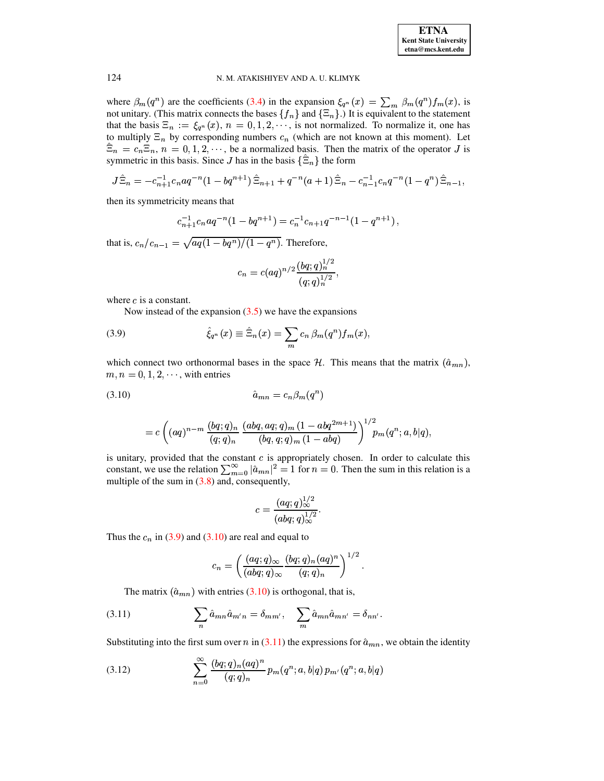

where  $\beta_m(q^n)$  are the coefficients (3.4) in the expansion  $\xi_{q^n}(x) = \sum_m \beta_m(q^n) f_m(x)$ , is not unitary. (This matrix connects the bases  $\{f_n\}$  and  $\{\Xi_n\}$ .) It is equivalent to the statement that the basis  $\Xi_n := \xi_{q^n}(x)$ ,  $n = 0, 1, 2, \dots$ , is not normalized. To normalize it, one has to multiply  $\Xi_n$  by corresponding numbers  $c_n$  (which are not known at this moment). Let  $\hat{\Xi}_n = c_n \Xi_n$ ,  $n = 0, 1, 2, \dots$ , be a normalized basis. Then the matrix of the operator J is symmetric in this basis. Since J has in the basis  $\{\Xi_n\}$  the form

$$
J\hat{\Xi}_n = -c_{n+1}^{-1}c_n a q^{-n} (1-bq^{n+1}) \hat{\Xi}_{n+1} + q^{-n} (a+1) \hat{\Xi}_n - c_{n-1}^{-1} c_n q^{-n} (1-q^n) \hat{\Xi}_{n-1}
$$

then its symmetricity means that

$$
c_{n+1}^{-1}c_n a q^{-n} (1-bq^{n+1}) = c_n^{-1}c_{n+1}q^{-n-1} (1-q^{n+1}),
$$

that is,  $c_n/c_{n-1} = \sqrt{aq(1-bq^n)/(1-q^n)}$ . Therefore,

<span id="page-16-0"></span>
$$
c_n = c(aq)^{n/2} \frac{(bq;q)_n^{1/2}}{(q;q)_n^{1/2}},
$$

where  $c$  is a constant.

Now instead of the expansion  $(3.5)$  we have the expansions

(3.9) 
$$
\hat{\xi}_{q^n}(x) \equiv \hat{\Xi}_n(x) = \sum_m c_n \,\beta_m(q^n) f_m(x),
$$

which connect two orthonormal bases in the space  $H$ . This means that the matrix  $(\hat{a}_{mn})$ ,  $m, n = 0, 1, 2, \dots$ , with entries

$$
\hat{a}_{mn} = c_n \beta_m(q^n)
$$

<span id="page-16-1"></span>
$$
= c \left( (aq)^{n-m} \frac{(bq;q)_n}{(q;q)_n} \frac{(abq,aq;q)_m (1-abq^{2m+1})}{(bq,q;q)_m (1-abq)} \right)^{1/2} p_m(q^n;a,b|q),
$$

is unitary, provided that the constant  $c$  is appropriately chosen. In order to calculate this constant, we use the relation  $\sum_{m=0}^{\infty} |\hat{a}_{mn}|^2 = 1$  for  $n = 0$ . Then the sum in this relation is a multiple of the sum in  $(3.8)$  and, consequently,

<span id="page-16-3"></span>
$$
c = \frac{(aq;q)_\infty^{1/2}}{(abq;q)_\infty^{1/2}}.
$$

Thus the  $c_n$  in (3.9) and (3.10) are real and equal to

<span id="page-16-2"></span>
$$
c_n = \left(\frac{(aq;q)_{\infty}}{(abq;q)_{\infty}} \frac{(bq;q)_n (aq)^n}{(q;q)_n}\right)^{1/2}.
$$

The matrix  $(\hat{a}_{mn})$  with entries (3.10) is orthogonal, that is,

(3.11) 
$$
\sum_{n} \hat{a}_{mn} \hat{a}_{m'n} = \delta_{mm'}, \quad \sum_{m} \hat{a}_{mn} \hat{a}_{mn'} = \delta_{nn'}
$$

Substituting into the first sum over n in (3.11) the expressions for  $\hat{a}_{mn}$ , we obtain the identity

(3.12) 
$$
\sum_{n=0}^{\infty} \frac{(bq;q)_n (aq)^n}{(q;q)_n} p_m(q^n;a,b|q) p_{m'}(q^n;a,b|q)
$$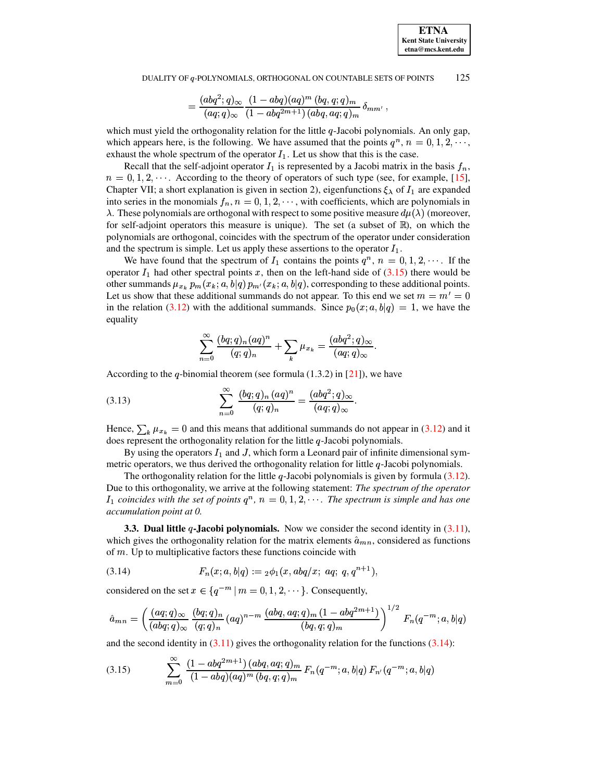$$
=\frac{(abq^2;q)_\infty}{(aq;q)_\infty}\frac{(1-abq)(aq)^m\ (bq,q;q)_m}{(1-abq^{2m+1})\ (abq,aq;q)_m}\ \delta_{mm'}\ ,
$$

which must yield the orthogonality relation for the little  $q$ -Jacobi polynomials. An only gap, which appears here, is the following. We have assumed that the points  $q^n$ ,  $n = 0, 1, 2, \dots$ , exhaust the whole spectrum of the operator  $I_1$ . Let us show that this is the case.

Recall that the self-adjoint operator  $I_1$  is represented by a Jacobi matrix in the basis  $f_n$ ,  $n = 0, 1, 2, \dots$ . According to the theory of operators of such type (see, for example, [\[15\]](#page-72-1), Chapter VII; a short explanation is given in section 2), eigenfunctions  $\xi_{\lambda}$  of  $I_1$  are expanded into series in the monomials  $f_n$ ,  $n = 0, 1, 2, \dots$ , with coefficients, which are polynomials in  $\lambda$ . These polynomials are orthogonal with respect to some positive measure  $d\mu(\lambda)$  (moreover, for self-adjoint operators this measure is unique). The set (a subset of  $\mathbb{R}$ ), on which the polynomials are orthogonal, coincides with the spectrum of the operator under consideration and the spectrum is simple. Let us apply these assertions to the operator  $I_1$ .

We have found that the spectrum of  $I_1$  contains the points  $q^n$ ,  $n = 0, 1, 2, \cdots$ . If the operator  $I_1$  had other spectral points x, then on the left-hand side of [\(3.15\)](#page-17-0) there would be other summands  $\mu_{x_k} p_m(x_k; a, b | q) p_{m'}(x_k; a, b | q)$ , corresponding to these additional points. Let us show that these additional summands do not appear. To this end we set  $m = m' = 0$ in the relation [\(3.12\)](#page-16-3) with the additional summands. Since  $p_0(x; a, b|q) = 1$ , we have the equality

<span id="page-17-2"></span>
$$
\sum_{n=0}^\infty\frac{(bq;q)_n(aq)^n}{(q;q)_n}+\sum_k\mu_{x_k}=\frac{(abq^2;q)_\infty}{(aq;q)_\infty}.
$$

According to the q-binomial theorem (see formula  $(1.3.2)$  in [\[21\]](#page-72-5)), we have

(3.13) 
$$
\sum_{n=0}^{\infty} \frac{(bq;q)_n (aq)^n}{(q;q)_n} = \frac{(abq^2;q)_{\infty}}{(aq;q)_{\infty}}.
$$

Hence,  $\sum_{k} \mu_{x_k} = 0$  and this means that additional summands do not appear in [\(3.12\)](#page-16-3) and it does represent the orthogonality relation for the little  $q$ -Jacobi polynomials.

By using the operators  $I_1$  and J, which form a Leonard pair of infinite dimensional symmetric operators, we thus derived the orthogonality relation for little  $q$ -Jacobi polynomials.

The orthogonality relation for the little  $q$ -Jacobi polynomials is given by formula  $(3.12)$ . Due to this orthogonality, we arrive at the following statement: *The spectrum of the operator*  $I_1$  coincides with the set of points  $q^n$ ,  $n = 0, 1, 2, \cdots$ . The spectrum is simple and has one *accumulation point at 0.*

**3.3. Dual little -Jacobi polynomials.** Now we consider the second identity in [\(3.11\)](#page-16-2), which gives the orthogonality relation for the matrix elements  $\hat{a}_{mn}$ , considered as functions of  $m$ . Up to multiplicative factors these functions coincide with

<span id="page-17-1"></span>(3.14) 
$$
F_n(x;a,b|q) := {}_2\phi_1(x,abq/x; aq; q, q^{n+1}),
$$

considered on the set  $x \in \{q^{-m} | m = 0, 1, 2, \dots\}$ . Consequently,

<span id="page-17-0"></span>
$$
\hat{a}_{mn} = \left(\frac{(aq;q)_{\infty}}{(abq;q)_{\infty}} \frac{(bq;q)_n}{(q;q)_n} (aq)^{n-m} \frac{(abq,aq;q)_m (1 - abq^{2m+1})}{(bq,q;q)_m}\right)^{1/2} F_n(q^{-m};a,b|q)
$$

and the second identity in  $(3.11)$  gives the orthogonality relation for the functions  $(3.14)$ :

$$
(3.15) \qquad \sum_{m=0}^{\infty} \frac{(1-abq^{2m+1})(abq,aq;q)_m}{(1-abq)(aq)^m (bq,q;q)_m} F_n(q^{-m};a,b|q) F_{n'}(q^{-m};a,b|q)
$$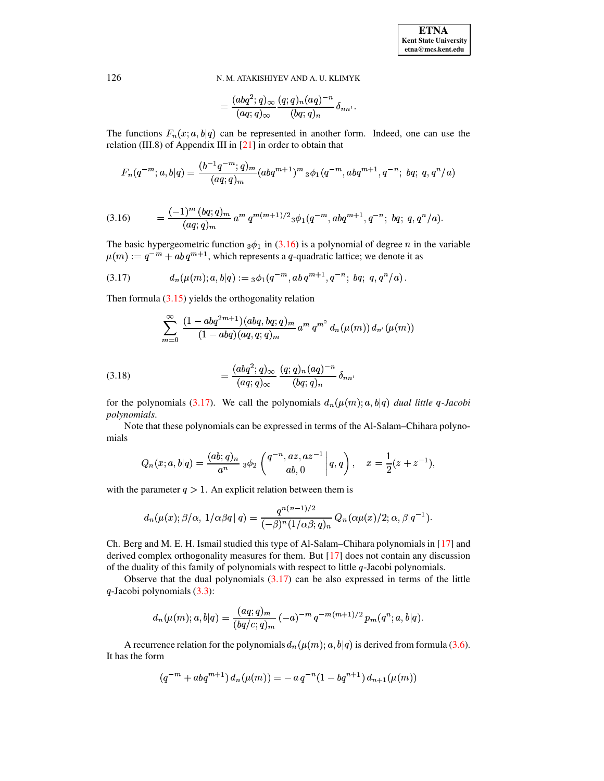<span id="page-18-1"></span>
$$
=\frac{(abq^2;q)_\infty}{(aq;q)_\infty}\frac{(q;q)_n(aq)^{-n}}{(bq;q)_n}\delta_{nn'}
$$

The functions  $F_n(x; a, b|q)$  can be represented in another form. Indeed, one can use the relation (III.8) of Appendix III in  $[21]$  in order to obtain that

$$
F_n(q^{-m};a,b|q) = \frac{(b^{-1}q^{-m};q)_m}{(aq;q)_m}(abq^{m+1})^m \, {}_3\phi_1(q^{-m},abq^{m+1},q^{-n};\, bq;\,q,q^n/a)
$$

<span id="page-18-0"></span>
$$
(3.16) \qquad = \frac{(-1)^m (bq;q)_m}{(aq;q)_m} a^m q^{m(m+1)/2} {}_3\phi_1(q^{-m}, abq^{m+1}, q^{-n}; bq; q, q^n/a).
$$

The basic hypergeometric function  $_3\phi_1$  in (3.16) is a polynomial of degree *n* in the variable  $\mu(m) := q^{-m} + ab q^{m+1}$ , which represents a q-quadratic lattice; we denote it as

$$
(3.17) \t dn(\mu(m); a, b|q) := {}_3\phi_1(q^{-m}, ab\,q^{m+1}, q^{-n};\, bq; q, q^n/a).
$$

Then formula  $(3.15)$  yields the orthogonality relation

$$
\sum_{m=0}^{\infty} \frac{(1 - abq^{2m+1})(abq, bq; q)_m}{(1 - abq)(aq, q; q)_m} a^m q^{m^2} d_n(\mu(m)) d_{n'}(\mu(m))
$$

<span id="page-18-2"></span>(3.18) 
$$
= \frac{(abq^2;q)_{\infty}}{(aq;q)_{\infty}} \frac{(q;q)_n (aq)^{-n}}{(bq;q)_n} \delta_{nn'}
$$

for the polynomials (3.17). We call the polynomials  $d_n(\mu(m); a, b|q)$  dual little q-Jacobi polynomials.

Note that these polynomials can be expressed in terms of the Al-Salam–Chihara polynomials

$$
Q_n(x;a,b|q) = \frac{(ab;q)_n}{a^n} \, {}_3\phi_2\left(\begin{matrix} q^{-n}, a z, a z^{-1} \\ a b, 0 \end{matrix}\bigg\rvert\, q, q\right), \quad x = \frac{1}{2}(z+z^{-1}),
$$

with the parameter  $q > 1$ . An explicit relation between them is

$$
d_n(\mu(x); \beta/\alpha, 1/\alpha\beta q \mid q) = \frac{q^{n(n-1)/2}}{(-\beta)^n (1/\alpha\beta; q)_n} Q_n(\alpha\mu(x)/2; \alpha, \beta | q^{-1}).
$$

Ch. Berg and M. E. H. Ismail studied this type of Al-Salam–Chihara polynomials in [17] and derived complex orthogonality measures for them. But  $[17]$  does not contain any discussion of the duality of this family of polynomials with respect to little  $q$ -Jacobi polynomials.

Observe that the dual polynomials  $(3.17)$  can be also expressed in terms of the little  $q$ -Jacobi polynomials  $(3.3)$ :

$$
d_n(\mu(m);a,b|q) = \frac{(aq;q)_m}{(bq/c;q)_m} (-a)^{-m} q^{-m(m+1)/2} p_m(q^n;a,b|q).
$$

A recurrence relation for the polynomials  $d_n(\mu(m); a, b|q)$  is derived from formula (3.6). It has the form

$$
(q^{-m} + abq^{m+1}) d_n(\mu(m)) = -a q^{-n} (1 - bq^{n+1}) d_{n+1}(\mu(m))
$$

126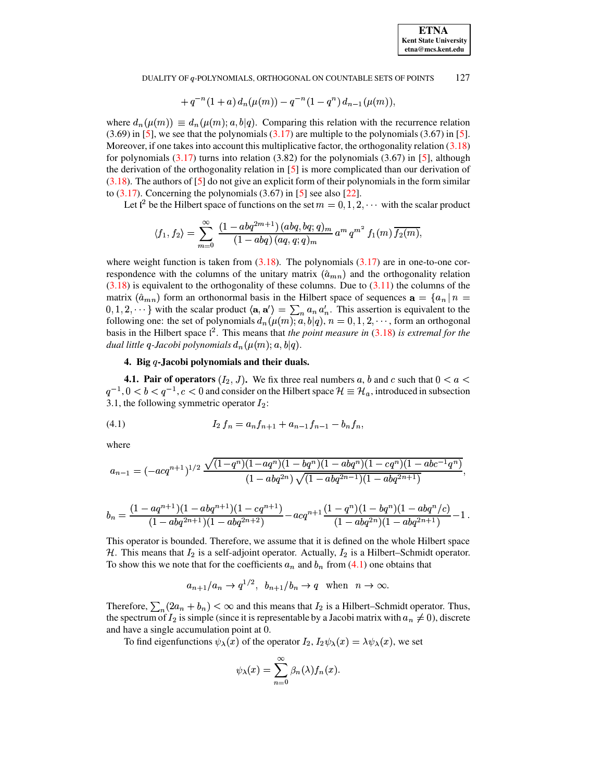$$
+\,q^{-\,n}(1+a)\,d_n(\mu(m)) - q^{-\,n}(1-q^n)\,d_{n-1}(\mu(m)),
$$

where  $d_n(\mu(m)) \equiv d_n(\mu(m); a, b|q)$ . Comparing this relation with the recurrence relation  $(3.69)$  in [5], we see that the polynomials  $(3.17)$  are multiple to the polynomials  $(3.67)$  in [5]. Moreover, if one takes into account this multiplicative factor, the orthogonality relation (3.18) for polynomials  $(3.17)$  turns into relation  $(3.82)$  for the polynomials  $(3.67)$  in [5], although the derivation of the orthogonality relation in  $[5]$  is more complicated than our derivation of  $(3.18)$ . The authors of [5] do not give an explicit form of their polynomials in the form similar to  $(3.17)$ . Concerning the polynomials  $(3.67)$  in [5] see also [22].

Let  $l^2$  be the Hilbert space of functions on the set  $m = 0, 1, 2, \cdots$  with the scalar product

$$
\langle f_1, f_2 \rangle = \sum_{m=0}^{\infty} \frac{(1 - abq^{2m+1}) (abq, bq, q)_m}{(1 - abq) (aq, q; q)_m} a^m q^{m^2} f_1(m) \overline{f_2(m)},
$$

where weight function is taken from  $(3.18)$ . The polynomials  $(3.17)$  are in one-to-one correspondence with the columns of the unitary matrix  $(\hat{a}_{mn})$  and the orthogonality relation  $(3.18)$  is equivalent to the orthogonality of these columns. Due to  $(3.11)$  the columns of the matrix  $(\hat{a}_{mn})$  form an orthonormal basis in the Hilbert space of sequences  $\mathbf{a} = \{a_n \mid n =$  $(0,1,2,\dots)$  with the scalar product  $\langle \mathbf{a}, \mathbf{a}' \rangle = \sum_{n} a_n a'_n$ . This assertion is equivalent to the following one: the set of polynomials  $d_n(\mu(m); a, b|q)$ ,  $n = 0, 1, 2, \dots$ , form an orthogonal basis in the Hilbert space  $l^2$ . This means that the point measure in (3.18) is extremal for the dual little q-Jacobi polynomials  $d_n(\mu(m); a, b|q)$ .

# <span id="page-19-0"></span>4. Big  $q$ -Jacobi polynomials and their duals.

**4.1. Pair of operators**  $(I_2, J)$ . We fix three real numbers a, b and c such that  $0 < a <$  $q^{-1}$ ,  $0 < b < q^{-1}$ ,  $c < 0$  and consider on the Hilbert space  $\mathcal{H} \equiv \mathcal{H}_a$ , introduced in subsection 3.1, the following symmetric operator  $I_2$ :

$$
(4.1) \tI2 fn = an fn+1 + an-1 fn-1 - bn fn,
$$

where

$$
a_{n-1}=(-acq^{n+1})^{1/2}\frac{\sqrt{(1-q^n)(1-aq^n)(1-bq^n)(1-abq^n)(1-cq^n)(1-abc^{-1}q^n)}}{(1-abq^{2n})\sqrt{(1-abq^{2n-1})(1-abq^{2n+1})}},
$$

$$
b_n = \frac{(1 - aq^{n+1})(1 - abq^{n+1})(1 - cq^{n+1})}{(1 - abq^{2n+1})(1 - abq^{2n+2})} - acq^{n+1} \frac{(1 - q^n)(1 - bq^n)(1 - abq^n/c)}{(1 - abq^{2n})(1 - abq^{2n+1})} - 1.
$$

This operator is bounded. Therefore, we assume that it is defined on the whole Hilbert space H. This means that  $I_2$  is a self-adjoint operator. Actually,  $I_2$  is a Hilbert–Schmidt operator. To show this we note that for the coefficients  $a_n$  and  $b_n$  from (4.1) one obtains that

$$
a_{n+1}/a_n \rightarrow q^{1/2}
$$
,  $b_{n+1}/b_n \rightarrow q$  when  $n \rightarrow \infty$ .

Therefore,  $\sum_{n}(2a_n + b_n) < \infty$  and this means that  $I_2$  is a Hilbert–Schmidt operator. Thus, the spectrum of  $I_2$  is simple (since it is representable by a Jacobi matrix with  $a_n \neq 0$ ), discrete and have a single accumulation point at 0.

To find eigenfunctions  $\psi_{\lambda}(x)$  of the operator  $I_2$ ,  $I_2\psi_{\lambda}(x) = \lambda \psi_{\lambda}(x)$ , we set

$$
\psi_{\lambda}(x) = \sum_{n=0}^{\infty} \beta_n(\lambda) f_n(x).
$$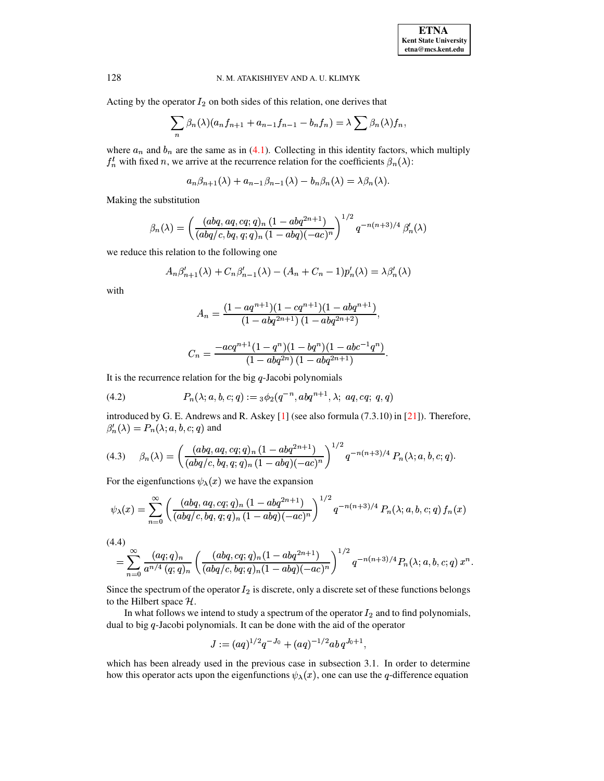Acting by the operator  $I_2$  on both sides of this relation, one derives that

$$
\sum_{n} \beta_n(\lambda)(a_n f_{n+1} + a_{n-1} f_{n-1} - b_n f_n) = \lambda \sum_{n} \beta_n(\lambda) f_n,
$$

where  $a_n$  and  $b_n$  are the same as in (4.1). Collecting in this identity factors, which multiply  $f_n^l$  with fixed n, we arrive at the recurrence relation for the coefficients  $\beta_n(\lambda)$ :

$$
a_n \beta_{n+1}(\lambda) + a_{n-1} \beta_{n-1}(\lambda) - b_n \beta_n(\lambda) = \lambda \beta_n(\lambda).
$$

Making the substitution

$$
\beta_n(\lambda) = \left( \frac{(abq, aq, cq; q)_n (1 - abq^{2n+1})}{(abq/c, bq, q; q)_n (1 - abq)(-ac)^n} \right)^{1/2} q^{-n(n+3)/4} \beta'_n(\lambda)
$$

we reduce this relation to the following one

$$
A_n \beta'_{n+1}(\lambda) + C_n \beta'_{n-1}(\lambda) - (A_n + C_n - 1) p'_n(\lambda) = \lambda \beta'_n(\lambda)
$$

with

$$
A_n = \frac{(1 - aq^{n+1})(1 - cq^{n+1})(1 - abq^{n+1})}{(1 - abq^{2n+1})(1 - abq^{2n+2})},
$$

<span id="page-20-2"></span>
$$
C_n = \frac{-acq^{n+1}(1-q^n)(1-bq^n)(1-abc^{-1}q^n)}{(1-abq^{2n})(1-abq^{2n+1})}.
$$

It is the recurrence relation for the big  $q$ -Jacobi polynomials

(4.2) 
$$
P_n(\lambda; a, b, c; q) := {}_3\phi_2(q^{-n}, abq^{n+1}, \lambda; aq, cq; q, q)
$$

<span id="page-20-0"></span>introduced by G. E. Andrews and R. Askey [1] (see also formula (7.3.10) in [21]). Therefore,  $\beta'_n(\lambda) = P_n(\lambda; a, b, c; q)$  and

$$
(4.3) \quad \beta_n(\lambda) = \left(\frac{(abq, aq, cq; q)_n (1 - abq^{2n+1})}{(abq/c, bq, q; q)_n (1 - abq)(-ac)^n}\right)^{1/2} q^{-n(n+3)/4} P_n(\lambda; a, b, c; q).
$$

For the eigenfunctions  $\psi_{\lambda}(x)$  we have the expansion

$$
\psi_{\lambda}(x) = \sum_{n=0}^{\infty} \left( \frac{(abq, aq, cq; q)_n (1 - abq^{2n+1})}{(abq/c, bq, q; q)_n (1 - abq)(-ac)^n} \right)^{1/2} q^{-n(n+3)/4} P_n(\lambda; a, b, c; q) f_n(x)
$$

<span id="page-20-1"></span>
$$
(4.4)
$$

$$
= \sum_{n=0}^{\infty} \frac{(aq;q)_n}{a^{n/4} (q;q)_n} \left( \frac{(abq,cq;q)_n (1-abq^{2n+1})}{(abq/c, bq;q)_n (1-abq)(-ac)^n} \right)^{1/2} q^{-n(n+3)/4} P_n(\lambda;a,b,c;q) x^n.
$$

Since the spectrum of the operator  $I_2$  is discrete, only a discrete set of these functions belongs to the Hilbert space  $H$ .

In what follows we intend to study a spectrum of the operator  $I_2$  and to find polynomials, dual to big  $q$ -Jacobi polynomials. It can be done with the aid of the operator

$$
J:=(aq)^{1/2}q^{-J_0}+(aq)^{-1/2}ab\,q^{J_0+1},
$$

which has been already used in the previous case in subsection 3.1. In order to determine how this operator acts upon the eigenfunctions  $\psi_{\lambda}(x)$ , one can use the q-difference equation

128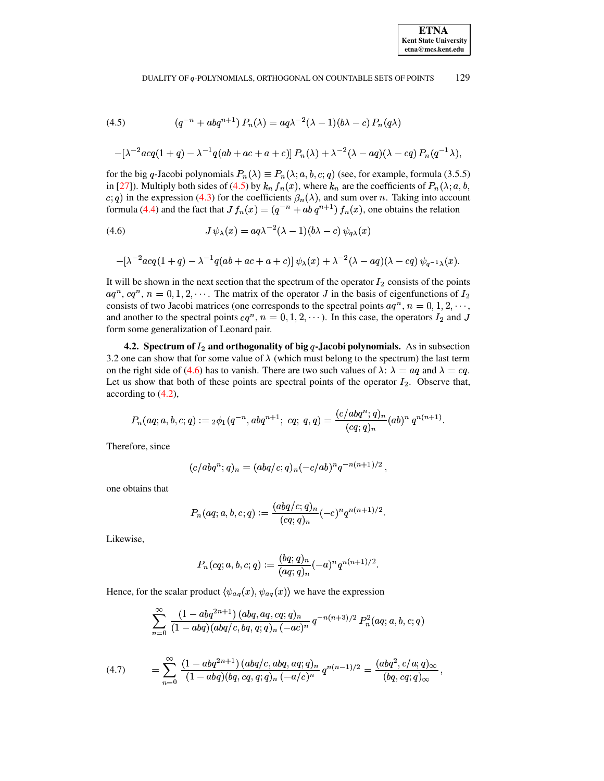<span id="page-21-0"></span>(4.5) 
$$
(q^{-n} + abq^{n+1}) P_n(\lambda) = aq\lambda^{-2}(\lambda - 1)(b\lambda - c) P_n(q\lambda)
$$

$$
-[\lambda^{-2}acq(1+q) - \lambda^{-1}q(ab + ac + a + c)] P_n(\lambda) + \lambda^{-2}(\lambda - aq)(\lambda - cq) P_n(q^{-1}\lambda),
$$

for the big q-Jacobi polynomials  $P_n(\lambda) \equiv P_n(\lambda; a, b, c; q)$  (see, for example, formula (3.5.5) in [\[27\]](#page-72-13)). Multiply both sides of [\(4.5\)](#page-21-0) by  $k_n f_n(x)$ , where  $k_n$  are the coefficients of  $P_n(\lambda; a, b, \lambda)$ c; q) in the expression [\(4.3\)](#page-20-0) for the coefficients  $\beta_n(\lambda)$ , and sum over n. Taking into account formula [\(4.4\)](#page-20-1) and the fact that  $Jf_n(x) = (q^{-n} + ab q^{n+1}) f_n(x)$ , one obtains the relation

(4.6) 
$$
J \psi_{\lambda}(x) = aq\lambda^{-2}(\lambda - 1)(b\lambda - c) \psi_{q\lambda}(x)
$$

<span id="page-21-1"></span>
$$
-[\lambda^{-2}acq(1+q)-\lambda^{-1}q(ab+ac+a+c)]\psi_{\lambda}(x)+\lambda^{-2}(\lambda-aq)(\lambda-cq)\psi_{q^{-1}\lambda}(x).
$$

It will be shown in the next section that the spectrum of the operator  $I_2$  consists of the points  $aq^n$ ,  $cq^n$ ,  $n = 0, 1, 2, \cdots$ . The matrix of the operator J in the basis of eigenfunctions of  $I_2$ consists of two Jacobi matrices (one corresponds to the spectral points  $aq^n$ ,  $n = 0, 1, 2, \dots$ , and another to the spectral points  $cq^n$ ,  $n = 0, 1, 2, \cdots$ ). In this case, the operators  $I_2$  and J form some generalization of Leonard pair.

**4.2.** Spectrum of  $I_2$  and orthogonality of big  $q$ -Jacobi polynomials. As in subsection 3.2 one can show that for some value of  $\lambda$  (which must belong to the spectrum) the last term on the right side of [\(4.6\)](#page-21-1) has to vanish. There are two such values of  $\lambda$ :  $\lambda = aq$  and  $\lambda = cq$ . Let us show that both of these points are spectral points of the operator  $I_2$ . Observe that, according to [\(4.2\)](#page-20-2),

$$
P_n(aq;a,b,c;q):={}_2\phi_1(q^{-n},abq^{n+1};\;cq;\;q,q)={\frac{(c/abq^n;q)_n}{(cq;q)_n}}(ab)^n\,q^{n(n+1)}.
$$

Therefore, since

$$
(c/abq^n;q)_n = (abq/c;q)_n(-c/ab)^n q^{-n(n+1)/2} \,,
$$

one obtains that

$$
P_n(aq;a,b,c;q):=\frac{(abq/c;q)_n}{(cq;q)_n}(-c)^nq^{n(n+1)/2}.
$$

Likewise,

$$
P_n(cq;a,b,c;q):=\frac{(bq;q)_n}{(aq;q)_n}(-a)^nq^{n(n+1)/2}.
$$

Hence, for the scalar product  $\langle \psi_{aq}(x), \psi_{aq}(x) \rangle$  we have the expression

$$
\sum _{n=0}^{\infty } \, \frac{(1-abq^{2n+1}) \,(abq,aq,cq;q)_n}{(1-abq)(abq/c,bq,q;q)_n \,(-ac)^n} \, q^{-n(n+3)/2} \, P^2_n(aq;a,b,c;q)
$$

<span id="page-21-2"></span>
$$
(4.7) \qquad = \sum_{n=0}^{\infty} \frac{(1-abq^{2n+1}) (abq/c, abq, aq;q)_n}{(1-abq)(bq,cq,q;q)_n (-a/c)^n} q^{n(n-1)/2} = \frac{(abq^2, c/a;q)_{\infty}}{(bq,cq;q)_{\infty}},
$$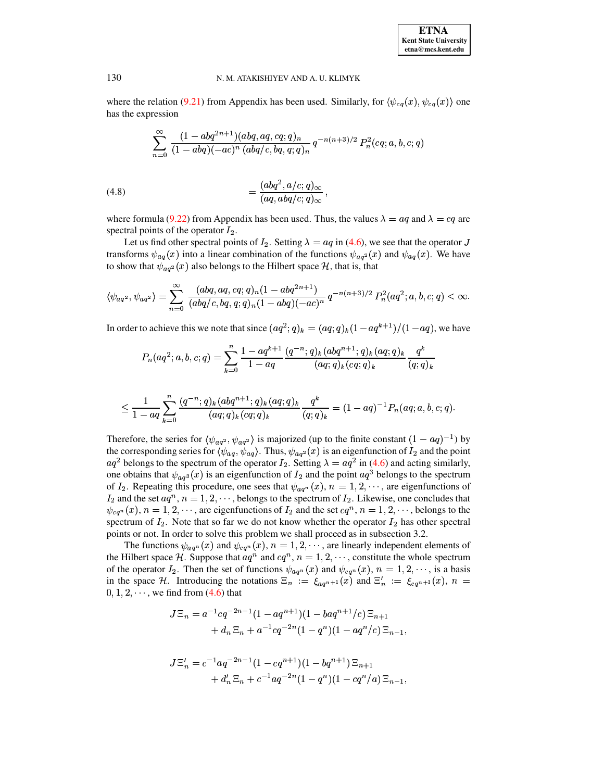where the relation [\(9.21\)](#page-70-1) from Appendix has been used. Similarly, for  $\langle \psi_{cq}(x), \psi_{cq}(x) \rangle$  one has the expression

$$
\sum _{n=0}^{\infty } \frac{(1-abq^{2n+1})(abq,aq,cq;q)_n}{(1-abq)(-ac)^n \, (abq/c,bq,q;q)_n} \, q^{-n(n+3)/2} \, P^2_n(cq;a,b,c;q)
$$

<span id="page-22-0"></span>(4.8) 
$$
= \frac{(abq^2, a/c; q)_{\infty}}{(aq, abq/c; q)_{\infty}},
$$

where formula [\(9.22\)](#page-70-2) from Appendix has been used. Thus, the values  $\lambda = aq$  and  $\lambda = cq$  are spectral points of the operator  $I_2$ .

Let us find other spectral points of  $I_2$ . Setting  $\lambda = aq$  in [\(4.6\)](#page-21-1), we see that the operator transforms  $\psi_{aq}(x)$  into a linear combination of the functions  $\psi_{aq^2}(x)$  and  $\psi_{aq}(x)$ . We have to show that  $\psi_{aq^2}(x)$  also belongs to the Hilbert space H, that is, that

$$
\langle \psi_{aq^2}, \psi_{aq^2} \rangle = \sum_{n=0}^{\infty} \frac{(abq,aq,cq;q)_n (1-abq^{2n+1})}{(abq/c, bq,q;q)_n (1-abq)(-ac)^n} q^{-n(n+3)/2} P_n^2(aq^2;a,b,c;q) < \infty.
$$

In order to achieve this we note that since  $(aq^2; q)_k = (aq; q)_k (1 - aq^{k+1})/(1 - aq)$ , we have

$$
P_n(aq^2; a, b, c; q) = \sum_{k=0}^n \frac{1 - aq^{k+1}}{1 - aq} \frac{(q^{-n}; q)_k (abq^{n+1}; q)_k (aq; q)_k}{(aq;q)_k (cq;q)_k} \frac{q^k}{(q;q)_k}
$$

$$
\leq \frac{1}{1-aq}\sum_{k=0}^n\frac{(q^{-n};q)_k(abq^{n+1};q)_k(aq;q)_k}{(aq;q)_k(cq;q)_k}\frac{q^k}{(q;q)_k}=(1-aq)^{-1}P_n(aq;a,b,c;q).
$$

Therefore, the series for  $\langle \psi_{aq^2}, \psi_{aq^2} \rangle$  is majorized (up to the finite constant  $(1 - aq)^{-1}$ ) by the corresponding series for  $\langle \psi_{aq}, \psi_{aq} \rangle$ . Thus,  $\psi_{aq^2}(x)$  is an eigenfunction of  $I_2$  and the point  $aq^2$  belongs to the spectrum of the operator  $I_2$ . Setting  $\lambda = aq^2$  in [\(4.6\)](#page-21-1) and acting similarly, one obtains that  $\psi_{a\sigma^3}(x)$  is an eigenfunction of  $I_2$  and the point  $aq^3$  belongs to the spectrum of  $I_2$ . Repeating this procedure, one sees that  $\psi_{aq^n}(x)$ ,  $n = 1, 2, \dots$ , are eigenfunctions of  $\mathbf{a}$  defined as  $\mathbf{a}$  and  $\mathbf{a}$  and  $\mathbf{a}$  and  $\mathbf{a}$  and  $\mathbf{a}$  and  $\mathbf{a}$  and  $\mathbf{a}$  and  $\mathbf{a}$  and  $\mathbf{a}$  and  $\mathbf{a}$  and  $\mathbf{a}$  and  $\mathbf{a}$  and  $\mathbf{a}$  and  $\mathbf{a}$  and  $\mathbf{a}$  and  $\mathbf{a$  $I_2$  and the set  $aq^n$ ,  $n = 1, 2, \dots$ , belongs to the spectrum of  $I_2$ . Likewise, one concludes that  $\psi_{cq^n}(x)$ ,  $n = 1, 2, \cdots$ , are eigenfunctions of  $I_2$  and the set  $cq^n$ ,  $n = 1, 2, \cdots$ , belongs to the spectrum of  $I_2$ . Note that so far we do not know whether the operator  $I_2$  has other spectral points or not. In order to solve this problem we shall proceed as in subsection 3.2.

The functions  $\psi_{aq^n}(x)$  and  $\psi_{cq^n}(x)$ ,  $n = 1, 2, \dots$ , are linearly independent elements of the Hilbert space H. Suppose that  $aq^n$  and  $cq^n$ ,  $n = 1, 2, \dots$ , constitute the whole spectrum of the operator  $I_2$ . Then the set of functions  $\psi_{aq^n}(x)$  and  $\psi_{cq^n}(x)$ ,  $n = 1, 2, \dots$ , is a basis in the space H. Introducing the notations  $\Xi_n := \xi_{aq^{n+1}}(x)$  and  $\Xi'_n := \xi_{cq^{n+1}}(x)$ ,  $n =$  $0, 1, 2, \dots$ , we find from [\(4.6\)](#page-21-1) that

$$
J\Xi_n = a^{-1}cq^{-2n-1}(1-aq^{n+1})(1-baq^{n+1}/c)\Xi_{n+1} + d_n \Xi_n + a^{-1}cq^{-2n}(1-q^n)(1-aq^n/c)\Xi_{n-1},
$$

$$
J\Xi'_n = c^{-1}aq^{-2n-1}(1 - cq^{n+1})(1 - bq^{n+1})\Xi_{n+1}
$$
  
+ 
$$
d'_n \Xi_n + c^{-1}aq^{-2n}(1 - q^n)(1 - cq^n/a)\Xi_{n-1},
$$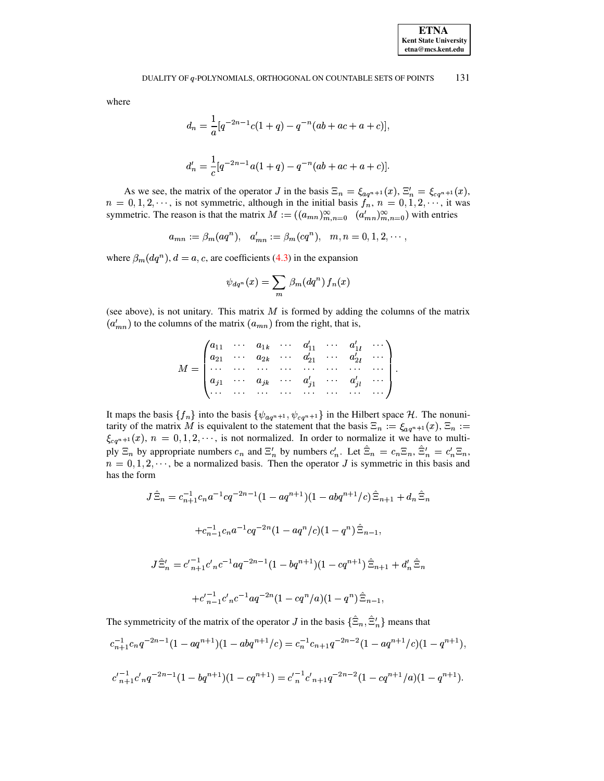where

$$
d_n = \frac{1}{a} [q^{-2n-1}c(1+q) - q^{-n}(ab + ac + a + c)],
$$
  

$$
d'_n = \frac{1}{c} [q^{-2n-1}a(1+q) - q^{-n}(ab + ac + a + c)].
$$

As we see, the matrix of the operator J in the basis  $\Xi_n = \xi_{aq^{n+1}}(x)$ ,  $\Xi'_n = \xi_{cq^{n+1}}(x)$ ,  $n = 0, 1, 2, \dots$ , is not symmetric, although in the initial basis  $f_n$ ,  $n = 0, 1, 2, \dots$ , it was symmetric. The reason is that the matrix  $M := ((a_{mn})_{m,n=0}^{\infty} (a'_{mn})_{m,n=0}^{\infty})$  with entries

 $a_{mn} := \beta_m(aq^n), \ \ a'_{mn} := \beta_m(cq^n), \ \ m, n = 0, 1, 2, \cdots,$ 

where  $\beta_m(dq^n)$ ,  $d = a, c$ , are coefficients (4.3) in the expansion

$$
\psi_{dq^n}(x) = \sum_m \beta_m(dq^n) f_n(x)
$$

(see above), is not unitary. This matrix  $M$  is formed by adding the columns of the matrix  $(a'_{mn})$  to the columns of the matrix  $(a_{mn})$  from the right, that is,

$$
M = \begin{pmatrix} a_{11} & \cdots & a_{1k} & \cdots & a'_{11} & \cdots & a'_{1l} & \cdots \\ a_{21} & \cdots & a_{2k} & \cdots & a'_{21} & \cdots & a'_{2l} & \cdots \\ \cdots & \cdots & \cdots & \cdots & \cdots & \cdots & \cdots \\ a_{j1} & \cdots & a_{jk} & \cdots & a'_{j1} & \cdots & a'_{jl} & \cdots \\ \cdots & \cdots & \cdots & \cdots & \cdots & \cdots & \cdots & \cdots \end{pmatrix}.
$$

It maps the basis  $\{f_n\}$  into the basis  $\{\psi_{aq^{n+1}}, \psi_{cq^{n+1}}\}$  in the Hilbert space H. The nonunitarity of the matrix M is equivalent to the statement that the basis  $\Xi_n := \xi_{aq^{n+1}}(x)$ ,  $\Xi_n :=$  $\xi_{cq^{n+1}}(x)$ ,  $n = 0, 1, 2, \dots$ , is not normalized. In order to normalize it we have to multiply  $\Xi_n$  by appropriate numbers  $c_n$  and  $\Xi'_n$  by numbers  $c'_n$ . Let  $\hat{\Xi}_n = c_n \Xi_n$ ,  $\hat{\Xi}'_n = c'_n \Xi_n$ ,  $n = 0, 1, 2, \dots$ , be a normalized basis. Then the operator J is symmetric in this basis and has the form

$$
J\hat{\Xi}_n = c_{n+1}^{-1}c_n a^{-1}cq^{-2n-1}(1 - aq^{n+1})(1 - abq^{n+1}/c)\hat{\Xi}_{n+1} + d_n\hat{\Xi}_n
$$
  
+
$$
c_{n-1}^{-1}c_n a^{-1}cq^{-2n}(1 - aq^n/c)(1 - q^n)\hat{\Xi}_{n-1},
$$
  

$$
J\hat{\Xi}'_n = c'_{n+1}^{-1}c'_nc^{-1}aq^{-2n-1}(1 - bq^{n+1})(1 - cq^{n+1})\hat{\Xi}_{n+1} + d'_n\hat{\Xi}_n
$$
  
+
$$
c'_{n-1}^{-1}c'_nc^{-1}aq^{-2n}(1 - cq^n/a)(1 - q^n)\hat{\Xi}_{n-1},
$$

The symmetricity of the matrix of the operator J in the basis  $\{\hat{\Xi}_n, \hat{\Xi}'_n\}$  means that

$$
c_{n+1}^{-1}c_nq^{-2n-1}(1-aq^{n+1})(1-abq^{n+1}/c) = c_n^{-1}c_{n+1}q^{-2n-2}(1-aq^{n+1}/c)(1-q^{n+1}),
$$
  

$$
c'_{n+1}c'_{n}q^{-2n-1}(1-bq^{n+1})(1-cq^{n+1}) = c'_{n}^{-1}c'_{n+1}q^{-2n-2}(1-cq^{n+1}/a)(1-q^{n+1}).
$$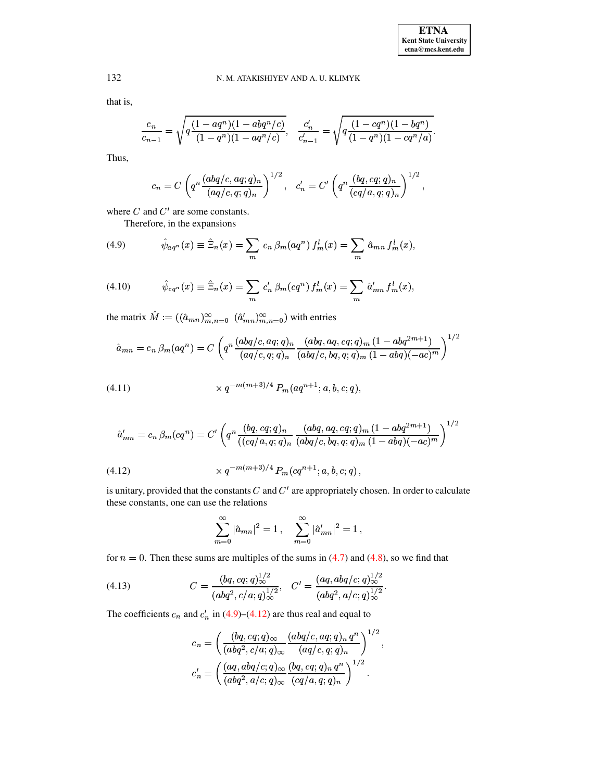that is,

$$
\frac{c_n}{c_{n-1}} = \sqrt{q \frac{(1-aq^n)(1-abq^n/c)}{(1-q^n)(1-aq^n/c)}}, \quad \frac{c'_n}{c'_{n-1}} = \sqrt{q \frac{(1-cq^n)(1-bq^n)}{(1-q^n)(1-cq^n/a)}}.
$$

Thus,

$$
c_n = C \left( q^n \frac{(abq/c, aq; q)_n}{(aq/c, q; q)_n} \right)^{1/2}, \quad c'_n = C' \left( q^n \frac{(bq, cq; q)_n}{(cq/a, q; q)_n} \right)^{1/2},
$$

where  $C$  and  $C'$  are some constants.

<span id="page-24-0"></span>Therefore, in the expansions

(4.9) 
$$
\hat{\psi}_{aq^n}(x) \equiv \hat{\Xi}_n(x) = \sum_m c_n \,\beta_m(aq^n) \, f_m^l(x) = \sum_m \hat{a}_{mn} \, f_m^l(x),
$$

(4.10) 
$$
\hat{\psi}_{cq^n}(x) \equiv \hat{\Xi}_n(x) = \sum_m c'_n \,\beta_m(cq^n) \, f_m^l(x) = \sum_m \hat{a}'_{mn} \, f_m^l(x),
$$

the matrix  $\hat{M} := ((\hat{a}_{mn})_{m,n=0}^{\infty} \hat{a}_{mn}^{\prime})_{m,n=0}^{\infty})$  with entries

$$
\hat{a}_{mn} = c_n \beta_m(aq^n) = C \left( q^n \frac{(abq/c, aq; q)_n}{(aq/c, q; q)_n} \frac{(abq, aq, cq; q)_m (1 - abq^{2m+1})}{(abq/c, bq, q; q)_m (1 - abq)(-ac)^m} \right)^{1/2}
$$

(4.11) 
$$
\times q^{-m(m+3)/4} P_m(aq^{n+1}; a, b, c; q),
$$

<span id="page-24-1"></span>
$$
\hat{a}'_{mn} = c_n \beta_m(cq^n) = C' \left( q^n \frac{(bq, cq; q)_n}{((cq/a, q; q)_n} \frac{(abq, aq, cq; q)_m (1 - abq^{2m+1})}{(abq/c, bq, q; q)_m (1 - abq)(-ac)^m} \right)^{1/2}
$$
\n
$$
\times q^{-m(m+3)/4} P_m(cq^{n+1}; a, b, c; q),
$$
\n(4.12)

is unitary, provided that the constants  $C$  and  $C'$  are appropriately chosen. In order to calculate these constants, one can use the relations

<span id="page-24-2"></span>
$$
\sum_{m=0}^{\infty} |\hat{a}_{mn}|^2 = 1, \quad \sum_{m=0}^{\infty} |\hat{a}'_{mn}|^2 = 1,
$$

for  $n = 0$ . Then these sums are multiples of the sums in (4.7) and (4.8), so we find that

(4.13) 
$$
C = \frac{(bq, cq; q)\omega^{1/2}}{(abq^2, c/a; q)\omega^{1/2}}, \quad C' = \frac{(aq, abq/c; q)\omega^{1/2}}{(abq^2, a/c; q)\omega^{1/2}}.
$$

The coefficients  $c_n$  and  $c'_n$  in (4.9)–(4.12) are thus real and equal to

$$
c_n = \left(\frac{(bq, cq; q)_{\infty}}{(abq^2, c/a; q)_{\infty}} \frac{(abq/c, aq; q)_n q^n}{(aq/c, q; q)_n}\right)^{1/2},
$$
  

$$
c'_n = \left(\frac{(aq, abq/c; q)_{\infty}}{(abq^2, a/c; q)_{\infty}} \frac{(bq, cq; q)_n q^n}{(cq/a, q; q)_n}\right)^{1/2}.
$$

132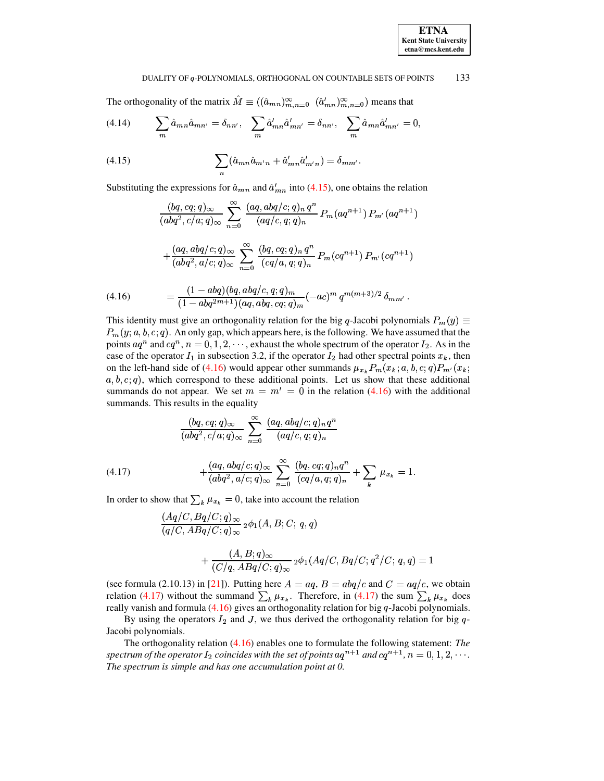$(y) \equiv$ 

#### <span id="page-25-3"></span>133 DUALITY OF q-POLYNOMIALS, ORTHOGONAL ON COUNTABLE SETS OF POINTS

The orthogonality of the matrix  $\hat{M} \equiv ((\hat{a}_{mn})_{m,n=0}^{\infty}$   $(\hat{a}_{mn}')_{m,n=0}^{\infty})$  means that

(4.14) 
$$
\sum_{m} \hat{a}_{mn} \hat{a}_{mn'} = \delta_{nn'}, \sum_{m} \hat{a}'_{mn} \hat{a}'_{mn'} = \delta_{nn'}, \sum_{m} \hat{a}_{mn} \hat{a}'_{mn'} = 0,
$$

<span id="page-25-0"></span>(4.15) 
$$
\sum_{n} (\hat{a}_{mn}\hat{a}_{m'n} + \hat{a}'_{mn}\hat{a}'_{m'n}) = \delta_{mm'}.
$$

Substituting the expressions for  $\hat{a}_{mn}$  and  $\hat{a}'_{mn}$  into (4.15), one obtains the relation

$$
\frac{(bq, cq; q)_{\infty}}{(abq^2, c/a; q)_{\infty}} \sum_{n=0}^{\infty} \frac{(aq, abq/c; q)_n q^n}{(aq/c, q; q)_n} P_m(aq^{n+1}) P_{m'}(aq^{n+1})
$$

$$
+ \frac{(aq, abq/c; q)_{\infty}}{(abq^2, a/c; q)_{\infty}} \sum_{n=0}^{\infty} \frac{(bq, cq; q)_n q^n}{(cq/a, q; q)_n} P_m(cq^{n+1}) P_{m'}(cq^{n+1})
$$

$$
= \frac{(1 - abq)(bq, abq/c, q; q)_m}{(1 - abq^{2m+1})(qa, abq, cq; q)_m} (-ac)^m q^{m(m+3)/2} \delta_{mm'}.
$$

<span id="page-25-1"></span>This identity must give an orthogonality relation for the big q-Jacobi polynomials 
$$
P_m(y) \equiv P_m(y; a, b, c; q)
$$
. An only gap, which appears here, is the following. We have assumed that the points  $aq^n$  and  $cq^n$ ,  $n = 0, 1, 2, \cdots$ , exhaust the whole spectrum of the operator  $I_2$ . As in the case of the operator  $I_1$  in subsection 3.2, if the operator  $I_2$  had other spectral points  $x_k$ , then

on the left-hand side of (4.16) would appear other summands  $\mu_{x_k} P_m(x_k; a, b, c; q) P_{m'}(x_k; a, b, c; q) P_{m'}(x_k; a, b, c; q)$  $a, b, c, q$ , which correspond to these additional points. Let us show that these additional summands do not appear. We set  $m = m' = 0$  in the relation (4.16) with the additional summands. This results in the equality

$$
\frac{(bq,cq;q)_{\infty}}{(abq^2,c/a;q)_{\infty}}\sum_{n=0}^{\infty}\frac{(aq,abq/c;q)_nq^n}{(aq/c,q;q)_n}
$$

<span id="page-25-2"></span>(4.17) 
$$
+\frac{(aq, abq/c;q)_{\infty}}{(abq^2, a/c;q)_{\infty}} \sum_{n=0}^{\infty} \frac{(bq, cq;q)_n q^n}{(cq/a,q;q)_n} + \sum_{k} \mu_{x_k} = 1
$$

In order to show that  $\sum_{k} \mu_{x_k} = 0$ , take into account the relation

$$
\frac{(Aq/C, Bq/C;q)_{\infty}}{(q/C, ABq/C;q)_{\infty}} {}_2\phi_1(A, B; C; q, q)
$$
  
+ 
$$
\frac{(A, B; q)_{\infty}}{(C/q, ABq/C;q)_{\infty}} {}_2\phi_1(Aq/C, Bq/C; q^2/C; q, q) = 1
$$

(see formula (2.10.13) in [21]). Putting here  $A = aq$ ,  $B = abq/c$  and  $C = aq/c$ , we obtain relation (4.17) without the summand  $\sum_{k} \mu_{x_k}$ . Therefore, in (4.17) the sum  $\sum_{k} \mu_{x_k}$  does really vanish and formula  $(4.16)$  gives an orthogonality relation for big  $q$ -Jacobi polynomials.

By using the operators  $I_2$  and J, we thus derived the orthogonality relation for big  $q$ -Jacobi polynomials.

The orthogonality relation  $(4.16)$  enables one to formulate the following statement: The spectrum of the operator  $I_2$  coincides with the set of points  $aq^{n+1}$  and  $cq^{n+1}$ ,  $n = 0, 1, 2, \cdots$ . The spectrum is simple and has one accumulation point at 0.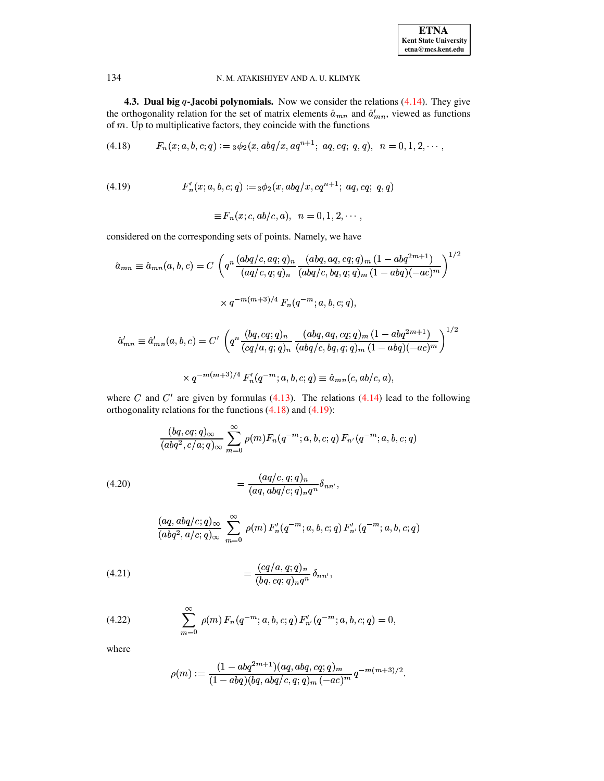| <b>ETNA</b>                  |
|------------------------------|
| <b>Kent State University</b> |
| etna@mcs.kent.edu            |

**4.3. Dual big q-Jacobi polynomials.** Now we consider the relations  $(4.14)$ . They give the orthogonality relation for the set of matrix elements  $\hat{a}_{mn}$  and  $\hat{a}'_{mn}$ , viewed as functions of  $m$ . Up to multiplicative factors, they coincide with the functions

<span id="page-26-1"></span>
$$
(4.18) \tFn(x; a, b, c; q) := {}_3\phi_2(x, abq/x, aq^{n+1}; aq, cq; q, q), \t n = 0, 1, 2, \cdots,
$$

$$
(4.19) \tF'_n(x;a,b,c;q) :=_3\phi_2(x,abq/x,cq^{n+1}; aq,cq; q,q)
$$

<span id="page-26-0"></span>
$$
\equiv F_n(x; c, ab/c, a), \quad n = 0, 1, 2, \cdots,
$$

considered on the corresponding sets of points. Namely, we have

$$
\hat{a}_{mn} \equiv \hat{a}_{mn}(a,b,c) = C \left( q^n \frac{(abq/c, aq;q)_n}{(aq/c, q;q)_n} \frac{(abq, aq, cq;q)_m (1 - abq^{2m+1})}{(abq/c, bq, q;q)_m (1 - abq)(-ac)^m} \right)^{1/2}
$$

$$
\times q^{-m(m+3)/4} F_n(q^{-m}; a, b, c; q),
$$

$$
\hat{a}'_{mn} \equiv \hat{a}'_{mn}(a,b,c) = C' \left( q^n \frac{(bq,cq;q)_n}{(cq/a,q;q)_n} \frac{(abq,aq,cq;q)_m (1-abq^{2m+1})}{(abq/c,bq,q;q)_m (1-abq)(-ac)^m} \right)^{1/2}
$$

$$
\times q^{-m(m+3)/4} F'_n(q^{-m};a,b,c;q) \equiv \hat{a}_{mn}(c,ab/c,a),
$$

where  $C$  and  $C'$  are given by formulas (4.13). The relations (4.14) lead to the following orthogonality relations for the functions  $(4.18)$  and  $(4.19)$ :

$$
\frac{(bq,cq;q)_{\infty}}{(abq^2,c/a;q)_{\infty}}\sum_{m=0}^{\infty}\rho(m)F_n(q^{-m};a,b,c;q) F_{n'}(q^{-m};a,b,c;q)
$$

<span id="page-26-2"></span>
$$
(4.20) \qquad \qquad = \frac{(aq/c, q;q)_n}{(aq, abq/c;q)_nq^n}\delta_{nn'},
$$

$$
\frac{(aq, abq/c;q)_{\infty}}{(abq^2, a/c;q)_{\infty}} \sum_{m=0}^{\infty} \rho(m) F'_n(q^{-m}; a, b, c; q) F'_{n'}(q^{-m}; a, b, c; q)
$$

<span id="page-26-3"></span>(4.21) 
$$
= \frac{(cq/a, q;q)_n}{(bq, cq;q)_nq^n} \delta_{nn'},
$$

<span id="page-26-4"></span>(4.22) 
$$
\sum_{m=0}^{\infty} \rho(m) F_n(q^{-m}; a, b, c; q) F'_{n'}(q^{-m}; a, b, c; q) = 0
$$

where

$$
\rho(m) := \frac{(1 - abq^{2m+1})(aq, abq, cq; q)_m}{(1 - abq)(bq, abq/c, q; q)_m (-ac)^m} q^{-m(m+3)/2}.
$$

134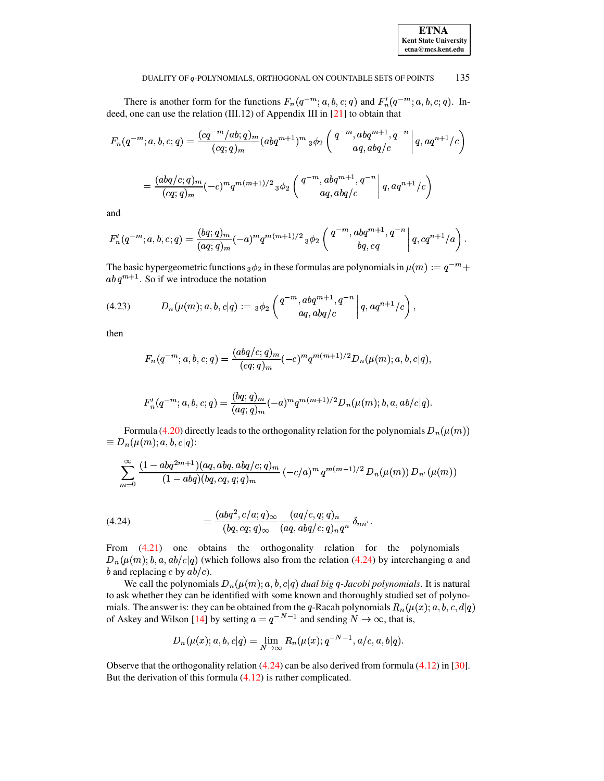| <b>ETNA</b>                  |
|------------------------------|
| <b>Kent State University</b> |
| I<br>etna@mcs.kent.edu       |

There is another form for the functions  $F_n(q^{-m}; a, b, c; q)$  and  $F'_n(q^{-m}; a, b, c; q)$ . Indeed, one can use the relation (III.12) of Appendix III in [21] to obtain that

$$
F_n(q^{-m};a,b,c;q) = \frac{(cq^{-m}/ab;q)_m}{(cq;q)_m} (abq^{m+1})^m{}_3\phi_2 \left(\begin{array}{c} q^{-m},abq^{m+1},q^{-n} \\ aq,abq/c \end{array}\Bigg| q,aq^{n+1}/c\right)
$$

$$
= \frac{(abq/c;q)_m}{(cq;q)_m}(-c)^mq^{m(m+1)/2}{}_3\phi_2 \left(\begin{array}{c} q^{-m},abq^{m+1},q^{-n} \\ aq,abq/c \end{array}\Bigg| q,aq^{n+1}/c\right)
$$

and

$$
F'_n(q^{-m};a,b,c;q) = \frac{(bq;q)_m}{(aq;q)_m}(-a)^mq^{m(m+1)/2} {}_3\phi_2\left(\left.\begin{matrix}q^{-m},abq^{m+1},q^{-n}\\bq,cq\end{matrix}\right|q,cq^{n+1}/a\right).
$$

The basic hypergeometric functions  $_3\phi_2$  in these formulas are polynomials in  $\mu(m) := q^{-m} +$ ab  $q^{m+1}$ . So if we introduce the notation

(4.23) 
$$
D_n(\mu(m); a, b, c | q) := {}_3\phi_2\left(\begin{matrix}q^{-m}, abq^{m+1}, q^{-n} \\ aq, abq/c\end{matrix}\bigg|q, aq^{n+1}/c\right)
$$

then

<span id="page-27-1"></span>
$$
F_n(q^{-m};a,b,c;q) = \frac{(abq/c;q)_m}{(cq;q)_m}(-c)^mq^{m(m+1)/2}D_n(\mu(m);a,b,c|q).
$$

$$
F'_n(q^{-m};a,b,c;q) = \frac{(bq;q)_m}{(aq;q)_m}(-a)^mq^{m(m+1)/2}D_n(\mu(m);b,a,ab/c|q).
$$

Formula (4.20) directly leads to the orthogonality relation for the polynomials  $D_n(\mu(m))$  $\equiv D_n(\mu(m); a, b, c|q)$ :

$$
\sum_{m=0}^{\infty} \frac{(1 - abq^{2m+1})(aq, abq, abq/c;q)_m}{(1 - abq)(bq, cq, q;q)_m} (-c/a)^m q^{m(m-1)/2} D_n(\mu(m)) D_{n'}(\mu(m))
$$

<span id="page-27-0"></span>(4.24) 
$$
= \frac{(abq^2, c/a; q)_{\infty}}{(bq, cq; q)_{\infty}} \frac{(aq/c, q; q)_n}{(aq, abq/c; q)_n q^n} \delta_{nn'}
$$

From  $(4.21)$  one obtains the orthogonality relation for the polynomials  $D_n(\mu(m); b, a, ab/c|q)$  (which follows also from the relation (4.24) by interchanging a and b and replacing c by  $ab/c$ ).

We call the polynomials  $D_n(\mu(m); a, b, c|q)$  dual big q-Jacobi polynomials. It is natural to ask whether they can be identified with some known and thoroughly studied set of polynomials. The answer is: they can be obtained from the q-Racah polynomials  $R_n(\mu(x); a, b, c, d|q)$ of Askey and Wilson [14] by setting  $a = q^{-N-1}$  and sending  $N \to \infty$ , that is,

$$
D_n(\mu(x);a,b,c|q)=\lim_{N\to\infty}R_n(\mu(x);q^{-N-1},a/c,a,b|q).
$$

Observe that the orthogonality relation  $(4.24)$  can be also derived from formula  $(4.12)$  in [30]. But the derivation of this formula  $(4.12)$  is rather complicated.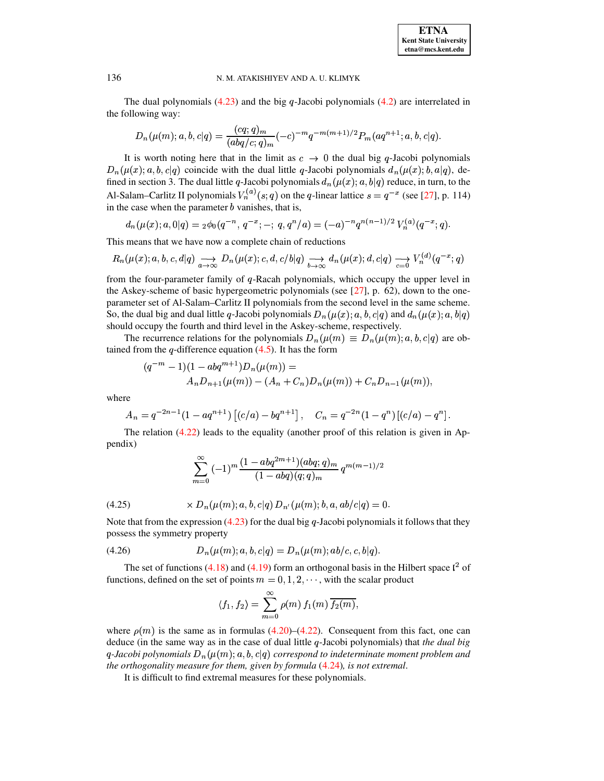The dual polynomials  $(4.23)$  and the big q-Jacobi polynomials  $(4.2)$  are interrelated in the following way:

$$
D_n(\mu(m);a,b,c|q) = \frac{(cq;q)_m}{(abq/c;q)_m}(-c)^{-m}q^{-m(m+1)/2}P_m(aq^{n+1};a,b,c|q).
$$

It is worth noting here that in the limit as  $c \rightarrow 0$  the dual big q-Jacobi polynomials  $D_n(\mu(x); a, b, c|q)$  coincide with the dual little q-Jacobi polynomials  $d_n(\mu(x); b, a|q)$ , defined in section 3. The dual little q-Jacobi polynomials  $d_n(\mu(x); a, b|q)$  reduce, in turn, to the Al-Salam–Carlitz II polynomials  $V_n^{(a)}(s;q)$  on the q-linear lattice  $s = q^{-x}$  (see [27], p. 114) in the case when the parameter  $b$  vanishes, that is,

$$
d_n(\mu(x); a, 0|q) = {}_2\phi_0(q^{-n}, q^{-x}; -; q, q^n/a) = (-a)^{-n} q^{n(n-1)/2} V_n^{(a)}(q^{-x}; q).
$$

This means that we have now a complete chain of reductions

$$
R_n(\mu(x); a, b, c, d | q) \underset{a \to \infty}{\longrightarrow} D_n(\mu(x); c, d, c | b | q) \underset{b \to \infty}{\longrightarrow} d_n(\mu(x); d, c | q) \underset{c=0}{\longrightarrow} V_n^{(d)}(q^{-x}; q)
$$

from the four-parameter family of  $q$ -Racah polynomials, which occupy the upper level in the Askey-scheme of basic hypergeometric polynomials (see  $[27]$ , p. 62), down to the oneparameter set of Al-Salam-Carlitz II polynomials from the second level in the same scheme. So, the dual big and dual little q-Jacobi polynomials  $D_n(\mu(x); a, b, c|q)$  and  $d_n(\mu(x); a, b|q)$ should occupy the fourth and third level in the Askey-scheme, respectively.

The recurrence relations for the polynomials  $D_n(\mu(m) \equiv D_n(\mu(m); a, b, c|q)$  are obtained from the  $q$ -difference equation  $(4.5)$ . It has the form

$$
(q^{-m}-1)(1-abq^{m+1})D_n(\mu(m)) =
$$
  

$$
A_n D_{n+1}(\mu(m)) - (A_n + C_n)D_n(\mu(m)) + C_n D_{n-1}(\mu(m)),
$$

where

$$
A_n = q^{-2n-1}(1 - aq^{n+1}) [(c/a) - bq^{n+1}], \quad C_n = q^{-2n}(1 - q^n) [(c/a) - q^n].
$$

The relation  $(4.22)$  leads to the equality (another proof of this relation is given in Appendix)

$$
\sum _{m=0}^{\infty } \, (-1)^m \frac{(1-abq^{2m+1})(abq;q)_m}{(1-abq)(q;q)_m} \, q^{m(m-1)/2}
$$

(4.25) 
$$
\times D_n(\mu(m); a, b, c|q) D_{n'}(\mu(m); b, a, ab/c|q) = 0.
$$

<span id="page-28-0"></span>Note that from the expression  $(4.23)$  for the dual big q-Jacobi polynomials it follows that they possess the symmetry property

(4.26) 
$$
D_n(\mu(m); a, b, c|q) = D_n(\mu(m); ab/c, c, b|q).
$$

The set of functions (4.18) and (4.19) form an orthogonal basis in the Hilbert space  $l^2$  of functions, defined on the set of points  $m = 0, 1, 2, \dots$ , with the scalar product

$$
\langle f_1, f_2 \rangle = \sum_{m=0}^{\infty} \rho(m) f_1(m) \overline{f_2(m)},
$$

where  $\rho(m)$  is the same as in formulas (4.20)–(4.22). Consequent from this fact, one can deduce (in the same way as in the case of dual little  $q$ -Jacobi polynomials) that the dual big q-Jacobi polynomials  $D_n(\mu(m); a, b, c|q)$  correspond to indeterminate moment problem and the orthogonality measure for them, given by formula  $(4.24)$ , is not extremal.

It is difficult to find extremal measures for these polynomials.

136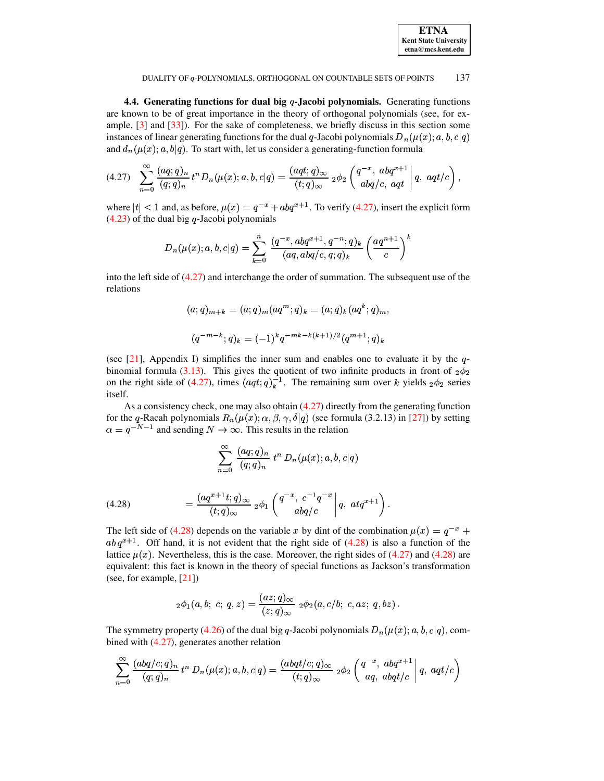<span id="page-29-0"></span>

| <b>ETNA</b>                  |
|------------------------------|
| <b>Kent State University</b> |
| etna@mcs.kent.edu            |

**4.4. Generating functions for dual big -Jacobi polynomials.** Generating functions are known to be of great importance in the theory of orthogonal polynomials (see, for example, [\[3\]](#page-71-1) and [\[33\]](#page-72-25)). For the sake of completeness, we briefly discuss in this section some instances of linear generating functions for the dual q-Jacobi polynomials  $D_n(\mu(x); a, b, c|q)$ and  $d_n(\mu(x); a, b|q)$ . To start with, let us consider a generating-function formula

$$
(4.27) \quad \sum_{n=0}^{\infty} \frac{(aq;q)_n}{(q;q)_n} t^n D_n(\mu(x);a,b,c|q) = \frac{(aqt;q)_{\infty}}{(t;q)_{\infty}} 2\phi_2 \left( \frac{q^{-x}, abq^{x+1}}{abq/c, aqt} \Big| q, aqt/c \right),
$$

where  $|t| < 1$  and, as before,  $\mu(x) = q^{-x} + abq^{x+1}$ . To verify [\(4.27\)](#page-29-0), insert the explicit form  $(4.23)$  of the dual big q-Jacobi polynomials

$$
D_{n}(\mu(x); a, b, c | q) = \sum_{k=0}^{n} \frac{(q^{-x}, abq^{x+1}, q^{-n}; q)_{k}}{(aq, abq/c, q; q)_{k}} \left(\frac{aq^{n+1}}{c}\right)^{k}
$$

into the left side of [\(4.27\)](#page-29-0) and interchange the order of summation. The subsequent use of the relations

$$
(a;q)_{m+k} = (a;q)_m (aq^m;q)_k = (a;q)_k (aq^k;q)_m,
$$
  

$$
(q^{-m-k};q)_k = (-1)^k q^{-mk-k(k+1)/2} (q^{m+1};q)_k
$$

(see [\[21\]](#page-72-5), Appendix I) simplifies the inner sum and enables one to evaluate it by the  $q$ -binomial formula [\(3.13\)](#page-17-2). This gives the quotient of two infinite products in front of  $_2\phi_2$  on the right side of [\(4.27\)](#page-29-0), times  $(aqt;q)_k^{-1}$ . The remaining sum over k yields  $_2\phi_2$  series itself.

As a consistency check, one may also obtain  $(4.27)$  directly from the generating function for the q-Racah polynomials  $R_n(\mu(x); \alpha, \beta, \gamma, \delta|q)$  (see formula (3.2.13) in [\[27\]](#page-72-13)) by setting  $\alpha = q^{-N-1}$  and sending  $N \to \infty$ . This results in the relation

$$
\sum_{n=0}^\infty \,\frac{(a q;q)_n}{(q;q)_n}\,\, t^n\,D_n(\mu(x);a,b,c|q)
$$

<span id="page-29-1"></span>(4.28) 
$$
= \frac{(aq^{x+1}t;q)_{\infty}}{(t;q)_{\infty}} 2\phi_1 \left( \begin{array}{c} q^{-x}, c^{-1}q^{-x} \\ abq/c \end{array} \middle| q, at q^{x+1} \right).
$$

The left side of [\(4.28\)](#page-29-1) depends on the variable x by dint of the combination  $\mu(x) = q^{-x}$  +  $ab\,q^{x+1}$ . Off hand, it is not evident that the right side of [\(4.28\)](#page-29-1) is also a function of the lattice  $\mu(x)$ . Nevertheless, this is the case. Moreover, the right sides of [\(4.27\)](#page-29-0) and [\(4.28\)](#page-29-1) are equivalent: this fact is known in the theory of special functions as Jackson's transformation (see, for example, [\[21\]](#page-72-5))

$$
{}_2\phi_1(a,b;\; c;\; q,z) = \frac{(az;q)_\infty}{(z;q)_\infty}\ {}_2\phi_2(a,c/b;\; c,az;\; q,bz)\,.
$$

The symmetry property [\(4.26\)](#page-28-0) of the dual big q-Jacobi polynomials  $D_n(\mu(x); a, b, c|q)$ , combined with [\(4.27\)](#page-29-0), generates another relation

$$
\sum _{n=0}^\infty \frac{(abq/c;q)_n}{(q;q)_n}\, t^n\, D_n(\mu(x);a,b,c|q)=\frac{(abqt/c;q)_\infty}{(t;q)_\infty}\,\, {}_2\phi_2\left(\frac{q^{-x},\,\, abq^{x+1}}{aq,\,\, abqt/c}\right|q,\,\, aqt/c\right)
$$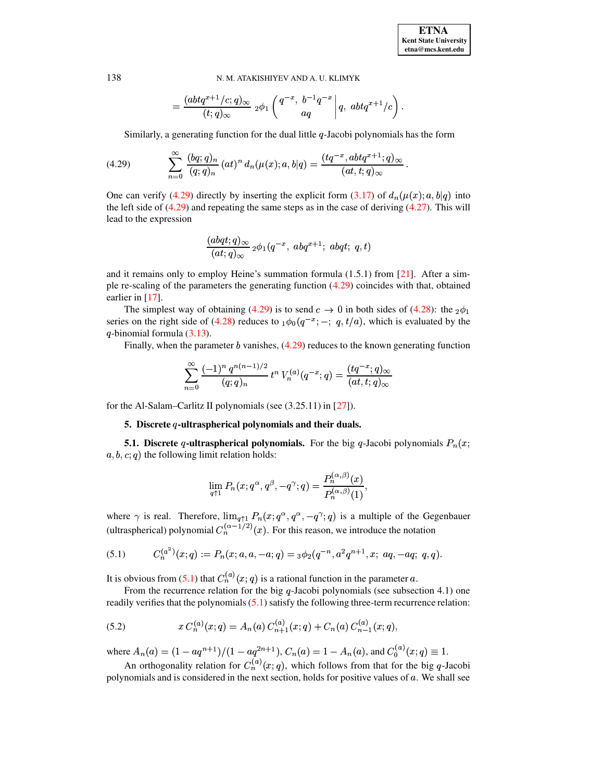$$
=\frac{(abtq^{x+1}/c;q)_\infty}{(t;q)_\infty}\ _2\phi_1\left(\frac{q^{-x}}{aq},\ \frac{b^{-1}q^{-x}}{aq}\ \middle|\ q,\ abtq^{x+1}/c\right).
$$

Similarly, a generating function for the dual little  $q$ -Jacobi polynomials has the form

(4.29) 
$$
\sum_{n=0}^{\infty} \frac{(bq;q)_n}{(q;q)_n} (at)^n d_n(\mu(x);a,b|q) = \frac{(tq^{-x}, abtq^{x+1};q)_{\infty}}{(at,t;q)_{\infty}}.
$$

One can verify [\(4.29\)](#page-30-0) directly by inserting the explicit form [\(3.17\)](#page-18-1) of  $d_n(\mu(x); a, b|q)$  into the left side of  $(4.29)$  and repeating the same steps as in the case of deriving  $(4.27)$ . This will lead to the expression

<span id="page-30-0"></span>
$$
\frac{(abqt;q)_\infty}{(at;q)_\infty}{_2\phi_1(q^{-x},\,abq^{x+1};\,abqt;\,q,t)}
$$

and it remains only to employ Heine's summation formula  $(1.5.1)$  from  $[21]$ . After a simple re-scaling of the parameters the generating function [\(4.29\)](#page-30-0) coincides with that, obtained earlier in [\[17\]](#page-72-21).

The simplest way of obtaining [\(4.29\)](#page-30-0) is to send  $c \to 0$  in both sides of [\(4.28\)](#page-29-1): the  $_2\phi_1$ series on the right side of [\(4.28\)](#page-29-1) reduces to  $_1\phi_0(q^{-x};-; q, t/a)$ , which is evaluated by the  $q$ -binomial formula  $(3.13)$ .

Finally, when the parameter  $b$  vanishes,  $(4.29)$  reduces to the known generating function

$$
\sum_{n=0}^{\infty} \frac{(-1)^n q^{n(n-1)/2}}{(q;q)_n} t^n V_n^{(a)}(q^{-x};q) = \frac{(tq^{-x};q)_{\infty}}{(at,t;q)_{\infty}}
$$

for the Al-Salam–Carlitz II polynomials (see (3.25.11) in [\[27\]](#page-72-13)).

# **5. Discrete -ultraspherical polynomials and their duals.**

**5.1. Discrete** q-**ultraspherical polynomials.** For the big q-Jacobi polynomials  $P_n(x;$  $a, b, c, q$  the following limit relation holds:

$$
\lim_{q\uparrow 1} P_n(x;q^{\alpha},q^{\beta},-q^{\gamma};q)=\frac{P_n^{(\alpha,\beta)}(x)}{P_n^{(\alpha,\beta)}(1)},
$$

<span id="page-30-2"></span><span id="page-30-1"></span> $\lambda$  as

where  $\gamma$  is real. Therefore,  $\lim_{q \uparrow 1} P_n(x; q^\alpha, q^\alpha, -q^\gamma; q)$  is a multiple of the Gegenbauer (ultraspherical) polynomial  $C_n^{(\alpha-1/2)}(x)$ . For this reason, we introduce the notation

(5.1) 
$$
C_n^{(a^2)}(x;q) := P_n(x;a,a,-a;q) = {}_3\phi_2(q^{-n},a^2q^{n+1},x;aq,-aq;q,q).
$$

It is obvious from [\(5.1\)](#page-30-1) that  $C_n^{(a)}(x;q)$  is a rational function in the parameter a.

From the recurrence relation for the big  $q$ -Jacobi polynomials (see subsection 4.1) one readily verifies that the polynomials [\(5.1\)](#page-30-1) satisfy the following three-term recurrence relation:

(5.2) 
$$
x C_n^{(a)}(x;q) = A_n(a) C_{n+1}^{(a)}(x;q) + C_n(a) C_{n-1}^{(a)}(x;q),
$$

where  $A_n(a) = (1 - aq^{n+1})/(1 - aq^{2n+1}), C_n(a) = 1 - A_n(a)$ , and  $C_0^{(a)}(x;q) \equiv 1$ .

An orthogonality relation for  $C_n^{(a)}(x;q)$ , which follows from that for the big q-Jacobi polynomials and is considered in the next section, holds for positive values of  $a$ . We shall see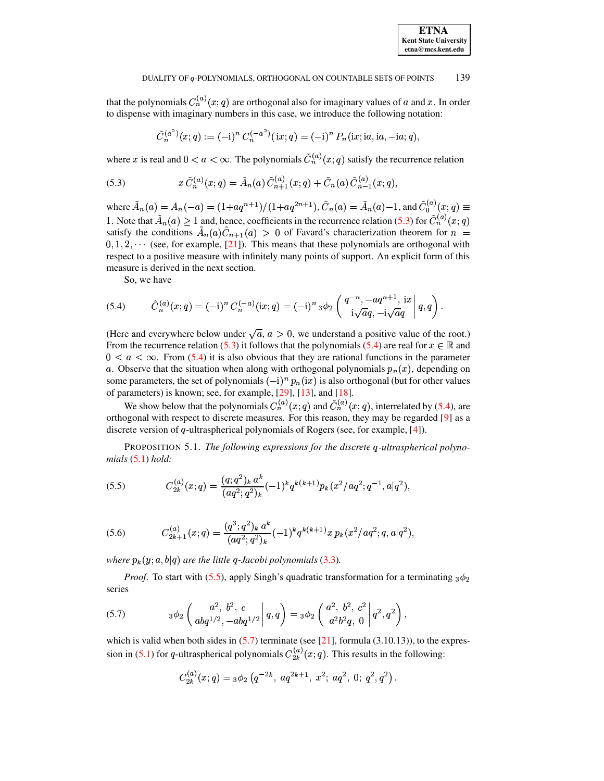that the polynomials  $C_n^{(a)}(x;q)$  are orthogonal also for imaginary values of a and x. In order to dispense with imaginary numbers in this case, we introduce the following notation:

<span id="page-31-0"></span>
$$
\tilde{C}_n^{(a^2)}(x;q) := (-i)^n C_n^{(-a^2)}(ix;q) = (-i)^n P_n(ix;ia,ia,-ia;q).
$$

where x is real and  $0 < a < \infty$ . The polynomials  $\tilde{C}_n^{(a)}(x;q)$  satisfy the recurrence relation

(5.3) 
$$
x \tilde{C}_n^{(a)}(x;q) = \tilde{A}_n(a) \tilde{C}_{n+1}^{(a)}(x;q) + \tilde{C}_n(a) \tilde{C}_{n-1}^{(a)}(x;q),
$$

where  $\tilde{A}_n(a) = A_n(-a) = (1 + aq^{n+1})/(1 + aq^{2n+1}), \tilde{C}_n(a) = \tilde{A}_n(a) - 1$ , and  $\tilde{C}_0^{(a)}(x; q) \equiv$ 1. Note that  $\tilde{A}_n(a) \ge 1$  and, hence, coefficients in the recurrence relation (5.3) for  $\tilde{C}_n^{(a)}(x;q)$ satisfy the conditions  $\tilde{A}_n(a)\tilde{C}_{n+1}(a) > 0$  of Favard's characterization theorem for  $n =$  $0, 1, 2, \cdots$  (see, for example, [21]). This means that these polynomials are orthogonal with respect to a positive measure with infinitely many points of support. An explicit form of this measure is derived in the next section.

<span id="page-31-1"></span>So, we have

(5.4) 
$$
\tilde{C}_n^{(a)}(x;q) = (-i)^n C_n^{(-a)}(ix;q) = (-i)^n {}_3\phi_2 \left( \begin{array}{c} q^{-n}, -aq^{n+1}, ix \\ i\sqrt{a}q, -i\sqrt{a}q \end{array} \bigg| q, q \right)
$$

(Here and everywhere below under  $\sqrt{a}$ ,  $a > 0$ , we understand a positive value of the root.) From the recurrence relation (5.3) it follows that the polynomials (5.4) are real for  $x \in \mathbb{R}$  and  $0 < a < \infty$ . From (5.4) it is also obvious that they are rational functions in the parameter a. Observe that the situation when along with orthogonal polynomials  $p_n(x)$ , depending on some parameters, the set of polynomials  $(-i)^n p_n(ix)$  is also orthogonal (but for other values of parameters) is known; see, for example,  $[29]$ ,  $[13]$ , and  $[18]$ .

We show below that the polynomials  $C_n^{(a)}(x;q)$  and  $\tilde{C}_n^{(a)}(x;q)$ , interrelated by (5.4), are orthogonal with respect to discrete measures. For this reason, they may be regarded [9] as a discrete version of q-ultraspherical polynomials of Rogers (see, for example,  $[4]$ ).

<span id="page-31-2"></span>PROPOSITION 5.1. The following expressions for the discrete q-ultraspherical polynomials  $(5.1)$  hold:

(5.5) 
$$
C_{2k}^{(a)}(x;q) = \frac{(q;q^2)_k a^k}{(aq^2;q^2)_k} (-1)^k q^{k(k+1)} p_k(x^2/aq^2;q^{-1},a|q^2),
$$

<span id="page-31-4"></span>(5.6) 
$$
C_{2k+1}^{(a)}(x;q) = \frac{(q^3;q^2)_k a^k}{(aq^2;q^2)_k}(-1)^k q^{k(k+1)}x p_k(x^2/aq^2;q,a|q^2),
$$

where  $p_k(y; a, b|q)$  are the little q-Jacobi polynomials (3.3).

<span id="page-31-3"></span>*Proof.* To start with (5.5), apply Singh's quadratic transformation for a terminating  $_3\phi_2$ series

(5.7) 
$$
3\phi_2\left(\frac{a^2, b^2, c}{abq^{1/2}, -abq^{1/2}}\middle| q, q\right) = 3\phi_2\left(\frac{a^2, b^2, c^2}{a^2b^2q, 0}\middle| q^2, q^2\right),
$$

which is valid when both sides in  $(5.7)$  terminate (see [21], formula  $(3.10.13)$ ), to the expression in (5.1) for q-ultraspherical polynomials  $C_{2k}^{(a)}(x;q)$ . This results in the following:

$$
C_{2k}^{(a)}(x;q) = 3\phi_2 \left( q^{-2k}, \, aq^{2k+1}, \, x^2; \, aq^2, \, 0; \, q^2, q^2 \right).
$$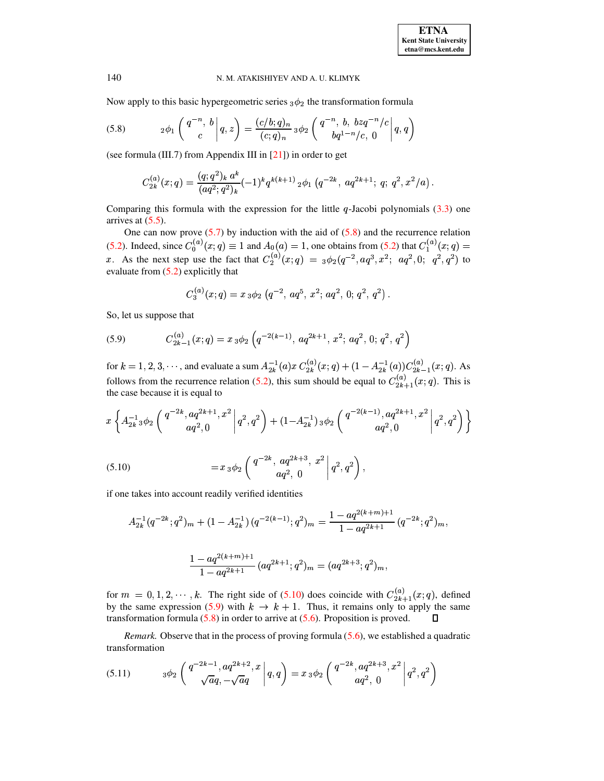Now apply to this basic hypergeometric series  $_3\phi_2$  the transformation formula

(5.8) 
$$
{}_2\phi_1\left(\left.\begin{matrix}q^{-n}, & b\\c\end{matrix}\right|q,z\right)=\frac{(c/b;q)_n}{(c;q)_n}{}_3\phi_2\left(\left.\begin{matrix}q^{-n}, & b, & bzq^{-n}/c\\bq^{1-n}/c, & 0\end{matrix}\right|q,q\right)
$$

(see formula (III.7) from Appendix III in  $[21]$ ) in order to get

<span id="page-32-0"></span>
$$
C_{2k}^{(a)}(x;q) = \frac{(q;q^2)_k a^k}{(aq^2;q^2)_k} (-1)^k q^{k(k+1)} \, {}_2\phi_1 \left( q^{-2k}, \, aq^{2k+1}; \, q; \, q^2, x^2/a \right).
$$

Comparing this formula with the expression for the little  $q$ -Jacobi polynomials (3.3) one arrives at  $(5.5)$ .

One can now prove  $(5.7)$  by induction with the aid of  $(5.8)$  and the recurrence relation (5.2). Indeed, since  $C_0^{(a)}(x;q) \equiv 1$  and  $A_0(a) = 1$ , one obtains from (5.2) that  $C_1^{(a)}(x;q) = x$ .<br>As the next step use the fact that  $C_2^{(a)}(x;q) = 3\phi_2(q^{-2}, aq^3, x^2; aq^2, 0; q^2, q^2)$  to evaluate from  $(5.2)$  explicitly that

$$
C_3^{(a)}(x;q) = x_3 \phi_2 (q^{-2}, aq^5, x^2; aq^2, 0; q^2, q^2).
$$

<span id="page-32-2"></span>So, let us suppose that

(5.9) 
$$
C_{2k-1}^{(a)}(x;q) = x_3 \phi_2 \left( q^{-2(k-1)}, a q^{2k+1}, x^2; a q^2, 0; q^2, q^2 \right)
$$

for  $k = 1, 2, 3, \dots$ , and evaluate a sum  $A_{2k}^{-1}(a)x C_{2k}^{(a)}(x;q) + (1 - A_{2k}^{-1}(a))C_{2k-1}^{(a)}(x;q)$ . As follows from the recurrence relation (5.2), this sum should be equal to  $C_{2k+1}^{(a)}(x;q)$ . This is the case because it is equal to

$$
x\left\{A_{2k}^{-1} \, {}_{3}\phi_2\left(\left.\begin{matrix}q^{-2k},aq^{2k+1},x^2\\aq^2,0\end{matrix}\right|q^2,q^2\right)+(1-A_{2k}^{-1})\, {}_{3}\phi_2\left(\left.\begin{matrix}q^{-2(k-1)},aq^{2k+1},x^2\\aq^2,0\end{matrix}\right|q^2,q^2\right)\right\}
$$

<span id="page-32-1"></span>(5.10) 
$$
= x_3 \phi_2 \left( \frac{q^{-2k}, aq^{2k+3}, x^2}{aq^2, 0} \bigg| q^2, q^2 \right)
$$

if one takes into account readily verified identities

$$
A_{2k}^{-1}(q^{-2k};q^2)_m + (1 - A_{2k}^{-1})(q^{-2(k-1)};q^2)_m = \frac{1 - aq^{2(k+m)+1}}{1 - aq^{2k+1}}(q^{-2k};q^2)_m,
$$
  

$$
\frac{1 - aq^{2(k+m)+1}}{1 - aq^{2k+1}}(aq^{2k+1};q^2)_m = (aq^{2k+3};q^2)_m,
$$

for  $m = 0, 1, 2, \dots, k$ . The right side of (5.10) does coincide with  $C_{2k+1}^{(a)}(x;q)$ , defined by the same expression (5.9) with  $k \to k + 1$ . Thus, it remains only to apply the same transformation formula  $(5.8)$  in order to arrive at  $(5.6)$ . Proposition is proved. П

<span id="page-32-3"></span>Remark. Observe that in the process of proving formula (5.6), we established a quadratic transformation

$$
(5.11) \t 3\phi_2\left(\left.\begin{matrix}q^{-2k-1}, aq^{2k+2}, x\\ \sqrt{a}q, -\sqrt{a}q\end{matrix}\right|q, q\right) = x_3\phi_2\left(\left.\begin{matrix}q^{-2k}, aq^{2k+3}, x^2\\ aq^2, 0\end{matrix}\right|q^2, q^2\right)
$$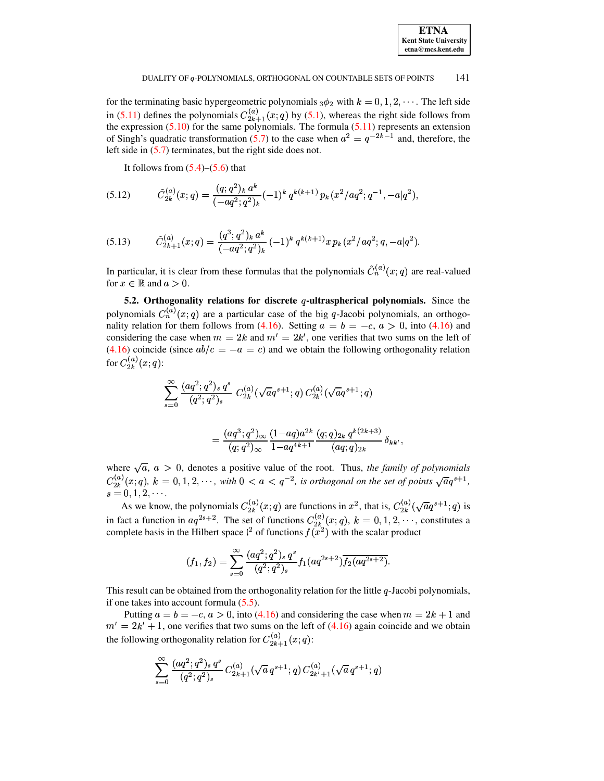

for the terminating basic hypergeometric polynomials  $_3\phi_2$  with  $k = 0, 1, 2, \cdots$ . The left side in (5.11) defines the polynomials  $C_{2k+1}^{(a)}(x;q)$  by (5.1), whereas the right side follows from the expression (5.10) for the same polynomials. The formula (5.11) represents an extension<br>of Singh's quadratic transformation (5.7) to the case when  $a^2 = q^{-2k-1}$  and, therefore, the left side in  $(5.7)$  terminates, but the right side does not.

<span id="page-33-0"></span>It follows from  $(5.4)$ – $(5.6)$  that

$$
(5.12) \qquad \tilde{C}_{2k}^{(a)}(x;q) = \frac{(q;q^2)_k a^k}{(-aq^2;q^2)_k} (-1)^k q^{k(k+1)} p_k(x^2/aq^2;q^{-1},-a|q^2).
$$

<span id="page-33-1"></span>
$$
(5.13) \qquad \tilde{C}_{2k+1}^{(a)}(x;q) = \frac{(q^3;q^2)_k a^k}{(-aq^2;q^2)_k} (-1)^k q^{k(k+1)} x p_k(x^2/aq^2;q,-a|q^2).
$$

In particular, it is clear from these formulas that the polynomials  $\tilde{C}_n^{(a)}(x; q)$  are real-valued for  $x \in \mathbb{R}$  and  $a > 0$ .

5.2. Orthogonality relations for discrete  $q$ -ultraspherical polynomials. Since the polynomials  $C_n^{(a)}(x;q)$  are a particular case of the big q-Jacobi polynomials, an orthogonality relation for them follows from (4.16). Setting  $a = b = -c$ ,  $a > 0$ , into (4.16) and considering the case when  $m = 2k$  and  $m' = 2k'$ , one verifies that two sums on the left of  $(4.16)$  coincide (since  $ab/c = -a = c$ ) and we obtain the following orthogonality relation for  $C_{2k}^{(a)}(x;q)$ :

$$
\sum_{s=0}^{\infty} \frac{(aq^2;q^2)_s q^s}{(q^2;q^2)_s} C_{2k}^{(a)}(\sqrt{a}q^{s+1};q) C_{2k'}^{(a)}(\sqrt{a}q^{s+1};q)
$$
  

$$
(qa^3;q^2) (1-qa)q^{2k}(q;q) \cdot q^{k(2k+3)}
$$

$$
= \frac{(aq^{\alpha};q^{\alpha})_{\infty}}{(q;q^2)_{\infty}} \frac{(1-aq)a^{2\kappa}}{1-aq^{4k+1}} \frac{(q;q)_{2k} q^{\kappa(2\kappa+3)}}{(aq;q)_{2k}} \delta_{kk'}
$$

where  $\sqrt{a}$ ,  $a > 0$ , denotes a positive value of the root. Thus, the family of polynomials  $C_{2k}^{(a)}(x;q)$ ,  $k = 0,1,2,\cdots$ , with  $0 < a < q^{-2}$ , is orthogonal on the set of points  $\sqrt{a}q^{s+1}$ ,  $s = 0, 1, 2, \cdots$ 

As we know, the polynomials  $C_{2k}^{(a)}(x;q)$  are functions in  $x^2$ , that is,  $C_{2k}^{(a)}(\sqrt{a}q^{s+1};q)$  is in fact a function in  $aq^{2s+2}$ . The set of functions  $C_{2k}^{(a)}(x;q)$ ,  $k = 0,1,2,\cdots$ , constitutes a complete basis in the Hilbert space  $l^2$  of functions  $f(x^2)$  with the scalar product

$$
(f_1, f_2) = \sum_{s=0}^{\infty} \frac{(aq^2; q^2)_s q^s}{(q^2; q^2)_s} f_1(aq^{2s+2}) \overline{f_2(aq^{2s+2})}.
$$

This result can be obtained from the orthogonality relation for the little q-Jacobi polynomials, if one takes into account formula  $(5.5)$ .

Putting  $a = b = -c, a > 0$ , into (4.16) and considering the case when  $m = 2k + 1$  and  $m' = 2k' + 1$ , one verifies that two sums on the left of (4.16) again coincide and we obtain the following orthogonality relation for  $C_{2k+1}^{(a)}(x;q)$ :

$$
\sum_{s=0}^{\infty} \frac{(aq^2;q^2)_s \, q^s}{(q^2;q^2)_s} \, C_{2k+1}^{(a)}(\sqrt{a} \, q^{s+1};q) \, C_{2k'+1}^{(a)}(\sqrt{a} \, q^{s+1};q)
$$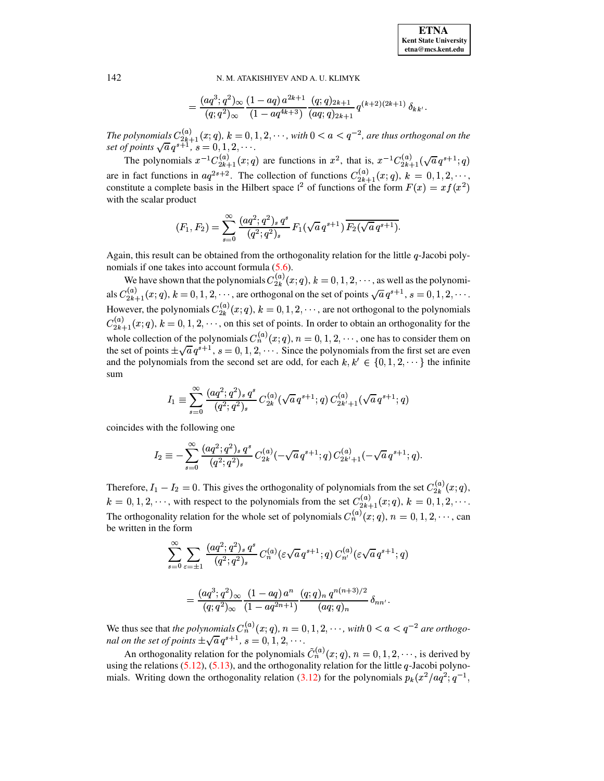$$
=\frac{(aq^3;q^2)_{\infty}}{(q;q^2)_{\infty}}\frac{(1-aq) a^{2k+1}}{(1-aq^{4k+3})}\frac{(q;q)_{2k+1}}{(aq;q)_{2k+1}}q^{(k+2)(2k+1)}\delta_{kk'}
$$

The polynomials  $C_{2k+1}^{(a)}(x;q)$ ,  $k = 0, 1, 2, \dots$ , with  $0 < a < q^{-2}$ , are thus orthogonal on the set of points  $\sqrt{a} q^{s+1}$ ,  $s = 0, 1, 2, \dots$ .

The polynomials  $x^{-1}C_{2k+1}^{(a)}(x;q)$  are functions in  $x^2$ , that is,  $x^{-1}C_{2k+1}^{(a)}(\sqrt{a}q^{s+1};q)$ are in fact functions in  $aq^{2s+2}$ . The collection of functions  $C_{2k+1}^{(a)}(x;q)$ ,  $k = 0,1,2,\cdots$ , constitute a complete basis in the Hilbert space  $\ell^2$  of functions of the form  $F(x) = xf(x^2)$ with the scalar product

$$
(F_1, F_2) = \sum_{s=0}^{\infty} \frac{(aq^2; q^2)_s q^s}{(q^2; q^2)_s} F_1(\sqrt{a} \, q^{s+1}) \, \overline{F_2(\sqrt{a} \, q^{s+1})}.
$$

Again, this result can be obtained from the orthogonality relation for the little  $q$ -Jacobi polynomials if one takes into account formula  $(5.6)$ .

We have shown that the polynomials  $C_{2k}^{(a)}(x;q)$ ,  $k = 0, 1, 2, \dots$ , as well as the polynomials  $C_{2k+1}^{(a)}(x;q)$ ,  $k = 0, 1, 2, \cdots$ , are orthogonal on the set of points  $\sqrt{a} q^{s+1}$ ,  $s = 0, 1, 2, \cdots$ . However, the polynomials  $C_{2k}^{(a)}(x;q)$ ,  $k = 0,1,2,\cdots$ , are not orthogonal to the polynomials  $C_{2k+1}^{(a)}(x;q)$ ,  $k = 0, 1, 2, \dots$ , on this set of points. In order to obtain an orthogonality for the whole collection of the polynomials  $C_n^{(a)}(x;q)$ ,  $n = 0, 1, 2, \dots$ , one has to consider them on the set of points  $\pm \sqrt{a} q^{s+1}$ ,  $s = 0, 1, 2, \dots$ . Since the polynomials from the first set are even and the polynomials from the second set are odd, for each  $k, k' \in \{0, 1, 2, \dots\}$  the infinite sum

$$
I_1 \equiv \sum_{s=0}^{\infty} \frac{(aq^2;q^2)_s q^s}{(q^2;q^2)_s} C_{2k}^{(a)}(\sqrt{a} \, q^{s+1};q) \, C_{2k'+1}^{(a)}(\sqrt{a} \, q^{s+1};q)
$$

coincides with the following one

$$
I_2 \equiv -\sum_{s=0}^{\infty} \frac{(aq^2;q^2)_s q^s}{(q^2;q^2)_s} C_{2k}^{(a)}(-\sqrt{a} \, q^{s+1};q) \, C_{2k'+1}^{(a)}(-\sqrt{a} \, q^{s+1};q).
$$

Therefore,  $I_1 - I_2 = 0$ . This gives the orthogonality of polynomials from the set  $C_{2k}^{(a)}(x;q)$ ,  $k = 0, 1, 2, \dots$ , with respect to the polynomials from the set  $C_{2k+1}^{(a)}(x;q)$ ,  $k = 0, 1, 2, \dots$ . The orthogonality relation for the whole set of polynomials  $C_n^{(a)}(x;q)$ ,  $n = 0, 1, 2, \dots$ , can be written in the form

$$
\sum_{s=0}^{\infty} \sum_{\varepsilon=\pm 1} \frac{(aq^2;q^2)_s q^s}{(q^2;q^2)_s} C_n^{(a)}(\varepsilon \sqrt{a} q^{s+1};q) C_{n'}^{(a)}(\varepsilon \sqrt{a} q^{s+1};q)
$$

$$
= \frac{(aq^3;q^2)_{\infty}}{(q;q^2)_{\infty}} \frac{(1-aq)a^n}{(1-aq^{2n+1})} \frac{(q;q)_n q^{n(n+3)/2}}{(aq;q)_n} \delta_{nn'}
$$

We thus see that the polynomials  $C_n^{(a)}(x;q)$ ,  $n = 0, 1, 2, \cdots$ , with  $0 < a < q^{-2}$  are orthogonal on the set of points  $\pm \sqrt{a} q^{s+1}$ ,  $s = 0, 1, 2, \cdots$ .

An orthogonality relation for the polynomials  $\tilde{C}_n^{(a)}(x;q)$ ,  $n = 0,1,2,\dots$ , is derived by using the relations  $(5.12)$ ,  $(5.13)$ , and the orthogonality relation for the little q-Jacobi polynomials. Writing down the orthogonality relation (3.12) for the polynomials  $p_k(x^2/aq^2;q^{-1})$ 

142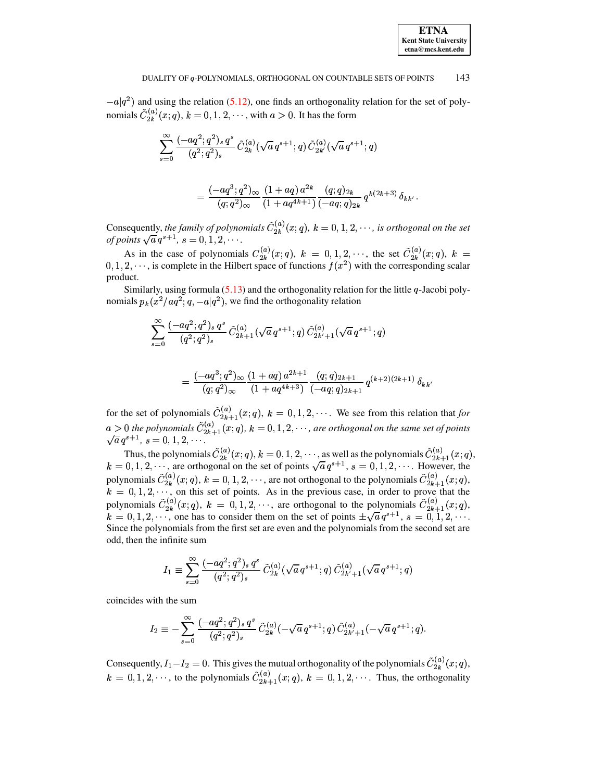$-a|q^2$ ) and using the relation (5.12), one finds an orthogonality relation for the set of polynomials  $\tilde{C}_{2k}^{(a)}(x;q)$ ,  $k = 0, 1, 2, \dots$ , with  $a > 0$ . It has the form

$$
\sum_{s=0}^{\infty} \frac{(-a q^2;q^2)_s\, q^s}{(q^2;q^2)_s}\, \tilde C_{2k}^{(a)}(\sqrt{a}\, q^{s+1};q)\, \tilde C_{2k'}^{(a)}(\sqrt{a}\, q^{s+1};q)
$$

$$
=\frac{(-a q^3;q^2)_{\infty}}{(q;q^2)_{\infty}}\frac{(1+a q)\,a^{2k}}{(1+a q^{4k+1})}\frac{(q;q)_{2k}}{(-a q;q)_{2k}}\,q^{k(2k+3)}\,\delta_{kk'}\,.
$$

Consequently, the family of polynomials  $\tilde{C}_{2k}^{(a)}(x;q)$ ,  $k = 0, 1, 2, \cdots$ , is orthogonal on the set of points  $\sqrt{a} q^{s+1}$ ,  $s = 0, 1, 2, \cdots$ .

As in the case of polynomials  $C_{2k}^{(a)}(x;q)$ ,  $k = 0, 1, 2, \dots$ , the set  $\tilde{C}_{2k}^{(a)}(x;q)$ ,  $k = 0, 1, 2, \dots$ , is complete in the Hilbert space of functions  $f(x^2)$  with the corresponding scalar product.

Similarly, using formula  $(5.13)$  and the orthogonality relation for the little q-Jacobi polynomials  $p_k(x^2/aq^2; q, -a|q^2)$ , we find the orthogonality relation

$$
\sum_{s=0}^{\infty} \frac{(-aq^2;q^2)_s\,q^s}{(q^2;q^2)_s}\,\tilde{C}^{(a)}_{2k+1}(\sqrt{a}\,q^{s+1};q)\,\tilde{C}^{(a)}_{2k'+1}(\sqrt{a}\,q^{s+1};q)
$$

$$
=\frac{(-aq^3;q^2)_{\infty}}{(q;q^2)_{\infty}}\frac{(1+aq)\,a^{2k+1}}{(1+aq^{4k+3})}\frac{(q;q)_{2k+1}}{(-aq;q)_{2k+1}}\,q^{(k+2)(2k+1)}\,\delta_{kk}
$$

for the set of polynomials  $\tilde{C}_{2k+1}^{(a)}(x;q)$ ,  $k = 0,1,2,\cdots$ . We see from this relation that for  $a > 0$  the polynomials  $\tilde{C}_{2k+1}^{(a)}(x;q)$ ,  $k = 0,1,2,\cdots$ , are orthogonal on the same set of points  $\sqrt{a} q^{s+1}$ ,  $s = 0,1,2,\cdots$ .

Thus, the polynomials  $\tilde{C}_{2k}^{(a)}(x;q)$ ,  $k = 0, 1, 2, \dots$ , as well as the polynomials  $\tilde{C}_{2k+1}^{(a)}(x;q)$ ,  $k = 0, 1, 2, \dots$ , are orthogonal on the set of points  $\sqrt{a} q^{s+1}$ ,  $s = 0, 1, 2, \dots$ . However, the polynomials  $\tilde{C}_{2k}^{(a)}(x;q)$ ,  $k = 0, 1, 2, \dots$ , are not orthogonal to the polynomials  $\tilde{C}_{2k+1}^{(a)}(x;q)$ ,  $k = 0, 1, 2, \dots$ , on this set of points. As in the previous case, in order to prove that the polynomials  $\tilde{C}_{2k}^{(a)}(x;q)$ ,  $k = 0,1,2,\dots$ , are orthogonal to the polynomials  $\tilde{C}_{2k+1}^{(a)}(x;q)$ ,  $k = 0,1,2,\dots$ , one has to consider them on the set of points  $\pm \sqrt{a} q^{s+1}$ ,  $s = 0,1,2,\dots$ . Since the polynomials from the first set are even and the polynomials from the second set are odd, then the infinite sum

$$
I_1 \equiv \sum_{s=0}^{\infty} \frac{(-aq^2; q^2)_s q^s}{(q^2; q^2)_s} \tilde{C}_{2k}^{(a)}(\sqrt{a} q^{s+1}; q) \tilde{C}_{2k'+1}^{(a)}(\sqrt{a} q^{s+1}; q)
$$

coincides with the sum

$$
I_2 \equiv -\sum_{s=0}^\infty \frac{(-a q^2;q^2)_s\, q^s}{(q^2;q^2)_s}\, \tilde C_{2k}^{(a)}(-\sqrt{a}\, q^{s+1};q)\, \tilde C_{2k'+1}^{(a)}(-\sqrt{a}\, q^{s+1};q).
$$

Consequently,  $I_1 - I_2 = 0$ . This gives the mutual orthogonality of the polynomials  $\tilde{C}_{2k}^{(a)}(x;q)$ ,  $k = 0, 1, 2, \dots$ , to the polynomials  $\tilde{C}_{2k+1}^{(a)}(x;q)$ ,  $k = 0, 1, 2, \dots$ . Thus, the orthogonality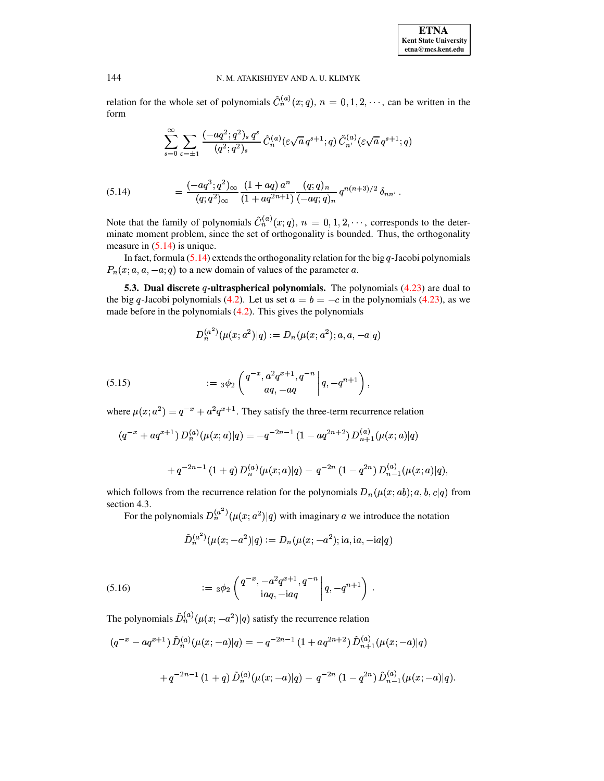relation for the whole set of polynomials  $\tilde{C}_n^{(a)}(x;q)$ ,  $n = 0, 1, 2, \dots$ , can be written in the form

$$
\sum_{s=0}^{\infty}\sum_{\varepsilon=\pm 1}\frac{(-a q^2;q^2)_{s} \,q^{s}}{(q^2;q^2)_{s}} \, \tilde{C}_n^{(a)}(\varepsilon\sqrt{a} \,q^{s+1};q) \, \tilde{C}_{n'}^{(a)}(\varepsilon\sqrt{a} \,q^{s+1};q)
$$

<span id="page-36-0"></span>(5.14) 
$$
= \frac{(-aq^3;q^2)_{\infty}}{(q;q^2)_{\infty}} \frac{(1+aq)a^n}{(1+aq^{2n+1})} \frac{(q;q)_n}{(-aq;q)_n} q^{n(n+3)/2} \delta_{nn'}.
$$

Note that the family of polynomials  $\tilde{C}_n^{(a)}(x;q)$ ,  $n = 0, 1, 2, \dots$ , corresponds to the determinate moment problem, since the set of orthogonality is bounded. Thus, the orthogonality measure in  $(5.14)$  is unique.

In fact, formula  $(5.14)$  extends the orthogonality relation for the big q-Jacobi polynomials  $P_n(x; a, a, -a; q)$  to a new domain of values of the parameter a.

5.3. Dual discrete q-ultraspherical polynomials. The polynomials  $(4.23)$  are dual to the big q-Jacobi polynomials (4.2). Let us set  $a = b = -c$  in the polynomials (4.23), as we made before in the polynomials  $(4.2)$ . This gives the polynomials

$$
D_n^{(a^2)}(\mu(x;a^2)|q):=D_n(\mu(x;a^2);a,a,-a|q)
$$

<span id="page-36-1"></span>(5.15) 
$$
:= \left. \begin{array}{c} \n \begin{array}{c} 3 \phi_2 \left( \frac{q^{-x}, a^2 q^{x+1}, q^{-n}}{aq, -aq} \right) \\
\end{array} \right| q, -q^{n+1} \n \end{array} \right),
$$

where  $\mu(x; a^2) = q^{-x} + a^2 q^{x+1}$ . They satisfy the three-term recurrence relation

$$
(q^{-x} + aq^{x+1}) D_n^{(a)}(\mu(x;a)|q) = -q^{-2n-1} (1 - aq^{2n+2}) D_{n+1}^{(a)}(\mu(x;a)|q)
$$

+
$$
q^{-2n-1}
$$
 (1+ $q$ )  $D_n^{(a)}(\mu(x;a)|q) - q^{-2n}$  (1- $q^{2n}$ )  $D_{n-1}^{(a)}(\mu(x;a)|q)$ ,

which follows from the recurrence relation for the polynomials  $D_n(\mu(x; ab); a, b, c|q)$  from section 4.3.

For the polynomials  $D_n^{(a^2)}(\mu(x; a^2)|q)$  with imaginary a we introduce the notation

$$
\tilde{D}_n^{(a^2)}(\mu(x;-a^2)|q) := D_n(\mu(x;-a^2); \mathrm{i}a, \mathrm{i}a, -\mathrm{i}a|q)
$$

<span id="page-36-2"></span>(5.16) 
$$
:= \left. \begin{array}{c} 3\phi_2 \left( \frac{q^{-x}, -a^2 q^{x+1}, q^{-n}}{i a q, -i a q} \middle| q, -q^{n+1} \right) \end{array} \right.
$$

The polynomials  $\tilde{D}_n^{(a)}(\mu(x; -a^2)|q)$  satisfy the recurrence relation

$$
(q^{-x} - aq^{x+1}) \tilde{D}_n^{(a)}(\mu(x; -a)|q) = -q^{-2n-1} (1 + aq^{2n+2}) \tilde{D}_{n+1}^{(a)}(\mu(x; -a)|q)
$$
  
+ 
$$
q^{-2n-1} (1+q) \tilde{D}_n^{(a)}(\mu(x; -a)|q) - q^{-2n} (1-q^{2n}) \tilde{D}_{n-1}^{(a)}(\mu(x; -a)|q).
$$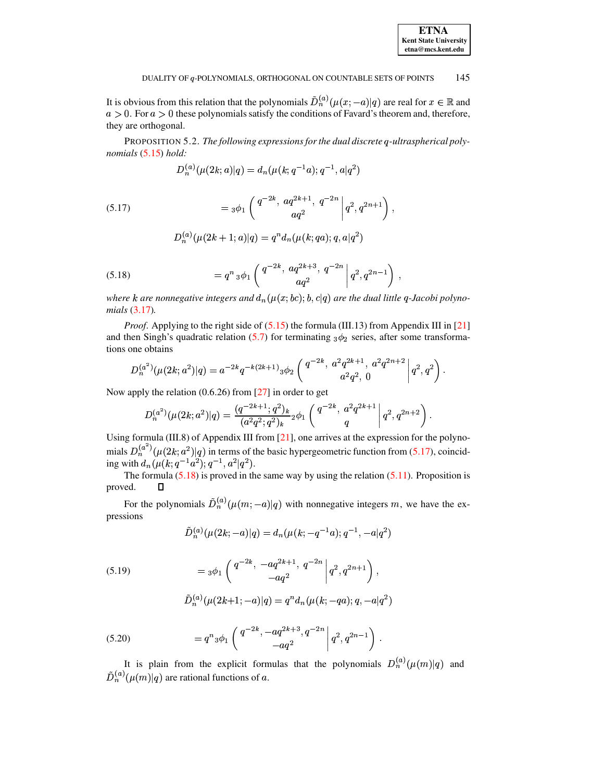| <b>ETNA</b>                  |
|------------------------------|
| <b>Kent State University</b> |
| etna@mcs.kent.edu            |

It is obvious from this relation that the polynomials  $\tilde{D}_n^{(a)}(\mu(x; -a)|q)$  are real for  $x \in \mathbb{R}$  and  $a > 0$ . For  $a > 0$  these polynomials satisfy the conditions of Favard's theorem and, therefore, they are orthogonal.

PROPOSITION 5.2. The following expressions for the dual discrete q-ultraspherical polynomials  $(5.15)$  hold:

$$
D_n^{(a)}(\mu(2k;a)|q)=d_n(\mu(k;q^{-1}a);q^{-1},a|q^2)
$$

<span id="page-37-0"></span>(5.17) 
$$
= 3\phi_1 \left( \frac{q^{-2k}, aq^{2k+1}, q^{-2n}}{aq^2} \middle| q^2, q^{2n+1} \right),
$$

$$
D_n^{(a)}(\mu(2k+1;a)|q) = q^n d_n(\mu(k;qa);q,a|q^2)
$$

<span id="page-37-1"></span>(5.18) 
$$
= q^{n} {}_{3}\phi_{1} \left( \left. \begin{array}{c} q^{-2k}, aq^{2k+3}, q^{-2n} \\ aq^{2} \end{array} \right| q^{2}, q^{2n-1} \right)
$$

where k are nonnegative integers and  $d_n(\mu(x; bc); b, c|q)$  are the dual little q-Jacobi polyno $mials$  (3.17).

*Proof.* Applying to the right side of  $(5.15)$  the formula (III.13) from Appendix III in [21] and then Singh's quadratic relation (5.7) for terminating  $_3\phi_2$  series, after some transformations one obtains

$$
D_n^{(a^2)}(\mu(2k;a^2)|q) = a^{-2k}q^{-k(2k+1)}\,3\phi_2\left(\begin{array}{c}q^{-2k},\ a^2q^{2k+1},\ a^2q^{2n+2}\\a^2q^2,\ 0\end{array}\bigg|\,q^2,q^2\right)
$$

Now apply the relation  $(0.6.26)$  from [27] in order to get

$$
D_n^{(a^2)}(\mu(2k;a^2)|q) = \frac{(q^{-2k+1};q^2)_k}{(a^2q^2;q^2)_k} {}_2\phi_1\left(\begin{array}{c}q^{-2k},\ a^2q^{2k+1}\\q\end{array}\bigg|\,q^2,q^{2n+2}\right).
$$

Using formula (III.8) of Appendix III from [21], one arrives at the expression for the polynomials  $D_n^{(a^2)}(\mu(2k; a^2)|q)$  in terms of the basic hypergeometric function from (5.17), coincid-<br>ing with  $d_n(\mu(k; q^{-1}a^2); q^{-1}, a^2|q^2)$ .

The formula  $(5.18)$  is proved in the same way by using the relation  $(5.11)$ . Proposition is proved.  $\Box$ 

For the polynomials  $\tilde{D}_n^{(a)}(\mu(m; -a)|q)$  with nonnegative integers m, we have the expressions

$$
\tilde{D}_n^{(a)}(\mu(2k; -a)|q) = d_n(\mu(k; -q^{-1}a); q^{-1}, -a|q^2)
$$

<span id="page-37-2"></span>(5.19) 
$$
= {}_3\phi_1 \left( \begin{array}{cc} q^{-2k}, & -aq^{2k+1}, & q^{-2n} \\ & -aq^2 \end{array} \middle| q^2, q^{2n+1} \right),
$$

$$
D_n^{(a)}(\mu(2k+1; -a)|q) = q^n d_n(\mu(k; -qa); q, -a|q^2)
$$

<span id="page-37-3"></span>(5.20) 
$$
= q^{n} {}_{3}\phi_{1} \left( \left. \begin{array}{c} q^{-2k}, -aq^{2k+3}, q^{-2n} \\ -aq^{2} \end{array} \right| q^{2}, q^{2n-1} \right).
$$

It is plain from the explicit formulas that the polynomials  $D_n^{(a)}(\mu(m)|q)$  and  $\tilde{D}_n^{(a)}(\mu(m)|q)$  are rational functions of a.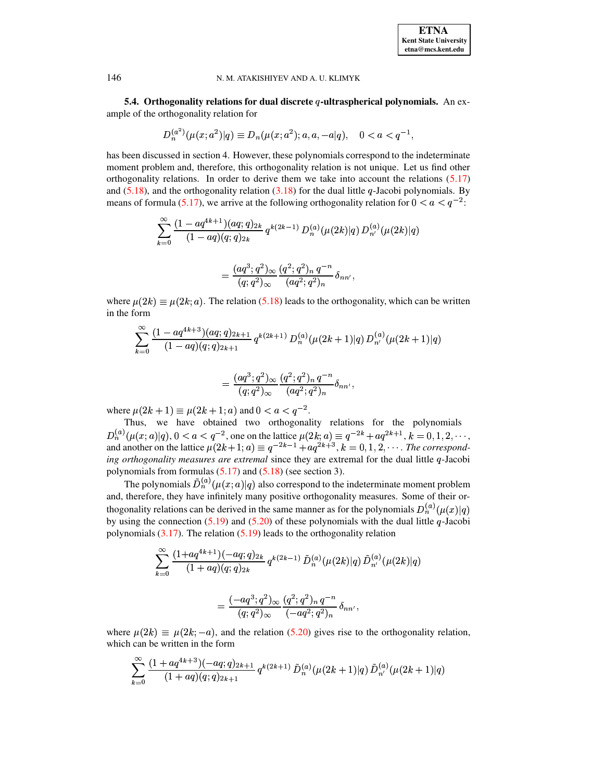5.4. Orthogonality relations for dual discrete  $q$ -ultraspherical polynomials. An example of the orthogonality relation for

$$
D_n^{(a^2)}(\mu(x;a^2)|q) \equiv D_n(\mu(x;a^2);a,a,-a|q), \quad 0 < a < q^{-1},
$$

has been discussed in section 4. However, these polynomials correspond to the indeterminate moment problem and, therefore, this orthogonality relation is not unique. Let us find other orthogonality relations. In order to derive them we take into account the relations  $(5.17)$ and (5.18), and the orthogonality relation (3.18) for the dual little q-Jacobi polynomials. By means of formula (5.17), we arrive at the following orthogonality relation for  $0 < a < q^{-2}$ :

$$
\sum_{k=0}^{\infty}\frac{(1-aq^{4k+1})(aq;q)_{2k}}{(1-aq)(q;q)_{2k}}\,q^{k(2k-1)}\,D^{(a)}_{n}(\mu(2k)|q)\,D^{(a)}_{n'}(\mu(2k)|q)\\
$$

$$
=\frac{(aq^3;q^2)_{\infty}}{(q;q^2)_{\infty}}\frac{(q^2;q^2)_n q^{-n}}{(aq^2;q^2)_n}\delta_{nn'}
$$

where  $\mu(2k) \equiv \mu(2k; a)$ . The relation (5.18) leads to the orthogonality, which can be written in the form

$$
\sum_{k=0}^{\infty} \frac{(1-aq^{4k+3})(aq;q)_{2k+1}}{(1-aq)(q;q)_{2k+1}} q^{k(2k+1)} D_n^{(a)}(\mu(2k+1)|q) D_{n'}^{(a)}(\mu(2k+1)|q)
$$

$$
=\frac{(aq^3;q^2)_{\infty}}{(q;q^2)_{\infty}}\frac{(q^2;q^2)_n q^{-n}}{(aq^2;q^2)_n}\delta_{nn'}
$$

where  $\mu(2k+1) \equiv \mu(2k+1; a)$  and  $0 < a < q^{-2}$ .

 $\sim$ 

Thus, we have obtained two orthogonality relations for the polynomials  $D_n^{(a)}(\mu(x;a)|q)$ ,  $0 < a < q^{-2}$ , one on the lattice  $\mu(2k; a) \equiv q^{-2k} + aq^{2k+1}$ ,  $k = 0, 1, 2, \dots$ , and another on the lattice  $\mu(2k+1; a) \equiv q^{-2k-1} + aq^{2k+3}$ ,  $k = 0, 1, 2, \dots$ . The corresponding orthogonality measures are extremal since they are extremal for the dual little  $q$ -Jacobi polynomials from formulas  $(5.17)$  and  $(5.18)$  (see section 3).

The polynomials  $\tilde{D}_n^{(a)}(\mu(x;a)|q)$  also correspond to the indeterminate moment problem and, therefore, they have infinitely many positive orthogonality measures. Some of their orthogonality relations can be derived in the same manner as for the polynomials  $D_n^{(a)}(\mu(x)|q)$ by using the connection  $(5.19)$  and  $(5.20)$  of these polynomials with the dual little q-Jacobi polynomials  $(3.17)$ . The relation  $(5.19)$  leads to the orthogonality relation

$$
\sum_{k=0}^{\infty} \frac{(1+aq^{4k+1})(-aq;q)_{2k}}{(1+aq)(q;q)_{2k}} q^{k(2k-1)} \tilde{D}_n^{(a)}(\mu(2k)|q) \tilde{D}_{n'}^{(a)}(\mu(2k)|q)
$$

$$
= \frac{(-aq^3;q^2)_{\infty}}{(q;q^2)_{\infty}} \frac{(q^2;q^2)_n q^{-n}}{(-aq^2;q^2)_n} \delta_{nn'},
$$

where  $\mu(2k) \equiv \mu(2k; -a)$ , and the relation (5.20) gives rise to the orthogonality relation, which can be written in the form

$$
\sum_{k=0}^\infty {(1+aq^{4k+3})(-aq;q)_{2k+1}\over (1+aq)(q;q)_{2k+1}}\,q^{k(2k+1)}\,{\tilde D}_n^{(a)}(\mu(2k+1)|q)\,{\tilde D}_{n'}^{(a)}(\mu(2k+1)|q)
$$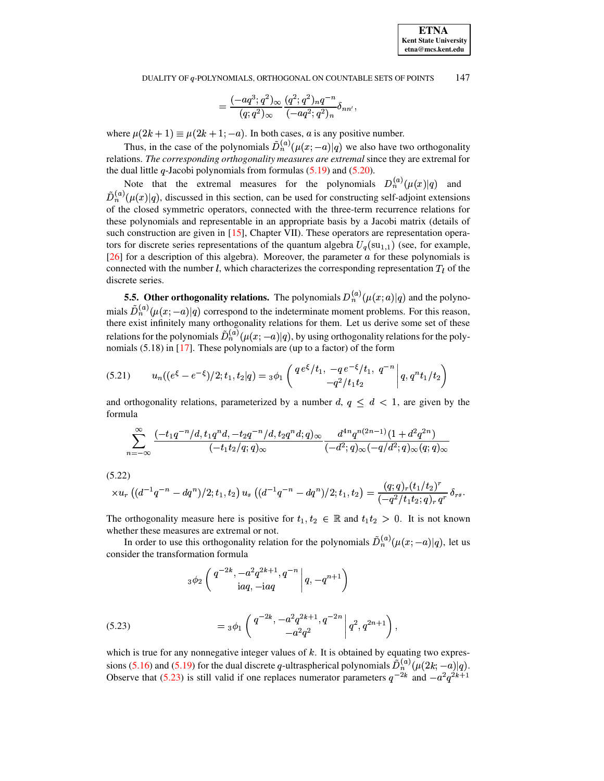$$
=\frac{(-a q^3;q^2)_\infty}{(q;q^2)_\infty}\frac{(q^2;q^2)_nq^{-n}}{(-a q^2;q^2)_n}\delta_{nn'},
$$

where  $\mu(2k+1) \equiv \mu(2k+1; -a)$ . In both cases, a is any positive number.

Thus, in the case of the polynomials  $D_n^{(a)}(\mu(x; -a)|q)$  we also have two orthogonality relations. *The corresponding orthogonality measures are extremal* since they are extremal for the dual little  $q$ -Jacobi polynomials from formulas  $(5.19)$  and  $(5.20)$ .

Note that the extremal measures for the polynomials  $D_n^{(a)}(\mu(x)|q)$  and  $D_n^{(a)}(\mu(x)|q)$ , discussed in this section, can be used for constructing self-adjoint extensions of the closed symmetric operators, connected with the three-term recurrence relations for these polynomials and representable in an appropriate basis by a Jacobi matrix (details of such construction are given in [\[15\]](#page-72-2), Chapter VII). These operators are representation operators for discrete series representations of the quantum algebra  $U_q(\text{su}_{1,1})$  (see, for example, [\[26\]](#page-72-3) for a description of this algebra). Moreover, the parameter  $\alpha$  for these polynomials is connected with the number l, which characterizes the corresponding representation  $T_i$  of the discrete series.

**5.5. Other orthogonality relations.** The polynomials  $D_n^{(a)}(\mu(x;a)|q)$  and the polynomials  $D_n^{(a)}(\mu(x; -a)|q)$  correspond to the indeterminate moment problems. For this reason, there exist infinitely many orthogonality relations for them. Let us derive some set of these relations for the polynomials  $D_n^{(a)}(\mu(x; -a)|q)$ , by using orthogonality relations for the polynomials  $(5.18)$  in [\[17\]](#page-72-4). These polynomials are (up to a factor) of the form

$$
(5.21) \t un((e\xi - e-\xi)/2; t1, t2|q) = {}_3\phi_1 \left( \begin{array}{cc} q e^{\xi}/t_1, -q e^{-\xi}/t_1, q^{-n} \\ -q^2/t_1 t_2 \end{array} \middle| q, q^n t_1/t_2 \right)
$$

and orthogonality relations, parameterized by a number  $d, q \leq d < 1$ , are given by the formula

<span id="page-39-1"></span>
$$
\sum _{n=-\infty}^{\infty } \frac{(-t_1q^{-n}/d,t_1q^{n}d,-t_2q^{-n}/d,t_2q^{n}d;q)_{\infty} }{(-t_1t_2/q;q)_{\infty}} \frac{d^{4n} q^{n(2n-1)} (1+d^2q^{2n})}{(-d^2;q)_{\infty} (-q/d^2;q)_{\infty} (q;q)_{\infty}}
$$

<span id="page-39-2"></span>(5.22)

$$
\times u_r\left((d^{-1}q^{-n}-dq^n)/2;t_1,t_2\right)u_s\left((d^{-1}q^{-n}-dq^n)/2;t_1,t_2\right)=\frac{(q;q)_r(t_1/t_2)^r}{(-q^2/t_1t_2;q)_r\,q^r}\,\delta_{rs}.
$$

The orthogonality measure here is positive for  $t_1, t_2 \in \mathbb{R}$  and  $t_1t_2 > 0$ . It is not known whether these measures are extremal or not.

In order to use this orthogonality relation for the polynomials  $D_n^{(a)}(\mu(x; -a)|q)$ , let us consider the transformation formula

$$
_{3}\phi _{2}\left( \left. \begin{matrix} q^{-2k},-a^{2}q^{2k+1},q^{-n} \\ \mathrm{i} a q,-\mathrm{i} a q \end{matrix} \right|q,-q^{n+1} \right)
$$

<span id="page-39-0"></span>(5.23) 
$$
= {}_3\phi_1 \left( \left. \begin{array}{c} q^{-2k}, -a^2 q^{2k+1}, q^{-2n} \\ -a^2 q^2 \end{array} \right| q^2, q^{2n+1} \right),
$$

which is true for any nonnegative integer values of  $k$ . It is obtained by equating two expres-sions [\(5.16\)](#page-36-2) and [\(5.19\)](#page-37-2) for the dual discrete q-ultraspherical polynomials  $D_n^{(a)}(\mu(2k; -a)|q)$ . Observe that [\(5.23\)](#page-39-0) is still valid if one replaces numerator parameters  $q^{-2k}$  and  $-a^2q^{2k+1}$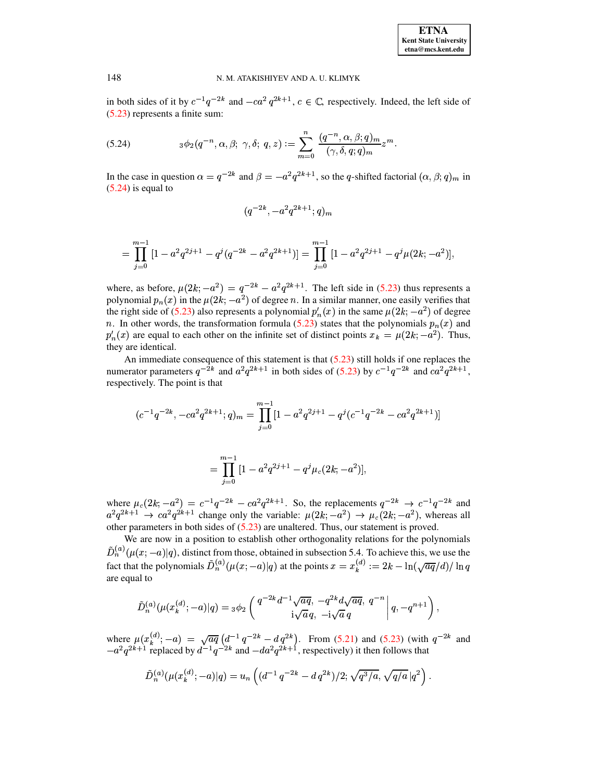<span id="page-40-0"></span>in both sides of it by  $c^{-1}q^{-2k}$  and  $-ca^2q^{2k+1}$ ,  $c \in \mathbb{C}$ , respectively. Indeed, the left side of [\(5.23\)](#page-39-0) represents a finite sum:

(5.24) 
$$
{}_3\phi_2(q^{-n}, \alpha, \beta; \gamma, \delta; q, z) := \sum_{m=0}^n \frac{(q^{-n}, \alpha, \beta; q)_m}{(\gamma, \delta, q; q)_m} z^m.
$$

In the case in question  $\alpha = q^{-2k}$  and  $\beta = -a^2 q^{2k+1}$ , so the q-shifted factorial  $(\alpha, \beta; q)_m$  in  $(5.24)$  is equal to

$$
{(q^{-2k},-a^2q^{2k+1};q)_m} \\
$$

$$
=\prod_{j=0}^{m-1}\left[1-a^2q^{2j+1}-q^j(q^{-2k}-a^2q^{2k+1})\right]=\prod_{j=0}^{m-1}\left[1-a^2q^{2j+1}-q^j\mu(2k;-a^2)\right],
$$

where, as before,  $\mu(2k; -a^2) = q^{-2k} - a^2q^{2k+1}$ . The left side in [\(5.23\)](#page-39-0) thus represents a polynomial  $p_n(x)$  in the  $\mu(2k; -a^2)$  of degree n. In a similar manner, one easily verifies that the right side of [\(5.23\)](#page-39-0) also represents a polynomial  $p'_n(x)$  in the same  $\mu(2k; -a^2)$  of degree n. In other words, the transformation formula [\(5.23\)](#page-39-0) states that the polynomials  $p_n(x)$  and  $p'_n(x)$  are equal to each other on the infinite set of distinct points  $x_k = \mu(2k; -a^2)$ . Thus, they are identical.

An immediate consequence of this statement is that [\(5.23\)](#page-39-0) still holds if one replaces the numerator parameters  $q^{-2k}$  and  $a^2q^{2k+1}$  in both sides of [\(5.23\)](#page-39-0) by  $c^{-1}q^{-2k}$  and  $ca^2q^{2k+1}$ , respectively. The point is that

$$
(c^{-1}q^{-2k}, -ca^2q^{2k+1}; q)_m = \prod_{j=0}^{m-1} [1 - a^2q^{2j+1} - q^j(c^{-1}q^{-2k} - ca^2q^{2k+1})]
$$

$$
=\prod_{j=0}^{m-1}\,[1-a^2q^{2j+1}-q^j\mu_c(2k;-a^2)],
$$

where  $\mu_c(2k; -a^2) = c^{-1}q^{-2k} - ca^2q^{2k+1}$ . So, the replacements  $q^{-2k} \rightarrow c^{-1}q^{-2k}$  and  $a^2q^{2k+1} \rightarrow ca^2q^{2k+1}$  change only the variable:  $\mu(2k; -a^2) \rightarrow \mu_c(2k; -a^2)$ , whereas all other parameters in both sides of [\(5.23\)](#page-39-0) are unaltered. Thus, our statement is proved.

We are now in a position to establish other orthogonality relations for the polynomials  $D_n^{(a)}(\mu(x; -a)|q)$ , distinct from those, obtained in subsection 5.4. To achieve this, we use the fact that the polynomials  $D_n^{(a)}(\mu(x; -a)|q)$  at the points  $x = x_k^{(a)} := 2k - \ln(\sqrt{aq}/d)/\ln q$ are equal to

$$
\tilde{D}_n^{(a)}(\mu(x_k^{(d)};-a)|q) = {}_3\phi_2\left(\left.\begin{matrix}q^{-2k}d^{-1}\sqrt{aq},\ -q^{2k}d\sqrt{aq},\ q^{-n}\\ \mathrm{i}\sqrt{a}\,q,\ -\mathrm{i}\sqrt{a}\,q\end{matrix}\right|q,-q^{n+1}\right),
$$

where  $\mu(x_k^{(a)}; -a) = \sqrt{aq} \left( d^{-1}q^{-2k} - dq^{2k} \right)$ . From [\(5.21\)](#page-39-1) and [\(5.23\)](#page-39-0) (with  $q^{-2k}$  and  $-a^2q^{2k+1}$  replaced by  $d^{-1}q^{-2k}$  and  $-da^2q^{2k+1}$ , respectively) it then follows that

$$
\tilde{D}_n^{(a)}(\mu(x_k^{(d)};-a)|q) = u_n\left((d^{-1}q^{-2k}-dq^{2k})/2; \sqrt{q^3/a}, \sqrt{q/a} |q^2\right).
$$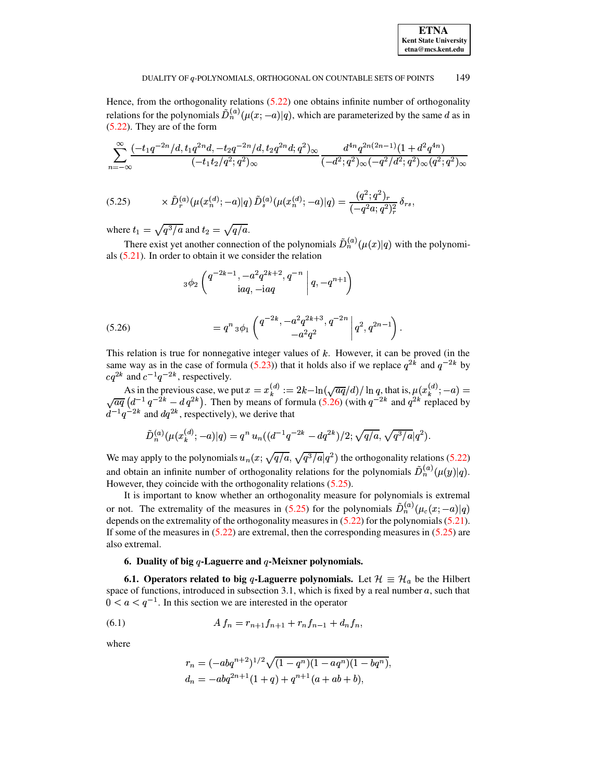Hence, from the orthogonality relations  $(5.22)$  one obtains infinite number of orthogonality relations for the polynomials  $\tilde{D}_n^{(a)}(\mu(x; -a)|q)$ , which are parameterized by the same d as in  $(5.22)$ . They are of the form

$$
\sum_{n=-\infty}^{\infty} \frac{(-t_1 q^{-2n}/d, t_1 q^{2n}d, -t_2 q^{-2n}/d, t_2 q^{2n}d; q^2)_{\infty}}{(-t_1 t_2/q^2; q^2)_{\infty}} \frac{d^{4n} q^{2n(2n-1)}(1 + d^2 q^{4n})}{(-d^2; q^2)_{\infty}(-q^2/d^2; q^2)_{\infty}(q^2; q^2)_{\infty}}
$$

<span id="page-41-1"></span>
$$
(5.25) \t\t \times \tilde{D}_r^{(a)}(\mu(x_n^{(d)}; -a)|q) \tilde{D}_s^{(a)}(\mu(x_n^{(d)}; -a)|q) = \frac{(q^2; q^2)_r}{(-q^2 a; q^2)_r^2} \delta_{rs}
$$

where  $t_1 = \sqrt{q^3/a}$  and  $t_2 = \sqrt{q/a}$ .

There exist yet another connection of the polynomials  $\tilde{D}_n^{(a)}(\mu(x)|q)$  with the polynomials  $(5.21)$ . In order to obtain it we consider the relation

$$
{}_{3}\phi_2\left(\begin{matrix}q^{-2k-1},-a^2q^{2k+2},q^{-n}\\iaq,-iaq\end{matrix}\bigg|q,-q^{n+1}\right)
$$

<span id="page-41-0"></span>(5.26) 
$$
= q^{n} {}_{3}\phi_{1} \left( \begin{array}{c} q^{-2k}, -a^{2}q^{2k+3}, q^{-2n} \\ -a^{2}q^{2} \end{array} \bigg| q^{2}, q^{2n-1} \right).
$$

This relation is true for nonnegative integer values of  $k$ . However, it can be proved (in the same way as in the case of formula (5.23)) that it holds also if we replace  $q^{2\hat{k}}$  and  $q^{-2k}$  by  $cq^{2k}$  and  $c^{-1}q^{-2k}$ , respectively.

As in the previous case, we put  $x = x_k^{(d)} := 2k - \ln(\sqrt{aq}/d)/\ln q$ , that is,  $\mu(x_k^{(d)}; -a) = \sqrt{aq} (d^{-1} q^{-2k} - d q^{2k})$ . Then by means of formula (5.26) (with  $q^{-2k}$  and  $q^{2k}$  replaced by  $d^{-1} q^{-2k}$  and  $dq^{2k}$ , respectively), we

$$
\tilde{D}_n^{(a)}(\mu(x_k^{(d)}; -a)|q) = q^n u_n((d^{-1}q^{-2k} - dq^{2k})/2; \sqrt{q/a}, \sqrt{q^3/a}|q^2).
$$

We may apply to the polynomials  $u_n(x; \sqrt{q/a}, \sqrt{q^3/a}|q^2)$  the orthogonality relations (5.22) and obtain an infinite number of orthogonality relations for the polynomials  $\tilde{D}_n^{(a)}(\mu(y)|q)$ . However, they coincide with the orthogonality relations  $(5.25)$ .

It is important to know whether an orthogonality measure for polynomials is extremal or not. The extremality of the measures in (5.25) for the polynomials  $\tilde{D}_n^{(a)}(\mu_c(x; -a)|q)$ depends on the extremality of the orthogonality measures in  $(5.22)$  for the polynomials  $(5.21)$ . If some of the measures in  $(5.22)$  are extremal, then the corresponding measures in  $(5.25)$  are also extremal.

#### 6. Duality of big  $q$ -Laguerre and  $q$ -Meixner polynomials.

**6.1. Operators related to big q-Laguerre polynomials.** Let  $\mathcal{H} \equiv \mathcal{H}_a$  be the Hilbert space of functions, introduced in subsection 3.1, which is fixed by a real number  $a$ , such that  $0 < a < q^{-1}$ . In this section we are interested in the operator

(6.1) 
$$
A f_n = r_{n+1} f_{n+1} + r_n f_{n-1} + d_n f_n,
$$

where

<span id="page-41-2"></span>
$$
r_n = (-abq^{n+2})^{1/2} \sqrt{(1-q^n)(1-aq^n)(1-bq^n)},
$$
  
\n
$$
d_n = -abq^{2n+1}(1+q) + q^{n+1}(a+ab+b),
$$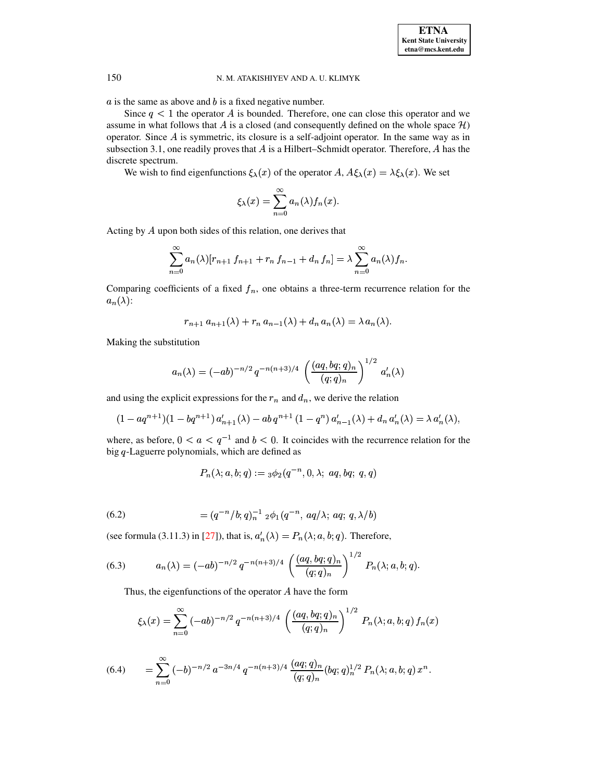$a$  is the same as above and  $b$  is a fixed negative number.

Since  $q < 1$  the operator A is bounded. Therefore, one can close this operator and we assume in what follows that A is a closed (and consequently defined on the whole space  $H$ ) operator. Since  $A$  is symmetric, its closure is a self-adjoint operator. In the same way as in subsection 3.1, one readily proves that  $A$  is a Hilbert-Schmidt operator. Therefore,  $A$  has the discrete spectrum.

We wish to find eigenfunctions  $\xi_{\lambda}(x)$  of the operator A,  $A\xi_{\lambda}(x) = \lambda \xi_{\lambda}(x)$ . We set

$$
\xi_{\lambda}(x) = \sum_{n=0}^{\infty} a_n(\lambda) f_n(x).
$$

Acting by  $A$  upon both sides of this relation, one derives that

$$
\sum_{n=0}^{\infty} a_n(\lambda)[r_{n+1} f_{n+1} + r_n f_{n-1} + d_n f_n] = \lambda \sum_{n=0}^{\infty} a_n(\lambda) f_n.
$$

Comparing coefficients of a fixed  $f_n$ , one obtains a three-term recurrence relation for the  $a_n(\lambda)$ :

$$
r_{n+1} a_{n+1}(\lambda) + r_n a_{n-1}(\lambda) + d_n a_n(\lambda) = \lambda a_n(\lambda).
$$

Making the substitution

$$
a_n(\lambda) = (-ab)^{-n/2} q^{-n(n+3)/4} \left( \frac{(aq, bq;q)_n}{(q;q)_n} \right)^{1/2} a'_n(\lambda)
$$

and using the explicit expressions for the  $r_n$  and  $d_n$ , we derive the relation

$$
(1 - aq^{n+1})(1 - bq^{n+1}) a'_{n+1}(\lambda) - ab q^{n+1} (1 - q^n) a'_{n-1}(\lambda) + d_n a'_n(\lambda) = \lambda a'_n(\lambda),
$$

where, as before,  $0 < a < q^{-1}$  and  $b < 0$ . It coincides with the recurrence relation for the big  $q$ -Laguerre polynomials, which are defined as

<span id="page-42-0"></span>
$$
P_n(\lambda;a,b;q):={}_3\phi_2(q^{-n},0,\lambda;\;aq,bq;\;q,q)
$$

<span id="page-42-2"></span>(6.2) 
$$
= (q^{-n}/b; q)_n^{-1} {}_2\phi_1(q^{-n}, aq/\lambda; aq; q, \lambda/b)
$$

(see formula (3.11.3) in [27]), that is,  $a'_n(\lambda) = P_n(\lambda; a, b; q)$ . Therefore,

(6.3) 
$$
a_n(\lambda) = (-ab)^{-n/2} q^{-n(n+3)/4} \left( \frac{(aq, bq; q)_n}{(q; q)_n} \right)^{1/2} P_n(\lambda; a, b; q)
$$

Thus, the eigenfunctions of the operator  $A$  have the form

$$
\xi_{\lambda}(x) = \sum_{n=0}^{\infty} (-ab)^{-n/2} q^{-n(n+3)/4} \left( \frac{(aq, bq, q)_n}{(q;q)_n} \right)^{1/2} P_n(\lambda; a, b; q) f_n(x)
$$

<span id="page-42-1"></span>
$$
(6.4) \qquad = \sum_{n=0}^{\infty} \, (-b)^{-n/2} \, a^{-3n/4} \, q^{-n(n+3)/4} \, \frac{(aq;q)_n}{(q;q)_n} (bq;q)_n^{1/2} \, P_n(\lambda;a,b;q) \, x^n
$$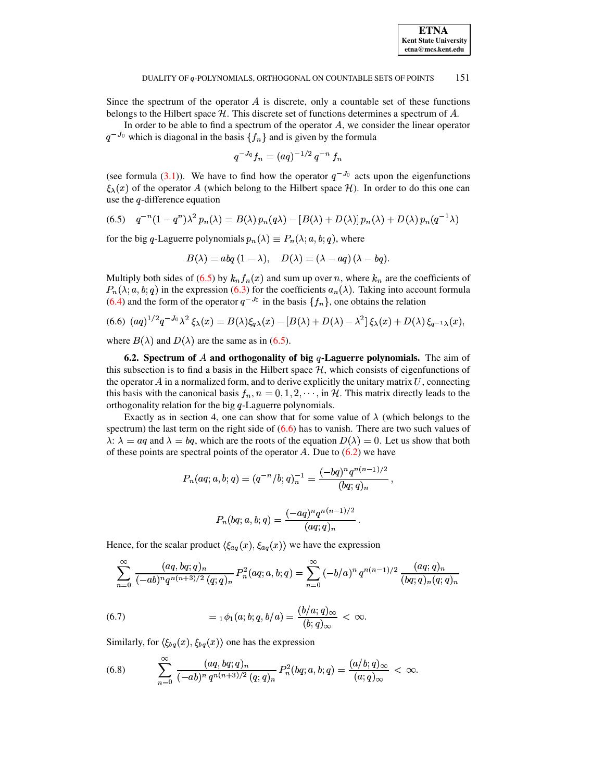Since the spectrum of the operator  $A$  is discrete, only a countable set of these functions belongs to the Hilbert space  $H$ . This discrete set of functions determines a spectrum of  $A$ .

In order to be able to find a spectrum of the operator  $A$ , we consider the linear operator  $q^{-J_0}$  which is diagonal in the basis  $\{f_n\}$  and is given by the formula

$$
q^{-J_0}f_n = (aq)^{-1/2}q^{-n}f_n
$$

<span id="page-43-0"></span>(see formula (3.1)). We have to find how the operator  $q^{-J_0}$  acts upon the eigenfunctions  $\xi_{\lambda}(x)$  of the operator A (which belong to the Hilbert space H). In order to do this one can use the  $q$ -difference equation

(6.5) 
$$
q^{-n}(1-q^n)\lambda^2 p_n(\lambda) = B(\lambda) p_n(q\lambda) - [B(\lambda) + D(\lambda)] p_n(\lambda) + D(\lambda) p_n(q^{-1}\lambda)
$$

for the big q-Laguerre polynomials  $p_n(\lambda) \equiv P_n(\lambda; a, b; q)$ , where

<span id="page-43-1"></span>
$$
B(\lambda) = abq(1-\lambda), \quad D(\lambda) = (\lambda - aq)(\lambda - bq).
$$

Multiply both sides of (6.5) by  $k_n f_n(x)$  and sum up over n, where  $k_n$  are the coefficients of  $P_n(\lambda; a, b; q)$  in the expression (6.3) for the coefficients  $a_n(\lambda)$ . Taking into account formula (6.4) and the form of the operator  $q^{-J_0}$  in the basis  $\{f_n\}$ , one obtains the relation

$$
(6.6) (aq)^{1/2}q^{-J_0}\lambda^2 \xi_\lambda(x) = B(\lambda)\xi_{q\lambda}(x) - [B(\lambda) + D(\lambda) - \lambda^2]\xi_\lambda(x) + D(\lambda)\xi_{q-1\lambda}(x),
$$

where  $B(\lambda)$  and  $D(\lambda)$  are the same as in (6.5).

6.2. Spectrum of A and orthogonality of big q-Laguerre polynomials. The aim of this subsection is to find a basis in the Hilbert space  $H$ , which consists of eigenfunctions of the operator  $A$  in a normalized form, and to derive explicitly the unitary matrix  $U$ , connecting this basis with the canonical basis  $f_n$ ,  $n = 0, 1, 2, \dots$ , in H. This matrix directly leads to the orthogonality relation for the big  $q$ -Laguerre polynomials.

Exactly as in section 4, one can show that for some value of  $\lambda$  (which belongs to the spectrum) the last term on the right side of  $(6.6)$  has to vanish. There are two such values of  $\lambda$ :  $\lambda = aq$  and  $\lambda = bq$ , which are the roots of the equation  $D(\lambda) = 0$ . Let us show that both of these points are spectral points of the operator A. Due to  $(6.2)$  we have

$$
P_n(aq;a,b;q) = (q^{-n}/b;q)_n^{-1} = \frac{(-bq)^n q^{n(n-1)/2}}{(bq;q)_n}
$$

$$
P_n(bq;a,b;q) = \frac{(-aq)^n q^{n(n-1)/2}}{(aq;q)_n}.
$$

Hence, for the scalar product  $\langle \xi_{aq}(x), \xi_{aq}(x) \rangle$  we have the expression

$$
\sum_{n=0}^{\infty} \frac{(aq, bq;q)_n}{(-ab)^n q^{n(n+3)/2} (q;q)_n} P_n^2(aq;a,b;q) = \sum_{n=0}^{\infty} (-b/a)^n q^{n(n-1)/2} \frac{(aq;q)_n}{(bq;q)_n (q;q)_n}
$$

<span id="page-43-2"></span>(6.7) 
$$
= 1 \phi_1(a; b; q, b/a) = \frac{(b/a; q)_{\infty}}{(b; q)_{\infty}} < \infty.
$$

<span id="page-43-3"></span>Similarly, for  $\langle \xi_{bq}(x), \xi_{bq}(x) \rangle$  one has the expression

(6.8) 
$$
\sum_{n=0}^{\infty} \frac{(aq, bq, q)_n}{(-ab)^n q^{n(n+3)/2} (q;q)_n} P_n^2(bq;a,b;q) = \frac{(a/b;q)_{\infty}}{(a;q)_{\infty}} < \infty
$$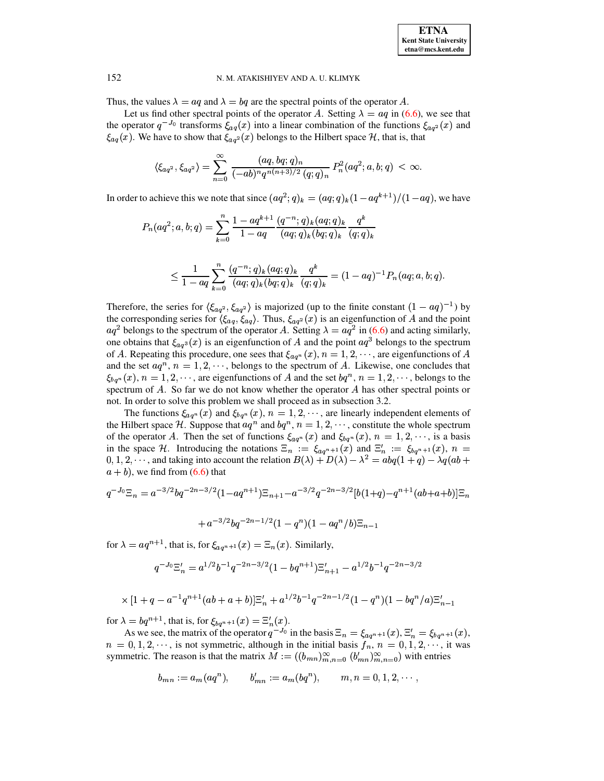Thus, the values  $\lambda = aq$  and  $\lambda = bq$  are the spectral points of the operator A.

Let us find other spectral points of the operator A. Setting  $\lambda = aq$  in [\(6.6\)](#page-43-1), we see that the operator  $q^{-J_0}$  transforms  $\xi_{aq}(x)$  into a linear combination of the functions  $\xi_{aq^2}(x)$  and  $\xi_{aq}(x)$ . We have to show that  $\xi_{aq^2}(x)$  belongs to the Hilbert space H, that is, that

$$
\langle \xi_{aq^2}, \xi_{aq^2} \rangle = \sum_{n=0}^\infty \, \frac{(aq,bq;q)_n}{(-ab)^n q^{n(n+3)/2} \, (q;q)_n} \, P_n^2(aq^2;a,b;q) \, < \, \infty.
$$

In order to achieve this we note that since  $(aq^2; q)_k = (aq; q)_k (1 - aq^{k+1})/(1 - aq)$ , we have

$$
P_n(aq^2; a, b; q) = \sum_{k=0}^n \frac{1 - aq^{k+1}}{1 - aq} \frac{(q^{-n}; q)_k (aq; q)_k}{(aq; q)_k (bq; q)_k} \frac{q^k}{(q; q)_k}
$$

$$
\leq \frac{1}{1-aq}\sum_{k=0}^n\frac{(q^{-n};q)_k(aq;q)_k}{(aq;q)_k(bq;q)_k}\frac{q^k}{(q;q)_k}=(1-aq)^{-1}P_n(aq;a,b;q).
$$

Therefore, the series for  $\langle \xi_{aq^2}, \xi_{aq^2} \rangle$  is majorized (up to the finite constant  $(1 - aq)^{-1}$ ) by the corresponding series for  $\langle \xi_{aq}, \xi_{aq} \rangle$ . Thus,  $\xi_{aq^2}(x)$  is an eigenfunction of A and the point  $aq^2$  belongs to the spectrum of the operator A. Setting  $\lambda = aq^2$  in [\(6.6\)](#page-43-1) and acting similarly, one obtains that  $\xi_{aq^3}(x)$  is an eigenfunction of A and the point  $aq^3$  belongs to the spectrum of A. Repeating this procedure, one sees that  $\xi_{aq^n}(x)$ ,  $n = 1, 2, \cdots$ , are eigenfunctions of A and the set  $aq^n$ ,  $n = 1, 2, \dots$ , belongs to the spectrum of A. Likewise, one concludes that  $\xi_{bq^n}(x), n = 1, 2, \cdots$ , are eigenfunctions of A and the set  $bq^n, n = 1, 2, \cdots$ , belongs to the spectrum of  $A$ . So far we do not know whether the operator  $A$  has other spectral points or not. In order to solve this problem we shall proceed as in subsection 3.2.

The functions  $\xi_{aq^n}(x)$  and  $\xi_{bq^n}(x)$ ,  $n = 1, 2, \cdots$ , are linearly independent elements of the Hilbert space H. Suppose that  $aq^n$  and  $bq^n$ ,  $n = 1, 2, \dots$ , constitute the whole spectrum of the operator A. Then the set of functions  $\xi_{aq^n}(x)$  and  $\xi_{bq^n}(x)$ ,  $n = 1, 2, \dots$ , is a basis in the space H. Introducing the notations  $\Xi_n := \xi_{aq^{n+1}}(x)$  and  $\Xi'_n := \xi_{bq^{n+1}}(x)$ ,  $n =$  $(0, 1, 2, \dots)$ , and taking into account the relation  $B(\lambda) + D(\lambda) - \lambda^2 = abq(1 + q) - \lambda q(ab + q)$  $a + b$ ), we find from [\(6.6\)](#page-43-1) that

$$
q^{-J_0} \Xi_n = a^{-3/2} b q^{-2n-3/2} (1 - a q^{n+1}) \Xi_{n+1} - a^{-3/2} q^{-2n-3/2} [b(1+q) - q^{n+1} (ab + a + b)] \Xi_n
$$

$$
~~+a^{-3/2}bq^{-2n-1/2}(1-q^n)(1-aq^n/b)\Xi_{n-1}
$$

for  $\lambda = aq^{n+1}$ , that is, for  $\xi_{aq^{n+1}}(x) = \Xi_n(x)$ . Similarly,

$$
q^{-J_0}\Xi_n' = a^{1/2}b^{-1}q^{-2n-3/2}(1-bq^{n+1})\Xi_{n+1}'-a^{1/2}b^{-1}q^{-2n-3/2}
$$

$$
\times [1+q-a^{-1}q^{n+1}(ab+a+b)]\Xi_n'+a^{1/2}b^{-1}q^{-2n-1/2}(1-q^n)(1-bq^n/a)\Xi_{n-1}'
$$

for  $\lambda = bq^{n+1}$ , that is, for  $\xi_{bq^{n+1}}(x) = \Xi'_n(x)$ .

As we see, the matrix of the operator  $q^{-J_0}$  in the basis  $\Xi_n = \xi_{aq^{n+1}}(x)$ ,  $\Xi'_n = \xi_{bq^{n+1}}(x)$ ,  $n = 0, 1, 2, \dots$ , is not symmetric, although in the initial basis  $f_n$ ,  $n = 0, 1, 2, \dots$ , it was symmetric. The reason is that the matrix  $M := ((b_{mn})_{m,n=0}^{\infty} (b'_{mn})_{m,n=0}^{\infty})$  with entries

$$
b_{mn} := a_m(aq^n), \qquad b'_{mn} := a_m(bq^n), \qquad m, n = 0, 1, 2, \cdots
$$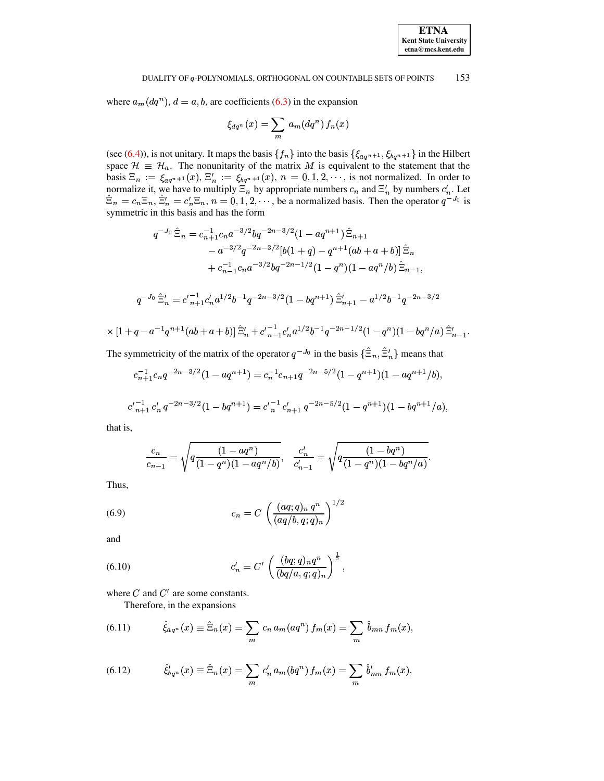where  $a_m(dq^n)$ ,  $d = a, b$ , are coefficients (6.3) in the expansion

$$
\xi_{dq^n}(x) = \sum_m a_m(dq^n) f_n(x)
$$

(see (6.4)), is not unitary. It maps the basis  $\{f_n\}$  into the basis  $\{\xi_{aq^{n+1}}, \xi_{bq^{n+1}}\}$  in the Hilbert space  $\mathcal{H} \equiv \mathcal{H}_a$ . The nonunitarity of the matrix M is equivalent to the statement that the basis  $\Xi_n := \xi_{aq^{n+1}}(x)$ ,  $\Xi'_n := \xi_{bq^{n+1}}(x)$ ,  $n = 0, 1, 2, \cdots$ , is not normalized. In order to normalize it, we have to multiply  $\Xi_n$  by appropriate numbers  $c_n$  and  $\Xi'_n$  by numbers  $c'_n$ . Let  $\hat{\Xi}_n = c_n \Xi_n$ ,  $\hat{\Xi}'_n = c'_n \Xi_n$ ,  $n = 0, 1, 2, \dots$ , be a normalized basis. Then the operator  $q^{\Xi}J_0$  is symmetric in this basis and has the form

$$
q^{-J_0} \hat{\Xi}_n = c_{n+1}^{-1} c_n a^{-3/2} b q^{-2n-3/2} (1 - a q^{n+1}) \hat{\Xi}_{n+1}
$$
  
\n
$$
- a^{-3/2} q^{-2n-3/2} [b(1+q) - q^{n+1} (ab + a + b)] \hat{\Xi}_n
$$
  
\n
$$
+ c_{n-1}^{-1} c_n a^{-3/2} b q^{-2n-1/2} (1 - q^n) (1 - a q^n / b) \hat{\Xi}_{n-1},
$$
  
\n
$$
q^{-J_0} \hat{\Xi}'_n = c'_{n+1}^{-1} c'_n a^{1/2} b^{-1} q^{-2n-3/2} (1 - b q^{n+1}) \hat{\Xi}'_{n+1} - a^{1/2} b^{-1} q^{-2n-3/2}
$$
  
\n
$$
\times [1 + q - a^{-1} q^{n+1} (ab + a + b)] \hat{\Xi}'_n + c'_{n-1}^{-1} c'_n a^{1/2} b^{-1} q^{-2n-1/2} (1 - q^n) (1 - b q^n / a) \hat{\Xi}'_{n-1}
$$

The symmetricity of the matrix of the operator  $q^{-J_0}$  in the basis  $\{\hat{\Xi}_n, \hat{\Xi}'_n\}$  means that

$$
c_{n+1}^{-1}c_nq^{-2n-3/2}(1-aq^{n+1}) = c_n^{-1}c_{n+1}q^{-2n-5/2}(1-q^{n+1})(1-aq^{n+1}/b)
$$

$$
c'_{n+1}c'_n q^{-2n-3/2}(1-bq^{n+1}) = c'_{n}^{-1}c'_{n+1} q^{-2n-5/2}(1-q^{n+1})(1-bq^{n+1}/a),
$$

that is,

$$
\frac{c_n}{c_{n-1}} = \sqrt{q \frac{(1-aq^n)}{(1-q^n)(1-aq^n/b)}}, \quad \frac{c'_n}{c'_{n-1}} = \sqrt{q \frac{(1-bq^n)}{(1-q^n)(1-bq^n/a)}}.
$$

<span id="page-45-1"></span>Thus,

(6.9) 
$$
c_n = C \left( \frac{(aq;q)_n q^n}{(aq/b,q;q)_n} \right)^{1/2}
$$

<span id="page-45-2"></span>and

(6.10) 
$$
c'_{n} = C' \left( \frac{(bq;q)_{n} q^{n}}{(bq/a, q;q)_{n}} \right)^{\frac{1}{2}},
$$

where  $C$  and  $C'$  are some constants.

<span id="page-45-0"></span>Therefore, in the expansions

(6.11) 
$$
\hat{\xi}_{aq^n}(x) \equiv \hat{\Xi}_n(x) = \sum_m c_n a_m(aq^n) f_m(x) = \sum_m \hat{b}_{mn} f_m(x),
$$

(6.12) 
$$
\hat{\xi}_{bq^n}^{\prime}(x) \equiv \hat{\Xi}_n(x) = \sum_m c_n^{\prime} a_m (bq^n) f_m(x) = \sum_m \hat{b}_{mn}^{\prime} f_m(x),
$$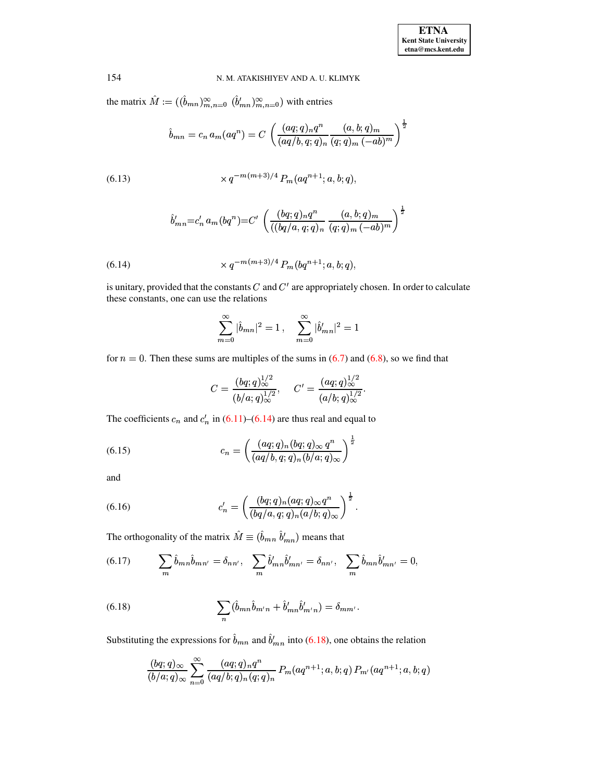the matrix  $\hat{M} := ((\hat{b}_{mn})_{m,n=0}^{\infty} (\hat{b}_{mn}')_{m,n=0}^{\infty})$  with entries

$$
\hat{b}_{mn} = c_n a_m (aq^n) = C \left( \frac{(aq;q)_n q^n}{(aq/b,q;q)_n} \frac{(a,b;q)_m}{(q;q)_m (-ab)^m} \right)^{\frac{1}{2}}
$$

<span id="page-46-2"></span>(6.13) 
$$
\times q^{-m(m+3)/4} P_m(aq^{n+1}; a, b; q),
$$

$$
\hat{b}'_{mn} = c'_n a_m (bq^n) = C' \left( \frac{(bq;q)_n q^n}{((bq/a, q;q)_n} \frac{(a,b;q)_m}{(q;q)_m (-ab)^m} \right)^{\frac{1}{2}}
$$

<span id="page-46-0"></span>(6.14) 
$$
\times q^{-m(m+3)/4} P_m(bq^{n+1}; a, b; q),
$$

is unitary, provided that the constants  $C$  and  $C'$  are appropriately chosen. In order to calculate these constants, one can use the relations

$$
\sum_{m=0}^{\infty} |\hat{b}_{mn}|^2 = 1, \quad \sum_{m=0}^{\infty} |\hat{b}'_{mn}|^2 = 1
$$

for  $n = 0$ . Then these sums are multiples of the sums in (6.7) and (6.8), so we find that

<span id="page-46-4"></span><span id="page-46-3"></span>
$$
C = \frac{(bq;q)_\infty^{1/2}}{(b/a;q)_\infty^{1/2}}, \quad C' = \frac{(aq;q)_\infty^{1/2}}{(a/b;q)_\infty^{1/2}}.
$$

The coefficients  $c_n$  and  $c'_n$  in (6.11)–(6.14) are thus real and equal to

(6.15) 
$$
c_n = \left(\frac{(aq;q)_n(bq;q)_\infty q^n}{(aq/b,q;q)_n(b/a;q)_\infty}\right)^{\frac{1}{2}}
$$

<span id="page-46-5"></span>and

(6.16) 
$$
c'_n = \left(\frac{(bq;q)_n(aq;q)_\infty q^n}{(bq/a,q;q)_n(a/b;q)_\infty}\right)^{\frac{1}{2}}.
$$

The orthogonality of the matrix  $\hat{M} \equiv (\hat{b}_{mn} \; \hat{b}^{\prime}_{mn})$  means that

(6.17) 
$$
\sum_{m} \hat{b}_{mn} \hat{b}_{mn'} = \delta_{nn'}, \quad \sum_{m} \hat{b}'_{mn} \hat{b}'_{mn'} = \delta_{nn'}, \quad \sum_{m} \hat{b}_{mn} \hat{b}'_{mn'} = 0,
$$

<span id="page-46-1"></span>(6.18) 
$$
\sum_{n} (\hat{b}_{mn}\hat{b}_{m'n} + \hat{b}'_{mn}\hat{b}'_{m'n}) = \delta_{mm'}.
$$

Substituting the expressions for  $\hat{b}_{mn}$  and  $\hat{b}'_{mn}$  into (6.18), one obtains the relation

$$
\frac{(bq;q)_{\infty}}{(b/a;q)_{\infty}}\sum_{n=0}^{\infty}\frac{(aq;q)_nq^n}{(aq/b;q)_n(q;q)_n}P_m(aq^{n+1};a,b;q)P_{m'}(aq^{n+1};a,b;q)
$$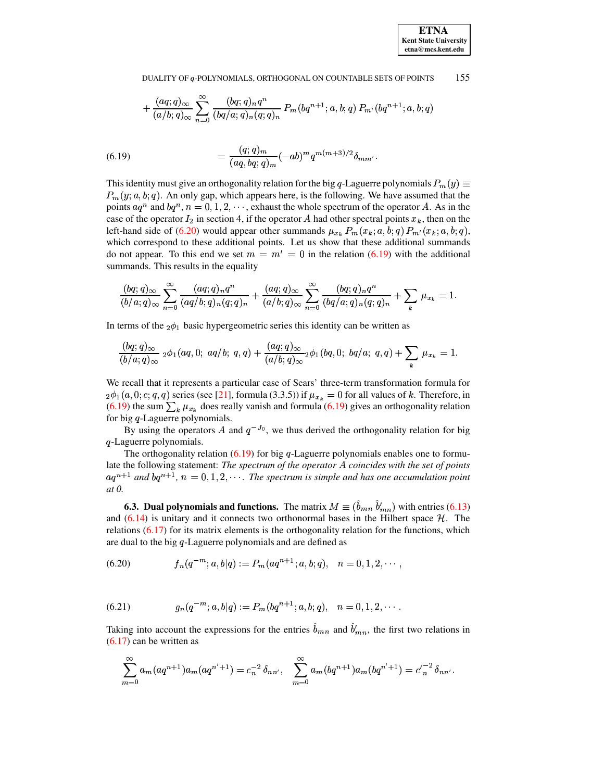$$
+\frac{(aq;q)_{\infty}}{(a/b;q)_{\infty}}\sum^{\infty}_{n=0}\frac{(bq;q)_nq^n}{(bq/a;q)_n(q;q)_n}P_m(bq^{n+1};a,b;q)P_{m'}(bq^{n+1};a,b;q)
$$

<span id="page-47-1"></span>(6.19) 
$$
= \frac{(q;q)_m}{(aq,bq;q)_m}(-ab)^m q^{m(m+3)/2} \delta_{mm'}.
$$

This identity must give an orthogonality relation for the big q-Laguerre polynomials  $P_m(y) \equiv$  $P_m(y; a, b; q)$ . An only gap, which appears here, is the following. We have assumed that the points  $aq^n$  and  $bq^n$ ,  $n = 0, 1, 2, \dots$ , exhaust the whole spectrum of the operator A. As in the case of the operator  $I_2$  in section 4, if the operator A had other spectral points  $x_k$ , then on the left-hand side of [\(6.20\)](#page-47-0) would appear other summands  $\mu_{x_k} P_m(x_k; a, b; q) P_{m'}(x_k; a, b; q)$ , which correspond to these additional points. Let us show that these additional summands do not appear. To this end we set  $m = m' = 0$  in the relation [\(6.19\)](#page-47-1) with the additional summands. This results in the equality

$$
\frac{(bq;q)_\infty}{(b/a;q)_\infty}\sum_{n=0}^\infty\frac{(aq;q)_nq^n}{(aq/b;q)_n(q;q)_n}+\frac{(aq;q)_\infty}{(a/b;q)_\infty}\sum_{n=0}^\infty\frac{(bq;q)_nq^n}{(bq/a;q)_n(q;q)_n}+\sum_k\ \mu_{x_k}=1.
$$

In terms of the  $_2\phi_1$  basic hypergeometric series this identity can be written as

$$
\frac{(bq;q)_\infty}{(b/a;q)_\infty}\;{}_2\phi_1(aq,0;\;aq/b;\;q,q)+\frac{(aq;q)_\infty}{(a/b;q)_\infty}{}_2\phi_1(bq,0;\;bq/a;\;q,q)+\sum_k\,\mu_{x_k}=1.
$$

We recall that it represents a particular case of Sears' three-term transformation formula for  $_2\phi_1(a,0;c;q,q)$  series (see [\[21\]](#page-72-0), formula (3.3.5)) if  $\mu_{x_k} = 0$  for all values of  $k$ . Therefore, in [\(6.19\)](#page-47-1) the sum  $\sum_{k} \mu_{x_k}$  does really vanish and formula (6.19) gives an orthogonality relation for big *q*-Laguerre polynomials.

By using the operators A and  $q^{-J_0}$ , we thus derived the orthogonality relation for big -Laguerre polynomials.

The orthogonality relation  $(6.19)$  for big q-Laguerre polynomials enables one to formulate the following statement: *The spectrum of the operator* ! *coincides with the set of points*  $aq^{n+1}$  and  $bq^{n+1}$ ,  $n = 0, 1, 2, \cdots$ . The spectrum is simple and has one accumulation point *at 0.*

**6.3.** Dual polynomials and functions. The matrix  $M \equiv (b_{mn} b'_{mn})$  with entries [\(6.13\)](#page-46-2) and  $(6.14)$  is unitary and it connects two orthonormal bases in the Hilbert space  $H$ . The relations  $(6.17)$  for its matrix elements is the orthogonality relation for the functions, which are dual to the big q-Laguerre polynomials and are defined as

<span id="page-47-2"></span><span id="page-47-0"></span>
$$
(6.20) \t fn(q-m; a, b|q) := Pm(aqn+1; a, b; q), \t n = 0, 1, 2, \cdots,
$$

(6.21) 
$$
g_n(q^{-m};a,b|q) := P_m(bq^{n+1};a,b;q), \quad n = 0,1,2,\cdots.
$$

Taking into account the expressions for the entries  $b_{mn}$  and  $b'_{mn}$ , the first two relations in [\(6.17\)](#page-46-3) can be written as

$$
\sum_{m=0}^{\infty} a_m (aq^{n+1}) a_m (aq^{n'+1}) = c_n^{-2} \delta_{nn'}, \quad \sum_{m=0}^{\infty} a_m (bq^{n+1}) a_m (bq^{n'+1}) = c_n^{-2} \delta_{nn'}.
$$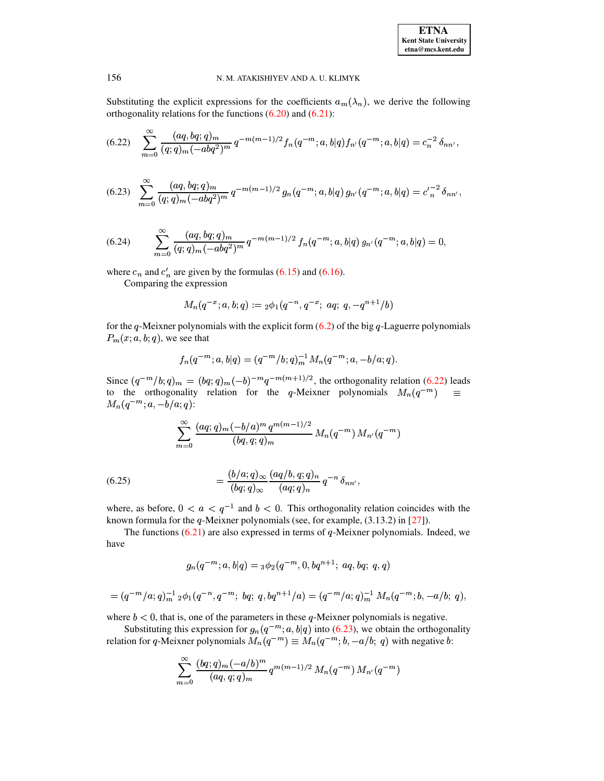<span id="page-48-0"></span>Substituting the explicit expressions for the coefficients  $a_m(\lambda_n)$ , we derive the following orthogonality relations for the functions  $(6.20)$  and  $(6.21)$ :

$$
(6.22) \sum_{m=0}^{\infty} \frac{(aq, bq; q)_m}{(q;q)_m(-abq^2)^m} q^{-m(m-1)/2} f_n(q^{-m}; a, b|q) f_{n'}(q^{-m}; a, b|q) = c_n^{-2} \delta_{nn'},
$$

<span id="page-48-1"></span>
$$
(6.23)\quad \sum_{m=0}^{\infty}\frac{(aq,bq;q)_m}{(q;q)_m(-abq^2)^m}\,q^{-m(m-1)/2}\,g_n(q^{-m};a,b|q)\,g_{n'}(q^{-m};a,b|q)=c'\_n^{-2}\,\delta_{nn'},
$$

<span id="page-48-2"></span>(6.24) 
$$
\sum_{m=0}^{\infty} \frac{(aq, bq;q)_m}{(q;q)_m(-abq^2)^m} q^{-m(m-1)/2} f_n(q^{-m};a,b|q) g_{n'}(q^{-m};a,b|q) = 0
$$

where  $c_n$  and  $c'_n$  are given by the formulas (6.15) and (6.16).

Comparing the expression

$$
M_n(q^{-x};a,b;q):={}_2\phi_1(q^{-n},q^{-x};aq;q,-q^{n+1}/b)
$$

for the q-Meixner polynomials with the explicit form  $(6.2)$  of the big q-Laguerre polynomials  $P_m(x; a, b; q)$ , we see that

$$
f_n(q^{-m};a,b|q) = (q^{-m}/b;q)_m^{-1} M_n(q^{-m};a,-b/a;q).
$$

Since  $(q^{-m}/b; q)_m = (bq; q)_m (-b)^{-m} q^{-m(m+1)/2}$ , the orthogonality relation (6.22) leads to the orthogonality relation for the q-Meixner polynomials  $M_n(q^{-m}) \equiv$  $M_n(q^{-m}; a, -b/a; q)$ :

$$
\sum_{m=0}^{\infty} \frac{(aq;q)_m (-b/a)^m q^{m(m-1)/2}}{(bq,q;q)_m} M_n(q^{-m}) M_{n'}(q^{-m})
$$

<span id="page-48-3"></span>(6.25) 
$$
= \frac{(b/a;q)_{\infty}}{(bq;q)_{\infty}} \frac{(aq/b,q;q)_n}{(aq;q)_n} q^{-n} \delta_{nn'}
$$

where, as before,  $0 < a < q^{-1}$  and  $b < 0$ . This orthogonality relation coincides with the known formula for the  $q$ -Meixner polynomials (see, for example,  $(3.13.2)$  in [27]).

The functions  $(6.21)$  are also expressed in terms of q-Meixner polynomials. Indeed, we have

$$
g_n(q^{-m};a,b|q) = \frac{3}{2}(q^{-m},0,bq^{n+1};aq,bq;q,q)
$$

$$
= (q^{-m}/a;q)_m^{-1} {}_2\phi_1(q^{-n},q^{-m}; bq; q, bq^{n+1}/a) = (q^{-m}/a;q)_m^{-1} M_n(q^{-m}; b, -a/b; q)
$$

where  $b < 0$ , that is, one of the parameters in these q-Meixner polynomials is negative.

Substituting this expression for  $g_n(q^{-m}; a, b|q)$  into (6.23), we obtain the orthogonality relation for q-Meixner polynomials  $M_n(q^{-m}) \equiv M_n(q^{-m}; b, -a/b; q)$  with negative b:

$$
\sum_{m=0}^{\infty} \frac{(bq;q)_m (-a/b)^m}{(aq,q;q)_m} q^{m(m-1)/2} M_n(q^{-m}) M_{n'}(q^{-m})
$$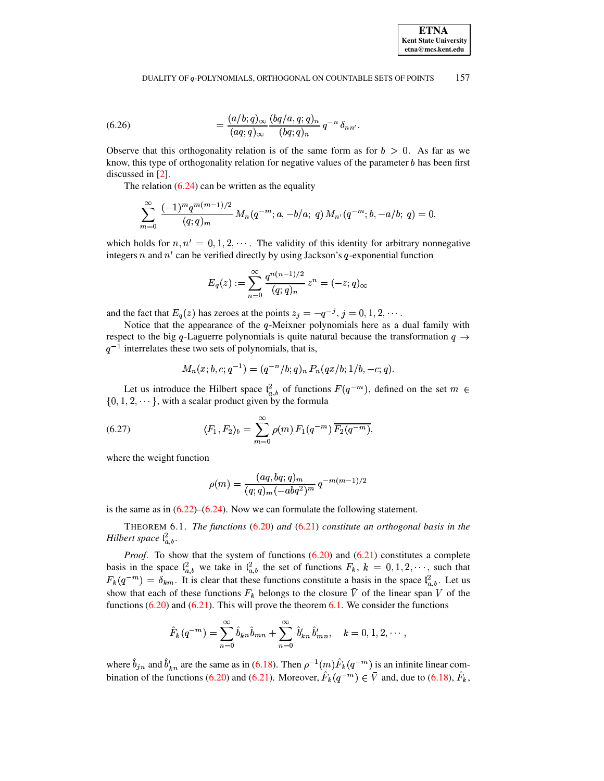<span id="page-49-2"></span>(6.26) 
$$
= \frac{(a/b;q)_{\infty}}{(aq;q)_{\infty}} \frac{(bq/a,q;q)_n}{(bq;q)_n} q^{-n} \delta_{nn'}.
$$

Observe that this orthogonality relation is of the same form as for  $b > 0$ . As far as we know, this type of orthogonality relation for negative values of the parameter  $b$  has been first discussed in [\[2\]](#page-71-0).

The relation  $(6.24)$  can be written as the equality

$$
\sum_{m=0}^{\infty} \frac{(-1)^m q^{m(m-1)/2}}{(q;q)_m} M_n(q^{-m};a,-b/a;\;q) \, M_{n'}(q^{-m};b,-a/b;\;q) = 0,
$$

which holds for  $n, n' = 0, 1, 2, \cdots$ . The validity of this identity for arbitrary nonnegative integers *n* and  $n'$  can be verified directly by using Jackson's *q*-exponential function

$$
E_q(z):=\sum_{n=0}^\infty\frac{q^{n(n-1)/2}}{(q;q)_n}\,z^n=(-z;q)_\infty
$$

and the fact that  $E_q(z)$  has zeroes at the points  $z_i = -q^{-j}, j = 0, 1, 2, \cdots$ .

Notice that the appearance of the  $q$ -Meixner polynomials here as a dual family with respect to the big q-Laguerre polynomials is quite natural because the transformation  $q \rightarrow$  $q^{-1}$  interrelates these two sets of polynomials, that is,

<span id="page-49-0"></span>
$$
M_n(x;b,c;q^{-1})=(q^{-n}/b;q)_n\,P_n(qx/b;1/b,-c;q).
$$

Let us introduce the Hilbert space  $l_{a,b}^2$  of functions  $F(q^{-m})$ , defined on the set  $m \in \mathbb{Z}$  $\{0, 1, 2, \dots\}$ , with a scalar product given by the formula

(6.27) 
$$
\langle F_1, F_2 \rangle_b = \sum_{m=0}^{\infty} \rho(m) F_1(q^{-m}) \overline{F_2(q^{-m})},
$$

where the weight function

$$
\rho(m) = \frac{(aq, bq;q)_m}{(q;q)_m(-abq^2)^m} q^{-m(m-1)/2}
$$

<span id="page-49-1"></span>is the same as in  $(6.22)$ – $(6.24)$ . Now we can formulate the following statement.

THEOREM 6.1. *The functions* [\(6.20\)](#page-47-0) *and* [\(6.21\)](#page-47-2) *constitute an orthogonal basis in the Hilbert space*  $l_{a,b}^2$ .

Proof. To show that the system of functions [\(6.20\)](#page-47-0) and [\(6.21\)](#page-47-2) constitutes a complete basis in the space  $\ell_{a,b}^2$  we take in  $\ell_{a,b}^2$  the set of functions  $F_k$ ,  $k = 0, 1, 2, \dots$ , such that  $F_k(q^{-m}) = \delta_{km}$ . It is clear that these functions constitute a basis in the space  $\mathcal{L}_{ab}^2$ . Let us show that each of these functions  $F_k$  belongs to the closure V of the linear span V of the functions  $(6.20)$  and  $(6.21)$ . This will prove the theorem  $6.1$ . We consider the functions

$$
\hat{F}_k(q^{-m}) = \sum_{n=0}^{\infty} \hat{b}_{kn} \hat{b}_{mn} + \sum_{n=0}^{\infty} \hat{b}'_{kn} \hat{b}'_{mn}, \quad k = 0, 1, 2, \cdots,
$$

where  $b_{jn}$  and  $b'_{kn}$  are the same as in [\(6.18\)](#page-46-1). Then  $\rho^{-1}(m)F_k$  (  $r^{-1}(m)F_k(q^{-m})$  is an infinite linear com-bination of the functions [\(6.20\)](#page-47-0) and [\(6.21\)](#page-47-2). Moreover,  $F_k(q^{-m}) \in V$  and, due to [\(6.18\)](#page-46-1),  $F_k$ ,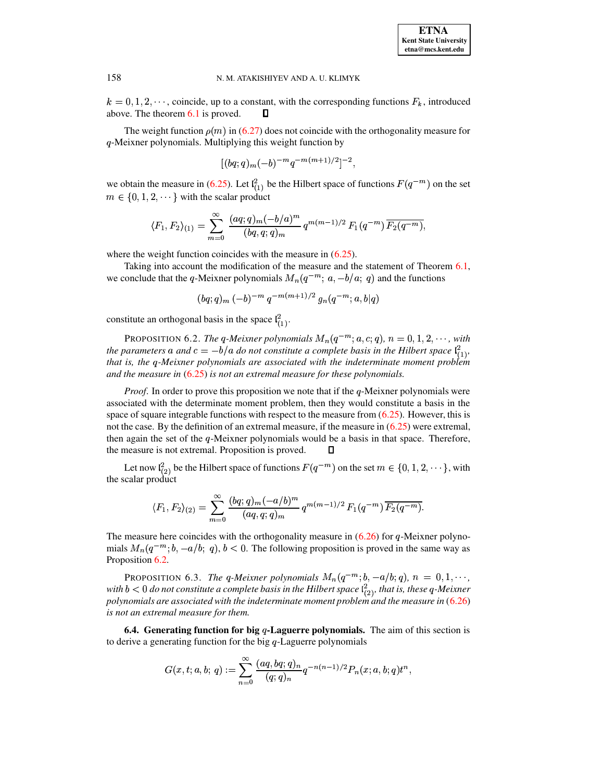$k = 0, 1, 2, \dots$ , coincide, up to a constant, with the corresponding functions  $F_k$ , introduced above. The theorem [6.1](#page-41-2) is proved. П

The weight function  $\rho(m)$  in [\(6.27\)](#page-49-0) does not coincide with the orthogonality measure for q-Meixner polynomials. Multiplying this weight function by

$$
[(bq;q)_m(-b)^{-m}q^{-m(m+1)/2}]^{-2},
$$

we obtain the measure in [\(6.25\)](#page-48-3). Let  $l_{(1)}^2$  be the Hilbert space of functions  $F(q^{-m})$  on the set  $m \in \{0, 1, 2, \dots\}$  with the scalar product

$$
\langle F_1, F_2 \rangle_{(1)} = \sum_{m=0}^{\infty} \frac{(aq;q)_m (-b/a)^m}{(bq,q;q)_m} q^{m(m-1)/2} F_1(q^{-m}) \overline{F_2(q^{-m})},
$$

where the weight function coincides with the measure in  $(6.25)$ .

Taking into account the modification of the measure and the statement of Theorem [6.1,](#page-49-1) we conclude that the q-Meixner polynomials  $M_n(q^{-m}; a, -b/a; q)$  and the functions

$$
(bq;q)_m\,(-b)^{-m}\,q^{-m(m+1)/2}\,g_n(q^{-m};a,b|q)
$$

 $\left( \frac{1}{2} \right)$ 

constitute an orthogonal basis in the space  $\mathfrak{l}_{(1)}^2$ .

<span id="page-50-0"></span>PROPOSITION 6.2. *The q-Meixner polynomials*  $M_n(q^{-m}; a, c; q)$ ,  $n = 0, 1, 2, \cdots$ , with *the* parameters a and  $c = -b/a$  do not constitute a complete basis in the Hilbert space  $\mathcal{C}_{(1)}^2$ , <sup>î</sup> . <sup>ò</sup> *that is, the -Meixner polynomials are associated with the indeterminate moment problem and the measure in* [\(6.25\)](#page-48-3) *is not an extremal measure for these polynomials.*

*Proof.* In order to prove this proposition we note that if the  $q$ -Meixner polynomials were associated with the determinate moment problem, then they would constitute a basis in the space of square integrable functions with respect to the measure from  $(6.25)$ . However, this is not the case. By the definition of an extremal measure, if the measure in [\(6.25\)](#page-48-3) were extremal, then again the set of the  $q$ -Meixner polynomials would be a basis in that space. Therefore, the measure is not extremal. Proposition is proved.  $\Box$ 

Let now  $\mathfrak{l}_{(2)}^2$  be the Hilbert space of functions  $F(q^{-m})$  on the set  $m \in \{0, 1, 2, \cdots\}$ , with the scalar product

$$
\langle F_1, F_2 \rangle_{(2)} = \sum_{m=0}^{\infty} \frac{(bq;q)_m (-a/b)^m}{(aq,q;q)_m} q^{m(m-1)/2} F_1(q^{-m}) \overline{F_2(q^{-m})}.
$$

The measure here coincides with the orthogonality measure in  $(6.26)$  for q-Meixner polynomials  $M_n(q^{-m}; b, -a/b; q)$ ,  $b < 0$ . The following proposition is proved in the same way as Proposition [6.2.](#page-50-0)

PROPOSITION 6.3. *The q-Meixner polynomials*  $M_n(q^{-m}; b, -a/b; q)$ ,  $n = 0, 1, \cdots$ , with  $b < 0$  do not constitute a complete basis in the Hilbert space  $\ell_{(2)}^2$ , that is, these q-Meixner <sup>î</sup> <sup>ò</sup> *polynomials are associated with the indeterminate moment problem and the measure in* [\(6.26\)](#page-49-2) *is not an extremal measure for them.*

**6.4. Generating function for big -Laguerre polynomials.** The aim of this section is to derive a generating function for the big  $q$ -Laguerre polynomials

$$
G(x,t;a,b;\,q):=\sum_{n=0}^\infty\frac{(aq,bq;q)_n}{(q;q)_n}q^{-n(n-1)/2}P_n(x;a,b;q)t^n,
$$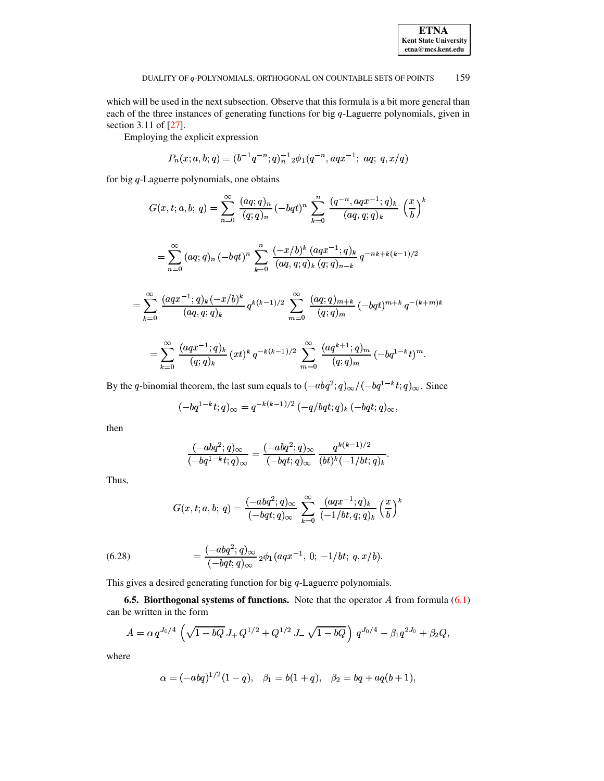which will be used in the next subsection. Observe that this formula is a bit more general than each of the three instances of generating functions for big  $q$ -Laguerre polynomials, given in section 3.11 of [27].

Employing the explicit expression

$$
P_n(x;a,b;q) = (b^{-1}q^{-n};q)_n^{-1} \phi_1(q^{-n},aqx^{-1};aq;q,q)
$$

for big  $q$ -Laguerre polynomials, one obtains

$$
G(x,t;a,b;q) = \sum_{n=0}^{\infty} \frac{(aq;q)_n}{(q;q)_n} (-bqt)^n \sum_{k=0}^n \frac{(q^{-n},aqx^{-1};q)_k}{(aq,q;q)_k} \left(\frac{x}{b}\right)^k
$$
  

$$
= \sum_{n=0}^{\infty} (aq;q)_n (-bqt)^n \sum_{k=0}^n \frac{(-x/b)^k (aqx^{-1};q)_k}{(aq,q;q)_k (q;q)_{n-k}} q^{-nk+k(k-1)/2}
$$
  

$$
= \sum_{k=0}^{\infty} \frac{(aqx^{-1};q)_k(-x/b)^k}{(aq,q;q)_k} q^{k(k-1)/2} \sum_{m=0}^{\infty} \frac{(aq;q)_{m+k}}{(q;q)_m} (-bqt)^{m+k} q^{-(k+m)k}
$$
  

$$
= \sum_{k=0}^{\infty} \frac{(aqx^{-1};q)_k}{(q;q)_k} (xt)^k q^{-k(k-1)/2} \sum_{m=0}^{\infty} \frac{(aq^{k+1};q)_m}{(q;q)_m} (-bq^{1-k}t)^m.
$$

By the q-binomial theorem, the last sum equals to  $(-abq^2; q)_{\infty}/(-bq^{1-k}t; q)_{\infty}$ . Since

$$
(-bq^{1-k}t;q)_{\infty} = q^{-k(k-1)/2} (-q/bqt;q)_k (-bqt;q)_{\infty},
$$

then

$$
\frac{(-abq^2;q)_\infty}{(-bq^{1-k}t;q)_\infty}=\frac{(-abq^2;q)_\infty}{(-bqt;q)_\infty}\,\frac{q^{k(k-1)/2}}{(bt)^k(-1/bt;q)_k}
$$

Thus,

$$
G(x,t;a,b;\,q)=\frac{(-abq^2;q)_\infty}{(-bqt;q)_\infty}\,\sum_{k=0}^\infty\,\frac{(aqx^{-1};q)_k}{(-1/bt,q;q)_k}\left(\frac{x}{b}\right)^k
$$

<span id="page-51-0"></span>(6.28) 
$$
= \frac{(-abq^2;q)_{\infty}}{(-bqt;q)_{\infty}} {}_2\phi_1(aqx^{-1}, 0; -1/bt; q, x/b).
$$

This gives a desired generating function for big  $q$ -Laguerre polynomials.

**6.5. Biorthogonal systems of functions.** Note that the operator  $A$  from formula  $(6.1)$ can be written in the form

$$
A = \alpha q^{J_0/4} \left( \sqrt{1 - bQ} J_+ Q^{1/2} + Q^{1/2} J_- \sqrt{1 - bQ} \right) q^{J_0/4} - \beta_1 q^{2J_0} + \beta_2 Q,
$$

where

$$
\alpha = (-abq)^{1/2}(1-q), \quad \beta_1 = b(1+q), \quad \beta_2 = bq + aq(b+1),
$$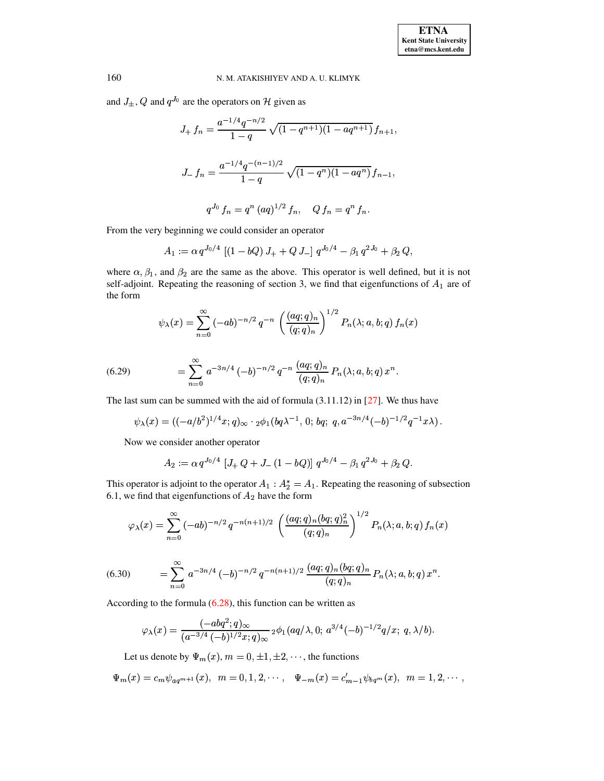and  $J_{\pm}$ , Q and  $q^{J_0}$  are the operators on H given as

$$
J_{+} f_{n} = \frac{a^{-1/4} q^{-n/2}}{1-q} \sqrt{(1-q^{n+1})(1-aq^{n+1})} f_{n+1},
$$
  

$$
J_{-} f_{n} = \frac{a^{-1/4} q^{-(n-1)/2}}{1-q} \sqrt{(1-q^{n})(1-aq^{n})} f_{n-1},
$$
  

$$
q^{J_{0}} f_{n} = q^{n} (aq)^{1/2} f_{n}, \quad Q f_{n} = q^{n} f_{n}.
$$

From the very beginning we could consider an operator

$$
A_1 := \alpha q^{J_0/4} \left[ (1 - bQ) J_+ + Q J_- \right] q^{J_0/4} - \beta_1 q^{2J_0} + \beta_2 Q,
$$

where  $\alpha, \beta_1$ , and  $\beta_2$  are the same as the above. This operator is well defined, but it is not self-adjoint. Repeating the reasoning of section 3, we find that eigenfunctions of  $A_1$  are of the form

$$
\psi_{\lambda}(x) = \sum_{n=0}^{\infty} (-ab)^{-n/2} q^{-n} \left( \frac{(aq;q)_n}{(q;q)_n} \right)^{1/2} P_n(\lambda;a,b;q) f_n(x)
$$

<span id="page-52-0"></span>(6.29) 
$$
= \sum_{n=0}^{\infty} a^{-3n/4} \, (-b)^{-n/2} \, q^{-n} \, \frac{(aq;q)_n}{(q;q)_n} \, P_n(\lambda;a,b;q) \, x^n.
$$

The last sum can be summed with the aid of formula  $(3.11.12)$  in  $[27]$ . We thus have

$$
\psi_{\lambda}(x) = ((-a/b^2)^{1/4} x;q)_{\infty} \cdot {}_{2}\phi_1(bq\lambda^{-1}, 0; bq; q, a^{-3n/4}(-b)^{-1/2}q^{-1}x\lambda).
$$

Now we consider another operator

$$
A_2 := \alpha q^{J_0/4} \left[ J_+ Q + J_- (1 - bQ) \right] q^{J_0/4} - \beta_1 q^{2J_0} + \beta_2 Q
$$

This operator is adjoint to the operator  $A_1 : A_2^* = A_1$ . Repeating the reasoning of subsection 6.1, we find that eigenfunctions of  $A_2$  have the form

$$
\varphi_{\lambda}(x) = \sum_{n=0}^{\infty} (-ab)^{-n/2} q^{-n(n+1)/2} \left( \frac{(aq;q)_n (bq;q)_n^2}{(q;q)_n} \right)^{1/2} P_n(\lambda;a,b;q) f_n(x)
$$

<span id="page-52-1"></span>(6.30) 
$$
= \sum_{n=0}^{\infty} a^{-3n/4} \left(-b\right)^{-n/2} q^{-n(n+1)/2} \frac{(aq;q)_n (bq;q)_n}{(q;q)_n} P_n(\lambda;a,b;q) x^n.
$$

According to the formula  $(6.28)$ , this function can be written as

$$
\varphi_{\lambda}(x)=\frac{(-abq^2;q)_{\infty}}{(a^{-3/4}(-b)^{1/2}x;q)_{\infty}}\,{}_2\phi_1(aq/\lambda,0;\,a^{3/4}(-b)^{-1/2}q/x;\;q,\lambda/b).
$$

Let us denote by  $\Psi_m(x)$ ,  $m = 0, \pm 1, \pm 2, \cdots$ , the functions

$$
\Psi_m(x) = c_m \psi_{aq^{m+1}}(x), \ \ m = 0, 1, 2, \cdots, \ \ \Psi_{-m}(x) = c'_{m-1} \psi_{bq^m}(x), \ \ m = 1, 2, \cdots,
$$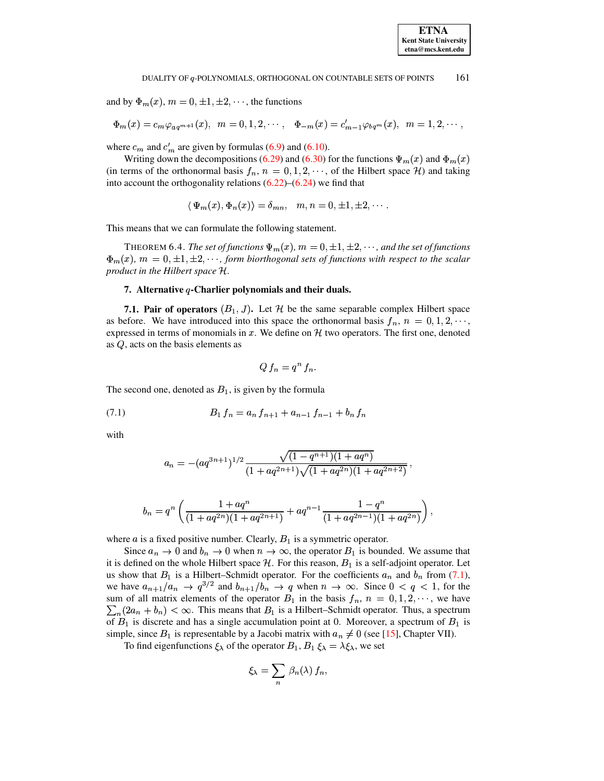and by  $\Phi_m(x)$ ,  $m = 0, \pm 1, \pm 2, \cdots$ , the functions

$$
\Phi_m(x) = c_m \varphi_{aq^{m+1}}(x), \ \ m = 0, 1, 2, \cdots, \ \ \Phi_{-m}(x) = c'_{m-1} \varphi_{bq^m}(x), \ \ m = 1, 2, \cdots,
$$

where  $c_m$  and  $c'_m$  are given by formulas (6.9) and (6.10).

Writing down the decompositions (6.29) and (6.30) for the functions  $\Psi_m(x)$  and  $\Phi_m(x)$ (in terms of the orthonormal basis  $f_n$ ,  $n = 0, 1, 2, \dots$ , of the Hilbert space H) and taking into account the orthogonality relations  $(6.22)$ – $(6.24)$  we find that

$$
\langle \Psi_m(x), \Phi_n(x) \rangle = \delta_{mn}, \quad m, n = 0, \pm 1, \pm 2, \cdots.
$$

This means that we can formulate the following statement.

THEOREM 6.4. The set of functions  $\Psi_m(x)$ ,  $m = 0, \pm 1, \pm 2, \cdots$ , and the set of functions  $\Phi_m(x)$ ,  $m = 0, \pm 1, \pm 2, \cdots$ , form biorthogonal sets of functions with respect to the scalar product in the Hilbert space H.

# 7. Alternative  $q$ -Charlier polynomials and their duals.

**7.1. Pair of operators**  $(B_1, J)$ . Let H be the same separable complex Hilbert space as before. We have introduced into this space the orthonormal basis  $f_n$ ,  $n = 0, 1, 2, \dots$ , expressed in terms of monomials in x. We define on  $H$  two operators. The first one, denoted as  $Q$ , acts on the basis elements as

<span id="page-53-0"></span>
$$
Q f_n = q^n f_n.
$$

The second one, denoted as  $B_1$ , is given by the formula

$$
(7.1) \t B_1 f_n = a_n f_{n+1} + a_{n-1} f_{n-1} + b_n f_n
$$

with

$$
a_n = -(aq^{3n+1})^{1/2} \frac{\sqrt{(1-q^{n+1})(1+aq^n)}}{(1+aq^{2n+1})\sqrt{(1+aq^{2n})(1+aq^{2n+2})}}.
$$

$$
b_n=q^n\left(\frac{1+aq^n}{(1+aq^{2n})(1+aq^{2n+1})}+aq^{n-1}\frac{1-q^n}{(1+aq^{2n-1})(1+aq^{2n})}\right),
$$

where  $a$  is a fixed positive number. Clearly,  $B_1$  is a symmetric operator.

Since  $a_n \to 0$  and  $b_n \to 0$  when  $n \to \infty$ , the operator  $B_1$  is bounded. We assume that it is defined on the whole Hilbert space  $H$ . For this reason,  $B_1$  is a self-adjoint operator. Let us show that  $B_1$  is a Hilbert-Schmidt operator. For the coefficients  $a_n$  and  $b_n$  from (7.1), we have  $a_{n+1}/a_n \to q^{3/2}$  and  $b_{n+1}/b_n \to q$  when  $n \to \infty$ . Since  $0 < q < 1$ , for the sum of all matrix elements of the operator  $B_1$  in the basis  $f_n$ ,  $n = 0, 1, 2, \dots$ , we have  $\sum_{n}(2a_n + b_n) < \infty$ . This means that  $B_1$  is a Hilbert–Schmidt operator. Thus, a spectrum of  $B_1$  is discrete and has a single accumulation point at 0. Moreover, a spectrum of  $B_1$  is simple, since  $B_1$  is representable by a Jacobi matrix with  $a_n \neq 0$  (see [15], Chapter VII).

To find eigenfunctions  $\xi_{\lambda}$  of the operator  $B_1$ ,  $B_1 \xi_{\lambda} = \lambda \xi_{\lambda}$ , we set

$$
\xi_{\lambda} = \sum_{n} \beta_{n}(\lambda) f_{n},
$$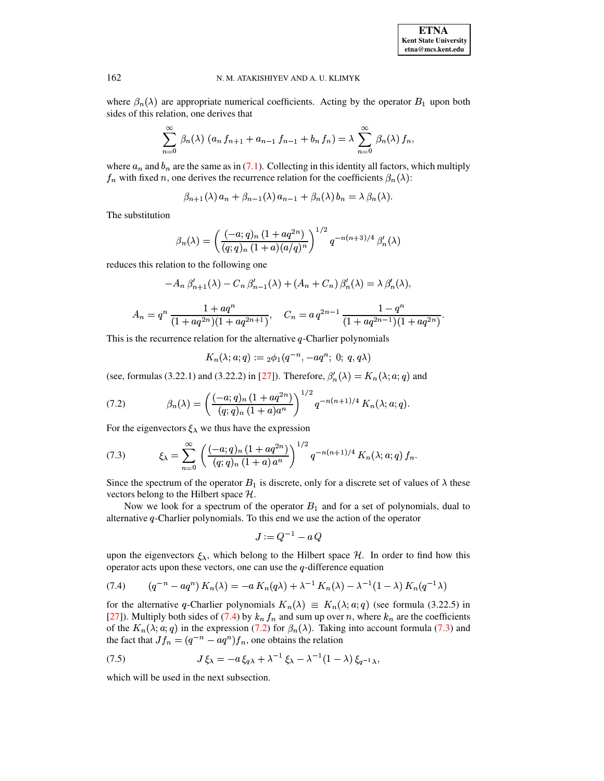where  $\beta_n(\lambda)$  are appropriate numerical coefficients. Acting by the operator  $B_1$  upon both sides of this relation, one derives that

$$
\sum_{n=0}^{\infty} \beta_n(\lambda) \left( a_n f_{n+1} + a_{n-1} f_{n-1} + b_n f_n \right) = \lambda \sum_{n=0}^{\infty} \beta_n(\lambda) f_n,
$$

where  $a_n$  and  $b_n$  are the same as in (7.1). Collecting in this identity all factors, which multiply  $f_n$  with fixed n, one derives the recurrence relation for the coefficients  $\beta_n(\lambda)$ :

$$
\beta_{n+1}(\lambda) a_n + \beta_{n-1}(\lambda) a_{n-1} + \beta_n(\lambda) b_n = \lambda \beta_n(\lambda).
$$

The substitution

$$
\beta_n(\lambda) = \left(\frac{(-a;q)_n (1 + aq^{2n})}{(q;q)_n (1+a)(a/q)^n}\right)^{1/2} q^{-n(n+3)/4} \beta'_n(\lambda)
$$

reduces this relation to the following one

$$
-A_n \beta'_{n+1}(\lambda) - C_n \beta'_{n-1}(\lambda) + (A_n + C_n) \beta'_n(\lambda) = \lambda \beta'_n(\lambda),
$$

$$
A_n = q^n \frac{1 + aq^n}{(1 + aq^{2n})(1 + aq^{2n+1})}, \quad C_n = a q^{2n-1} \frac{1 - q^n}{(1 + aq^{2n-1})(1 + aq^{2n})}.
$$

This is the recurrence relation for the alternative  $q$ -Charlier polynomials

<span id="page-54-2"></span><span id="page-54-1"></span>
$$
K_n(\lambda; a; q) := {}_2\phi_1(q^{-n}, -aq^n; 0; q, q\lambda)
$$

(see, formulas (3.22.1) and (3.22.2) in [27]). Therefore,  $\beta'_n(\lambda) = K_n(\lambda; a; q)$  and

(7.2) 
$$
\beta_n(\lambda) = \left(\frac{(-a;q)_n (1 + aq^{2n})}{(q;q)_n (1+a)a^n}\right)^{1/2} q^{-n(n+1)/4} K_n(\lambda; a; q).
$$

For the eigenvectors  $\xi_{\lambda}$  we thus have the expression

(7.3) 
$$
\xi_{\lambda} = \sum_{n=0}^{\infty} \left( \frac{(-a;q)_n (1 + aq^{2n})}{(q;q)_n (1+a) a^n} \right)^{1/2} q^{-n(n+1)/4} K_n(\lambda; a; q) f_n
$$

Since the spectrum of the operator  $B_1$  is discrete, only for a discrete set of values of  $\lambda$  these vectors belong to the Hilbert space  $H$ .

Now we look for a spectrum of the operator  $B_1$  and for a set of polynomials, dual to alternative  $q$ -Charlier polynomials. To this end we use the action of the operator

<span id="page-54-3"></span><span id="page-54-0"></span>
$$
J:=Q^{-1}-a\,Q
$$

upon the eigenvectors  $\xi_{\lambda}$ , which belong to the Hilbert space H. In order to find how this operator acts upon these vectors, one can use the  $q$ -difference equation

(7.4) 
$$
(q^{-n} - aq^{n}) K_{n}(\lambda) = -a K_{n}(q\lambda) + \lambda^{-1} K_{n}(\lambda) - \lambda^{-1} (1 - \lambda) K_{n}(q^{-1}\lambda)
$$

for the alternative q-Charlier polynomials  $K_n(\lambda) \equiv K_n(\lambda; \alpha; q)$  (see formula (3.22.5) in [27]). Multiply both sides of (7.4) by  $k_n f_n$  and sum up over n, where  $k_n$  are the coefficients of the  $K_n(\lambda; a; q)$  in the expression (7.2) for  $\beta_n(\lambda)$ . Taking into account formula (7.3) and the fact that  $Jf_n = (q^{-n} - aq^n)f_n$ , one obtains the relation

(7.5) 
$$
J\xi_{\lambda} = -a\xi_{q\lambda} + \lambda^{-1}\xi_{\lambda} - \lambda^{-1}(1-\lambda)\xi_{q-1\lambda},
$$

which will be used in the next subsection.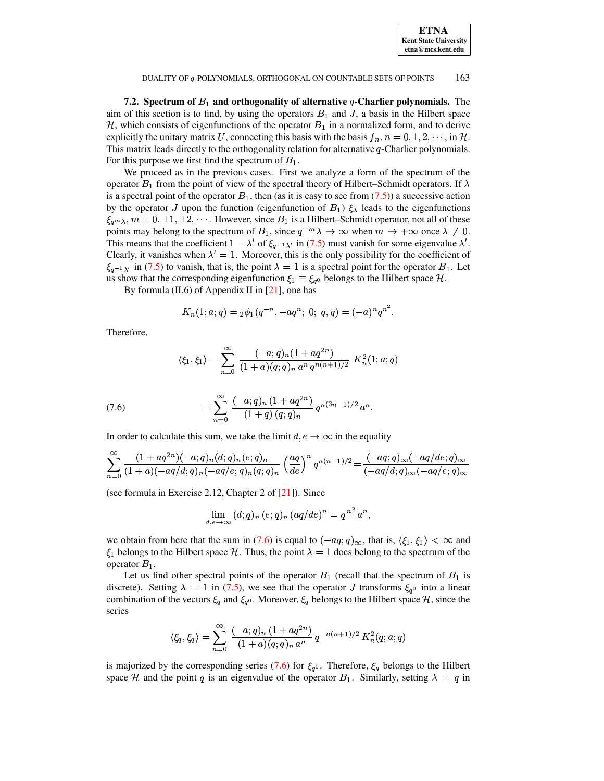| <b>ETNA</b>                               |
|-------------------------------------------|
| Kent State Universit<br>etna@mcs.kent.edu |
|                                           |

7.2. Spectrum of  $B_1$  and orthogonality of alternative q-Charlier polynomials. The aim of this section is to find, by using the operators  $B_1$  and J, a basis in the Hilbert space  $H$ , which consists of eigenfunctions of the operator  $B_1$  in a normalized form, and to derive explicitly the unitary matrix U, connecting this basis with the basis  $f_n$ ,  $n = 0, 1, 2, \dots$ , in H. This matrix leads directly to the orthogonality relation for alternative  $q$ -Charlier polynomials. For this purpose we first find the spectrum of  $B_1$ .

We proceed as in the previous cases. First we analyze a form of the spectrum of the operator  $B_1$  from the point of view of the spectral theory of Hilbert–Schmidt operators. If  $\lambda$ is a spectral point of the operator  $B_1$ , then (as it is easy to see from (7.5)) a successive action by the operator J upon the function (eigenfunction of  $B_1$ )  $\xi_{\lambda}$  leads to the eigenfunctions  $\xi_{q^m\lambda}, m = 0, \pm 1, \pm 2, \cdots$ . However, since  $B_1$  is a Hilbert–Schmidt operator, not all of these points may belong to the spectrum of  $B_1$ , since  $q^{-m}\lambda \to \infty$  when  $m \to +\infty$  once  $\lambda \neq 0$ . This means that the coefficient  $1 - \lambda'$  of  $\xi_{q-1\lambda'}$  in (7.5) must vanish for some eigenvalue  $\lambda'$ . Clearly, it vanishes when  $\lambda' = 1$ . Moreover, this is the only possibility for the coefficient of  $\xi_{a-1,\lambda'}$  in (7.5) to vanish, that is, the point  $\lambda = 1$  is a spectral point for the operator  $B_1$ . Let us show that the corresponding eigenfunction  $\xi_1 \equiv \xi_{q^0}$  belongs to the Hilbert space  $\mathcal{H}$ .

By formula  $(II.6)$  of Appendix II in  $[21]$ , one has

$$
K_n(1; a; q) = {}_2\phi_1(q^{-n}, -aq^n; 0; q, q) = (-a)^n q^{n^2}.
$$

Therefore.

$$
\langle \xi_1, \xi_1 \rangle = \sum_{n=0}^{\infty} \frac{(-a;q)_n (1 + aq^{2n})}{(1+a)(q;q)_n a^n q^{n(n+1)/2}} K_n^2(1;a;q)
$$

<span id="page-55-0"></span>(7.6) 
$$
= \sum_{n=0}^{\infty} \frac{(-a;q)_n (1 + aq^{2n})}{(1+q) (q;q)_n} q^{n(3n-1)/2} a^n.
$$

In order to calculate this sum, we take the limit  $d, e \rightarrow \infty$  in the equality

$$
\sum_{n=0}^{\infty} \frac{(1+aq^{2n})(-a;q)_n (d;q)_n (e;q)_n}{(1+a)(-aq/d;q)_n (-aq/e;q)_n (q;q)_n} \left(\frac{aq}{de}\right)^n q^{n(n-1)/2} = \frac{(-aq;q)_{\infty}(-aq/de;q)_{\infty}}{(-aq/d;q)_{\infty}(-aq/e;q)_{\infty}}
$$

(see formula in Exercise 2.12, Chapter 2 of  $[21]$ ). Since

$$
\lim_{d,e\to\infty} (d;q)_n (e;q)_n (aq/de)^n = q^{n^2} a^n,
$$

we obtain from here that the sum in (7.6) is equal to  $(-aq; q)_{\infty}$ , that is,  $\langle \xi_1, \xi_1 \rangle < \infty$  and  $\xi_1$  belongs to the Hilbert space H. Thus, the point  $\lambda = 1$  does belong to the spectrum of the operator  $B_1$ .

Let us find other spectral points of the operator  $B_1$  (recall that the spectrum of  $B_1$  is discrete). Setting  $\lambda = 1$  in (7.5), we see that the operator J transforms  $\xi_{q0}$  into a linear combination of the vectors  $\xi_q$  and  $\xi_{q^0}$ . Moreover,  $\xi_q$  belongs to the Hilbert space  $H$ , since the series

$$
\langle \xi_q, \xi_q \rangle = \sum_{n=0}^{\infty} \frac{(-a;q)_n (1 + aq^{2n})}{(1+a)(q;q)_n a^n} q^{-n(n+1)/2} K_n^2(q;a;q)
$$

is majorized by the corresponding series (7.6) for  $\xi_{q}$ . Therefore,  $\xi_{q}$  belongs to the Hilbert space H and the point q is an eigenvalue of the operator  $B_1$ . Similarly, setting  $\lambda = q$  in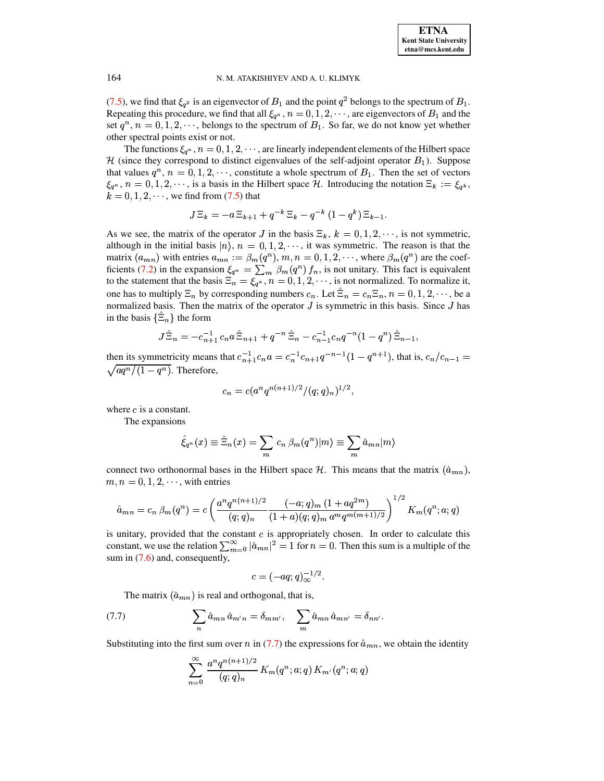[\(7.5\)](#page-54-3), we find that  $\xi_{q^2}$  is an eigenvector of  $B_1$  and the point  $q^2$  belongs to the spectrum of  $B_1$ . Repeating this procedure, we find that all  $\xi_{q^n}$ ,  $n = 0, 1, 2, \cdots$ , are eigenvectors of  $B_1$  and the set  $q^n$ ,  $n = 0, 1, 2, \dots$ , belongs to the spectrum of  $B_1$ . So far, we do not know yet whether other spectral points exist or not.

The functions  $\xi_{q^n}$ ,  $n = 0, 1, 2, \cdots$ , are linearly independent elements of the Hilbert space H (since they correspond to distinct eigenvalues of the self-adjoint operator  $B_1$ ). Suppose that values  $q^n$ ,  $n = 0, 1, 2, \dots$ , constitute a whole spectrum of  $B_1$ . Then the set of vectors  $\xi_{q^n}$ ,  $n = 0, 1, 2, \dots$ , is a basis in the Hilbert space H. Introducing the notation  $\Xi_k := \xi_{q^k}$ ,  $k = 0, 1, 2, \dots$ , we find from [\(7.5\)](#page-54-3) that

$$
J\,\Xi_k = -a\,\Xi_{k+1} + q^{-k}\,\Xi_k - q^{-k}\,(1-q^k)\,\Xi_{k-1}.
$$

As we see, the matrix of the operator J in the basis  $\Xi_k$ ,  $k = 0, 1, 2, \dots$ , is not symmetric, although in the initial basis  $|n\rangle$ ,  $n = 0, 1, 2, \dots$ , it was symmetric. The reason is that the matrix  $(a_{mn})$  with entries  $a_{mn} := \beta_m(q^n)$ ,  $m, n = 0, 1, 2, \dots$ , where  $\beta_m(q^n)$  are the coef-ficients [\(7.2\)](#page-54-1) in the expansion  $\xi_{q^n} = \sum_m \beta_m(q^n) f_n$ , is not unitary. This fact is equivalent to the statement that the basis  $\Xi_n = \xi_{q^n}, n = 0, 1, 2, \cdots$ , is not normalized. To normalize it, one has to multiply  $\Xi_n$  by corresponding numbers  $c_n$ . Let  $\Xi_n = c_n \Xi_n$ ,  $n = 0, 1, 2, \dots$ , be a normalized basis. Then the matrix of the operator  $J$  is symmetric in this basis. Since  $J$  has in the basis  $\{\Xi_n\}$  the form

$$
J\hat{\Xi}_n = -c_{n+1}^{-1}c_n a \hat{\Xi}_{n+1} + q^{-n} \hat{\Xi}_n - c_{n-1}^{-1}c_n q^{-n} (1-q^n) \hat{\Xi}_{n-1},
$$

then its symmetricity means that  $c_{n+1}^{-1}c_n a = c_n^{-1}c_{n+1}q^{-n-1}(1-q^{n+1})$ , that is,  $c_n/c_{n-1} =$   $a q^n/(1-q^n)$ . Therefore,

$$
c_n = c(a^n q^{n(n+1)/2}/(q;q)_n)^{1/2},
$$

where  $c$  is a constant.

The expansions

$$
\hat{\xi}_{q^n}(x) \equiv \hat{\Xi}_n(x) = \sum_m c_n \, \beta_m(q^n) |m\rangle \equiv \sum_m \hat{a}_{mn} |m\rangle
$$

connect two orthonormal bases in the Hilbert space H. This means that the matrix  $(\hat{a}_{mn})$ ,  $m, n = 0, 1, 2, \dots$ , with entries

$$
\hat{a}_{mn} = c_n \beta_m(q^n) = c \left( \frac{a^n q^{n(n+1)/2}}{(q;q)_n} \frac{(-a;q)_m (1 + aq^{2m})}{(1+a)(q;q)_m a^m q^{m(m+1)/2}} \right)^{1/2} K_m(q^n;a;q)
$$

is unitary, provided that the constant  $c$  is appropriately chosen. In order to calculate this constant, we use the relation  $\sum_{m=0}^{\infty} |\hat{a}_{mn}|^2 = 1$  for  $n = 0$ . Then this sum is a multiple of the sum in  $(7.6)$  and, consequently,

<span id="page-56-0"></span>
$$
c=(-aq;q)_\infty^{-1/2}.
$$

The matrix  $(\hat{a}_{mn})$  is real and orthogonal, that is,

(7.7) 
$$
\sum_{n} \hat{a}_{mn} \hat{a}_{m'n} = \delta_{mm'}, \quad \sum_{m} \hat{a}_{mn} \hat{a}_{mn'} = \delta_{nn'}.
$$

Substituting into the first sum over n in [\(7.7\)](#page-56-0) the expressions for  $\hat{a}_{mn}$ , we obtain the identity

$$
\sum_{n=0}^{\infty} \frac{a^n q^{n(n+1)/2}}{(q;q)_n} K_m(q^n;a;q) K_{m'}(q^n;a;q)
$$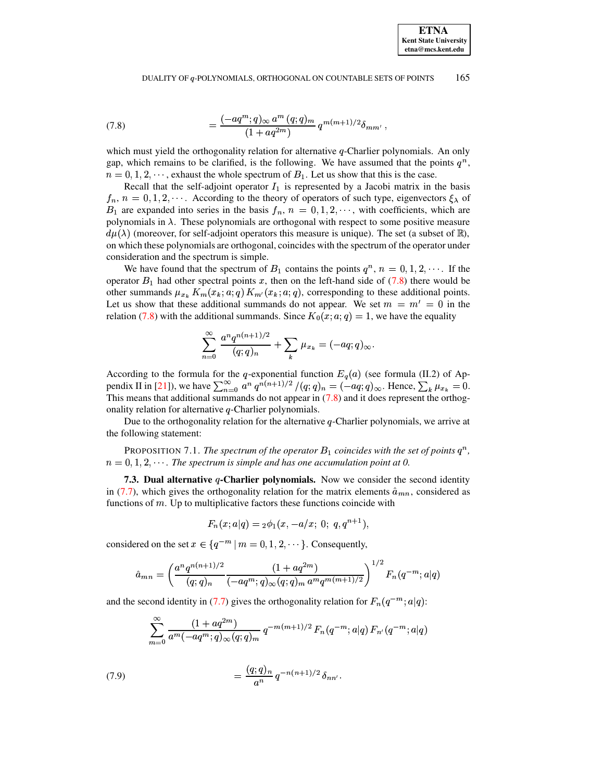<span id="page-57-0"></span>(7.8) 
$$
= \frac{(-aq^m;q)_{\infty} a^m (q;q)_m}{(1+aq^{2m})} q^{m(m+1)/2} \delta_{mm'},
$$

which must yield the orthogonality relation for alternative q-Charlier polynomials. An only gap, which remains to be clarified, is the following. We have assumed that the points  $q^n$ ,  $n = 0, 1, 2, \dots$ , exhaust the whole spectrum of  $B_1$ . Let us show that this is the case.

Recall that the self-adjoint operator  $I_1$  is represented by a Jacobi matrix in the basis  $f_n$ ,  $n = 0, 1, 2, \cdots$ . According to the theory of operators of such type, eigenvectors  $\xi_{\lambda}$  of  $B_1$  are expanded into series in the basis  $f_n$ ,  $n = 0, 1, 2, \cdots$ , with coefficients, which are polynomials in  $\lambda$ . These polynomials are orthogonal with respect to some positive measure  $d\mu(\lambda)$  (moreover, for self-adjoint operators this measure is unique). The set (a subset of  $\mathbb{R}$ ), on which these polynomials are orthogonal, coincides with the spectrum of the operator under consideration and the spectrum is simple.

We have found that the spectrum of  $B_1$  contains the points  $q^n$ ,  $n = 0, 1, 2, \dots$ . If the operator  $B_1$  had other spectral points x, then on the left-hand side of [\(7.8\)](#page-57-0) there would be other summands  $\mu_{x_k} K_m(x_k; a; q) K_{m'}(x_k; a; q)$ , corresponding to these additional points. Let us show that these additional summands do not appear. We set  $m = m' = 0$  in the relation [\(7.8\)](#page-57-0) with the additional summands. Since  $K_0(x; a; q) = 1$ , we have the equality

$$
\sum_{n=0}^{\infty} \frac{a^n q^{n(n+1)/2}}{(q;q)_n} + \sum_k \mu_{x_k} = (-aq;q)_{\infty}.
$$

According to the formula for the q-exponential function  $E_q(a)$  (see formula (II.2) of Ap-pendix II in [\[21\]](#page-72-0)), we have  $\sum_{n=0}^{\infty} a^n q^{n(n+1)/2} / (q; q)_n = (-aq; q)_{\infty}$ . Hence,  $\sum_{k} \mu_{x_k} = 0$ . This means that additional summands do not appear in  $(7.8)$  and it does represent the orthogonality relation for alternative  $q$ -Charlier polynomials.

Due to the orthogonality relation for the alternative  $q$ -Charlier polynomials, we arrive at the following statement:

PROPOSITION 7.1. *The spectrum of the operator*  $B_1$  *coincides with the set of points*  $q^n$ ,  $n = 0, 1, 2, \cdots$ . The spectrum is simple and has one accumulation point at 0.

**7.3. Dual alternative -Charlier polynomials.** Now we consider the second identity in [\(7.7\)](#page-56-0), which gives the orthogonality relation for the matrix elements  $\hat{a}_{mn}$ , considered as functions of  $m$ . Up to multiplicative factors these functions coincide with

$$
F_n(x;a|q)= {}_2\phi_1(x,-a/x;\; 0;\; q,q^{n+1}),
$$

considered on the set  $x \in \{q^{-m} | m = 0, 1, 2, \dots\}$ . Consequently,

$$
\hat{a}_{mn} = \left(\frac{a^n q^{n(n+1)/2}}{(q;q)_n} \frac{(1+aq^{2m})}{(-aq^m;q)_{\infty}(q;q)_m a^m q^{m(m+1)/2}}\right)^{1/2} F_n(q^{-m};a|q)
$$

and the second identity in [\(7.7\)](#page-56-0) gives the orthogonality relation for  $F_n(q^{-m}; a|q)$ :

$$
\sum _{m=0}^\infty \frac{(1+aq^{2m})}{a^m (-aq^m;q)_\infty (q;q)_m}\, q^{-m(m+1)/2}\, F_n(q^{-m};a|q)\, F_{n'}(q^{-m};a|q) \\
$$

<span id="page-57-1"></span>(7.9) 
$$
= \frac{(q;q)_n}{a^n} q^{-n(n+1)/2} \delta_{nn'}.
$$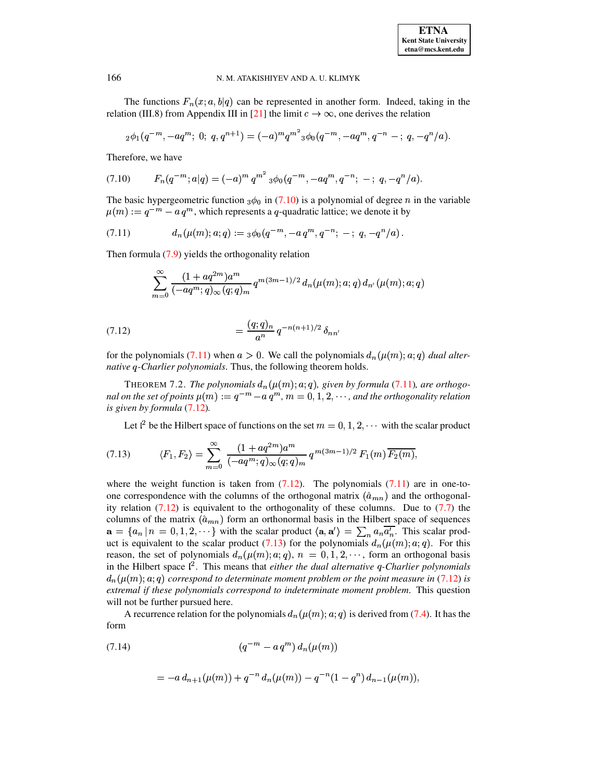The functions  $F_n(x; a, b|q)$  can be represented in another form. Indeed, taking in the relation (III.8) from Appendix III in [21] the limit  $c \to \infty$ , one derives the relation

$$
{}_2\phi_1(q^{-m}, -aq^m; 0; q, q^{n+1}) = (-a)^m q^{m^2} {}_3\phi_0(q^{-m}, -aq^m, q^{-n} -; q, -q^n/a).
$$

<span id="page-58-0"></span>Therefore, we have

$$
(7.10) \tFn(q-m; a|q) = (-a)m qm2 {}3\phi0(q-m, -aqm, q-n; -; q, -qn/a).
$$

The basic hypergeometric function  $_3\phi_0$  in (7.10) is a polynomial of degree *n* in the variable  $\mu(m) := q^{-m} - a q^m$ , which represents a q-quadratic lattice; we denote it by

$$
(7.11) \t dn(\mu(m);a;q) := {}_3\phi_0(q^{-m},-a q^m,q^{-n}; -; q,-q^n/a)
$$

Then formula  $(7.9)$  yields the orthogonality relation

<span id="page-58-1"></span>
$$
\sum_{m=0}^{\infty} \frac{(1+aq^{2m})a^m}{(-aq^m;q)_{\infty}(q;q)_m} q^{m(3m-1)/2} d_n(\mu(m);a;q) d_{n'}(\mu(m);a;q)
$$

<span id="page-58-2"></span>(7.12) 
$$
= \frac{(q;q)_n}{a^n} q^{-n(n+1)/2} \delta_{nn}
$$

for the polynomials (7.11) when  $a > 0$ . We call the polynomials  $d_n(\mu(m); a; q)$  dual alter*native q-Charlier polynomials.* Thus, the following theorem holds.

THEOREM 7.2. The polynomials  $d_n(\mu(m); a; q)$ , given by formula (7.11), are orthogonal on the set of points  $\mu(m) := q^{-m} - a q^m$ ,  $m = 0, 1, 2, \cdots$ , and the orthogonality relation is given by formula (7.12).

<span id="page-58-3"></span>Let  $l^2$  be the Hilbert space of functions on the set  $m = 0, 1, 2, \cdots$  with the scalar product

$$
(7.13) \t \langle F_1, F_2 \rangle = \sum_{m=0}^{\infty} \frac{(1 + aq^{2m})a^m}{(-aq^m;q)_{\infty}(q;q)_m} q^{m(3m-1)/2} F_1(m) \overline{F_2(m)},
$$

where the weight function is taken from  $(7.12)$ . The polynomials  $(7.11)$  are in one-toone correspondence with the columns of the orthogonal matrix  $(\hat{a}_{mn})$  and the orthogonality relation  $(7.12)$  is equivalent to the orthogonality of these columns. Due to  $(7.7)$  the columns of the matrix  $(\hat{a}_{mn})$  form an orthonormal basis in the Hilbert space of sequences  $\mathbf{a} = \{a_n | n = 0, 1, 2, \cdots\}$  with the scalar product  $\langle \mathbf{a}, \mathbf{a}' \rangle = \sum_n a_n \overline{a'_n}$ . This scalar product is equivalent to the scalar product (7.13) for the polynomials  $d_n(\mu(m); a; q)$ . For this reason, the set of polynomials  $d_n(\mu(m); a; q)$ ,  $n = 0, 1, 2, \dots$ , form an orthogonal basis in the Hilbert space  $\ell^2$ . This means that *either the dual alternative q-Charlier polynomials*  $d_n(\mu(m); \alpha; q)$  correspond to determinate moment problem or the point measure in (7.12) is extremal if these polynomials correspond to indeterminate moment problem. This question will not be further pursued here.

<span id="page-58-4"></span>A recurrence relation for the polynomials  $d_n(\mu(m); a; q)$  is derived from (7.4). It has the form

(7.14) 
$$
(q^{-m} - a q^{m}) d_{n}(\mu(m))
$$

$$
= -a d_{n+1}(\mu(m)) + q^{-n} d_n(\mu(m)) - q^{-n}(1-q^n) d_{n-1}(\mu(m)),
$$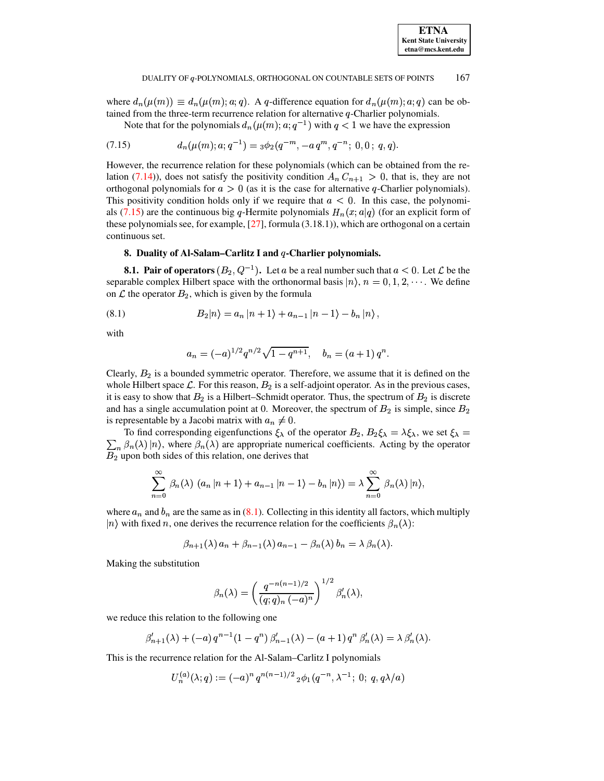where  $d_n(\mu(m)) \equiv d_n(\mu(m); a; q)$ . A q-difference equation for  $d_n(\mu(m); a; q)$  can be obtained from the three-term recurrence relation for alternative  $q$ -Charlier polynomials.

<span id="page-59-0"></span>Note that for the polynomials  $d_n(\mu(m); a; q^{-1})$  with  $q < 1$  we have the expression

$$
(7.15) \t dn(\mu(m);a;q-1) = {}_3\phi_2(q-m, -a qm, q-n; 0,0; q,q).
$$

However, the recurrence relation for these polynomials (which can be obtained from the relation (7.14)), does not satisfy the positivity condition  $A_n C_{n+1} > 0$ , that is, they are not orthogonal polynomials for  $a > 0$  (as it is the case for alternative q-Charlier polynomials). This positivity condition holds only if we require that  $a < 0$ . In this case, the polynomials (7.15) are the continuous big q-Hermite polynomials  $H_n(x; a|q)$  (for an explicit form of these polynomials see, for example,  $[27]$ , formula  $(3.18.1)$ ), which are orthogonal on a certain continuous set.

# 8. Duality of Al-Salam-Carlitz I and  $q$ -Charlier polynomials.

**8.1. Pair of operators**  $(B_2, Q^{-1})$ . Let a be a real number such that  $a < 0$ . Let  $\mathcal L$  be the separable complex Hilbert space with the orthonormal basis  $|n\rangle$ ,  $n = 0, 1, 2, \dots$ . We define on  $\mathcal L$  the operator  $B_2$ , which is given by the formula

(8.1) 
$$
B_2|n\rangle = a_n|n+1\rangle + a_{n-1}|n-1\rangle - b_n|n\rangle,
$$

with

<span id="page-59-1"></span>
$$
a_n = (-a)^{1/2} q^{n/2} \sqrt{1 - q^{n+1}}, \quad b_n = (a+1) q^n.
$$

Clearly,  $B_2$  is a bounded symmetric operator. Therefore, we assume that it is defined on the whole Hilbert space  $\mathcal{L}$ . For this reason,  $B_2$  is a self-adjoint operator. As in the previous cases, it is easy to show that  $B_2$  is a Hilbert–Schmidt operator. Thus, the spectrum of  $B_2$  is discrete and has a single accumulation point at 0. Moreover, the spectrum of  $B_2$  is simple, since  $B_2$ is representable by a Jacobi matrix with  $a_n \neq 0$ .

To find corresponding eigenfunctions  $\xi_{\lambda}$  of the operator  $B_2$ ,  $B_2\xi_{\lambda} = \lambda \xi_{\lambda}$ , we set  $\xi_{\lambda} =$  $\sum_{n} \beta_n(\lambda) |n\rangle$ , where  $\beta_n(\lambda)$  are appropriate numerical coefficients. Acting by the operator  $B<sub>2</sub>$  upon both sides of this relation, one derives that

$$
\sum_{n=0}^{\infty} \beta_n(\lambda) \left( a_n | n+1 \rangle + a_{n-1} | n-1 \rangle - b_n | n \rangle \right) = \lambda \sum_{n=0}^{\infty} \beta_n(\lambda) | n \rangle,
$$

where  $a_n$  and  $b_n$  are the same as in (8.1). Collecting in this identity all factors, which multiply  $|n\rangle$  with fixed n, one derives the recurrence relation for the coefficients  $\beta_n(\lambda)$ :

$$
\beta_{n+1}(\lambda) a_n + \beta_{n-1}(\lambda) a_{n-1} - \beta_n(\lambda) b_n = \lambda \beta_n(\lambda).
$$

Making the substitution

$$
\beta_n(\lambda) = \left(\frac{q^{-n(n-1)/2}}{(q;q)_n (-a)^n}\right)^{1/2} \beta'_n(\lambda),
$$

we reduce this relation to the following one

$$
\beta'_{n+1}(\lambda) + (-a) q^{n-1} (1 - q^n) \beta'_{n-1}(\lambda) - (a+1) q^n \beta'_{n}(\lambda) = \lambda \beta'_{n}(\lambda).
$$

This is the recurrence relation for the Al-Salam–Carlitz I polynomials

$$
U_n^{(a)}(\lambda;q):=(-a)^n q^{n(n-1)/2} {}_2\phi_1(q^{-n},\lambda^{-1}; 0; q, q\lambda/a)
$$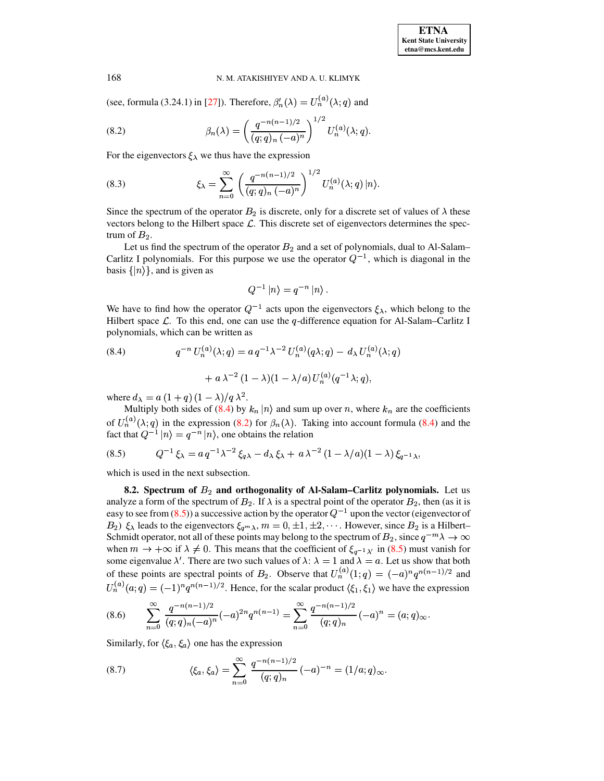(see, formula (3.24.1) in [27]). Therefore,  $\beta_n'(\lambda) = U_n^{(a)}(\lambda; q)$  and

<span id="page-60-1"></span>(8.2) 
$$
\beta_n(\lambda) = \left(\frac{q^{-n(n-1)/2}}{(q;q)_n (-a)^n}\right)^{1/2} U_n^{(a)}(\lambda;q)
$$

For the eigenvectors  $\xi_{\lambda}$  we thus have the expression

(8.3) 
$$
\xi_{\lambda} = \sum_{n=0}^{\infty} \left( \frac{q^{-n(n-1)/2}}{(q;q)_n (-a)^n} \right)^{1/2} U_n^{(a)}(\lambda;q) |n\rangle.
$$

Since the spectrum of the operator  $B_2$  is discrete, only for a discrete set of values of  $\lambda$  these vectors belong to the Hilbert space  $\mathcal{L}$ . This discrete set of eigenvectors determines the spectrum of  $B_2$ .

Let us find the spectrum of the operator  $B_2$  and a set of polynomials, dual to Al-Salam-Carlitz I polynomials. For this purpose we use the operator  $Q^{-1}$ , which is diagonal in the basis  $\{|n\rangle\}$ , and is given as

<span id="page-60-0"></span>
$$
Q^{-1} |n\rangle = q^{-n} |n\rangle
$$

We have to find how the operator  $Q^{-1}$  acts upon the eigenvectors  $\xi_{\lambda}$ , which belong to the Hilbert space  $\mathcal{L}$ . To this end, one can use the q-difference equation for Al-Salam–Carlitz I polynomials, which can be written as

(8.4) 
$$
q^{-n} U_n^{(a)}(\lambda;q) = a q^{-1} \lambda^{-2} U_n^{(a)}(q\lambda;q) - d_\lambda U_n^{(a)}(\lambda;q) + a \lambda^{-2} (1-\lambda)(1-\lambda/a) U_n^{(a)}(q^{-1}\lambda;q),
$$

where  $d_{\lambda} = a(1+q)(1-\lambda)/q\lambda^2$ .

Multiply both sides of (8.4) by  $k_n |n\rangle$  and sum up over n, where  $k_n$  are the coefficients of  $U_n^{(a)}(\lambda;q)$  in the expression (8.2) for  $\beta_n(\lambda)$ . Taking into account formula (8.4) and the fact that  $Q^{-1} |n\rangle = q^{-n} |n\rangle$ , one obtains the relation

<span id="page-60-2"></span>(8.5) 
$$
Q^{-1}\xi_{\lambda} = a q^{-1}\lambda^{-2}\xi_{q\lambda} - d_{\lambda}\xi_{\lambda} + a \lambda^{-2} (1 - \lambda/a)(1 - \lambda)\xi_{q^{-1}\lambda},
$$

which is used in the next subsection.

8.2. Spectrum of  $B_2$  and orthogonality of Al-Salam–Carlitz polynomials. Let us analyze a form of the spectrum of  $B_2$ . If  $\lambda$  is a spectral point of the operator  $B_2$ , then (as it is easy to see from (8.5)) a successive action by the operator  $Q^{-1}$  upon the vector (eigenvector of  $B_2$ )  $\xi_{\lambda}$  leads to the eigenvectors  $\xi_{q^m\lambda}$ ,  $m = 0, \pm 1, \pm 2, \cdots$ . However, since  $B_2$  is a Hilbert-Schmidt operator, not all of these points may belong to the spectrum of  $B_2$ , since  $q^{-m}\lambda \to \infty$ when  $m \to +\infty$  if  $\lambda \neq 0$ . This means that the coefficient of  $\xi_{q^{-1}\lambda'}$  in (8.5) must vanish for some eigenvalue  $\lambda'$ . There are two such values of  $\lambda$ :  $\lambda = 1$  and  $\lambda = a$ . Let us show that both of these points are spectral points of  $B_2$ . Observe that  $U_n^{(a)}(1;q) = (-a)^n q^{n(n-1)/2}$  and  $U_n^{(a)}(a;q) = (-1)^n q^{n(n-1)/2}$ . Hence, for the scalar product  $\langle \xi_1, \xi_1 \rangle$  we have the expression

<span id="page-60-3"></span>
$$
(8.6) \qquad \sum_{n=0}^{\infty} \frac{q^{-n(n-1)/2}}{(q;q)_n(-a)^n} (-a)^{2n} q^{n(n-1)} = \sum_{n=0}^{\infty} \frac{q^{-n(n-1)/2}}{(q;q)_n} (-a)^n = (a;q)_{\infty}.
$$

<span id="page-60-4"></span>Similarly, for  $\langle \xi_a, \xi_a \rangle$  one has the expression

(8.7) 
$$
\langle \xi_a, \xi_a \rangle = \sum_{n=0}^{\infty} \frac{q^{-n(n-1)/2}}{(q;q)_n} (-a)^{-n} = (1/a;q)_{\infty}.
$$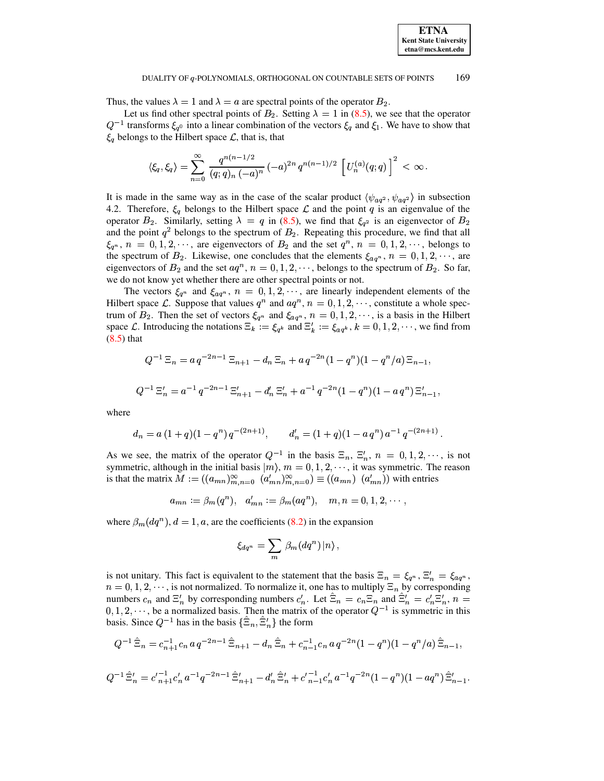Thus, the values  $\lambda = 1$  and  $\lambda = a$  are spectral points of the operator  $B_2$ .

Let us find other spectral points of  $B_2$ . Setting  $\lambda = 1$  in [\(8.5\)](#page-60-2), we see that the operator  $Q^{-1}$  transforms  $\xi_{q0}$  into a linear combination of the vectors  $\xi_{q}$  and  $\xi_{1}$ . We have to show that  $\xi_q$  belongs to the Hilbert space  $\mathcal{L}$ , that is, that

$$
\langle \xi_q, \xi_q \rangle = \sum_{n=0}^\infty \, \frac{q^{n(n-1/2)}}{(q;q)_n \, (-a)^n} \, (-a)^{2n} \, q^{n(n-1)/2} \, \left[ \, U^{(a)}_n(q;q) \, \right]^2 \, < \, \infty \, .
$$

It is made in the same way as in the case of the scalar product  $\langle \psi_{aq^2}, \psi_{aq^2} \rangle$  in subsection 4.2. Therefore,  $\xi_q$  belongs to the Hilbert space  $\mathcal L$  and the point q is an eigenvalue of the operator  $B_2$ . Similarly, setting  $\lambda = q$  in [\(8.5\)](#page-60-2), we find that  $\xi_{q^2}$  is an eigenvector of  $B_2$ and the point  $q^2$  belongs to the spectrum of  $B_2$ . Repeating this procedure, we find that all  $\xi_{q^n}$ ,  $n = 0, 1, 2, \cdots$ , are eigenvectors of  $B_2$  and the set  $q^n$ ,  $n = 0, 1, 2, \cdots$ , belongs to the spectrum of  $B_2$ . Likewise, one concludes that the elements  $\xi_{aq^n}$ ,  $n = 0, 1, 2, \dots$ , are eigenvectors of  $B_2$  and the set  $aq^n$ ,  $n = 0, 1, 2, \dots$ , belongs to the spectrum of  $B_2$ . So far, we do not know yet whether there are other spectral points or not.

The vectors  $\xi_{q^n}$  and  $\xi_{aq^n}$ ,  $n = 0, 1, 2, \cdots$ , are linearly independent elements of the Hilbert space  $\mathcal{L}$ . Suppose that values  $q^n$  and  $aq^n$ ,  $n = 0, 1, 2, \cdots$ , constitute a whole spectrum of  $B_2$ . Then the set of vectors  $\xi_{q^n}$  and  $\xi_{aq^n}$ ,  $n = 0, 1, 2, \dots$ , is a basis in the Hilbert space  $\mathcal{L}$ . Introducing the notations  $\Xi_k := \xi_{q^k}$  and  $\Xi'_k := \xi_{aq^k}, k = 0, 1, 2, \cdots$ , we find from [\(8.5\)](#page-60-2) that

$$
Q^{-1} \Xi_n = a q^{-2n-1} \Xi_{n+1} - d_n \Xi_n + a q^{-2n} (1 - q^n) (1 - q^n/a) \Xi_{n-1},
$$
  

$$
Q^{-1} \Xi'_n = a^{-1} q^{-2n-1} \Xi'_{n+1} - d'_n \Xi'_n + a^{-1} q^{-2n} (1 - q^n) (1 - a q^n) \Xi'_{n-1},
$$

where

$$
d_n = a (1+q)(1-q^n) q^{-(2n+1)}, \qquad d'_n = (1+q)(1-a q^n) a^{-1} q^{-(2n+1)}.
$$

As we see, the matrix of the operator  $Q^{-1}$  in the basis  $\Xi_n$ ,  $\Xi'_n$ ,  $n = 0, 1, 2, \dots$ , is not symmetric, although in the initial basis  $|m\rangle$ ,  $m = 0, 1, 2, \dots$ , it was symmetric. The reason is that the matrix  $M := ((a_{mn})_{m,n=0}^{\infty} (a'_{mn})_{m,n=0}^{\infty}) \equiv ((a_{mn})_{m,n=0}^{\infty})$  with entries

$$
a_{mn} := \beta_m(q^n), \quad a'_{mn} := \beta_m(aq^n), \quad m, n = 0, 1, 2, \cdots,
$$

where  $\beta_m(dq^n)$ ,  $d = 1$ , a, are the coefficients [\(8.2\)](#page-60-1) in the expansion

$$
\xi_{dq^n} = \sum_m \, \beta_m(dq^n) \, |n\rangle \, ,
$$

is not unitary. This fact is equivalent to the statement that the basis  $\Xi_n = \xi_{q^n}, \Xi'_n = \xi_{aq^n},$  $n = 0, 1, 2, \dots$ , is not normalized. To normalize it, one has to multiply  $\Xi_n$  by corresponding numbers  $c_n$  and  $\Xi'_n$  by corresponding numbers  $c'_n$ . Let  $\Xi_n = c_n \Xi_n$  and  $\Xi'_n = c'_n \Xi'_n$ ,  $n =$  $(0, 1, 2, \dots)$ , be a normalized basis. Then the matrix of the operator  $Q^{-1}$  is symmetric in this basis. Since  $Q^{-1}$  has in the basis  $\{\Xi_n, \Xi'_n\}$  the form

$$
Q^{-1}\hat{\Xi}_n = c_{n+1}^{-1}c_n a q^{-2n-1}\hat{\Xi}_{n+1} - d_n \hat{\Xi}_n + c_{n-1}^{-1}c_n a q^{-2n} (1 - q^n)(1 - q^n/a)\hat{\Xi}_{n-1},
$$
  
\n
$$
Q^{-1}\hat{\Xi}'_n = c_{n+1}^{-1}c_n' a^{-1}q^{-2n-1}\hat{\Xi}'_{n+1} - d_n' \hat{\Xi}'_n + c_{n-1}^{-1}c_n' a^{-1}q^{-2n} (1 - q^n)(1 - aq^n)\hat{\Xi}'_{n-1}.
$$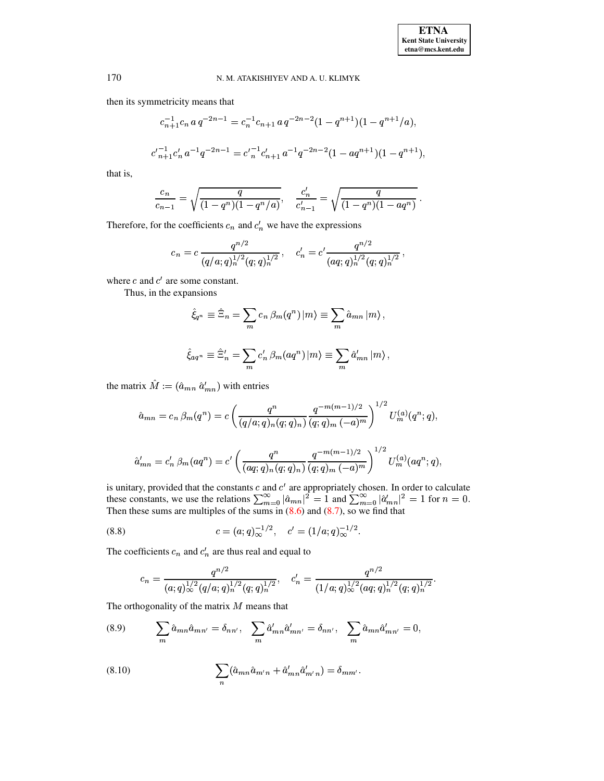then its symmetricity means that

$$
c_{n+1}^{-1}c_n a q^{-2n-1} = c_n^{-1}c_{n+1} a q^{-2n-2} (1 - q^{n+1})(1 - q^{n+1}/a),
$$
  

$$
c'_{n+1}c'_n a^{-1} q^{-2n-1} = c'_n c'_{n+1} a^{-1} q^{-2n-2} (1 - a q^{n+1})(1 - q^{n+1}),
$$

that is,

$$
\frac{c_n}{c_{n-1}} = \sqrt{\frac{q}{(1-q^n)(1-q^n/a)}}, \quad \frac{c'_n}{c'_{n-1}} = \sqrt{\frac{q}{(1-q^n)(1-aq^n)}}.
$$

Therefore, for the coefficients  $c_n$  and  $c'_n$  we have the expressions

$$
c_n = c \, \frac{q^{n/2}}{(q/a;q)_n^{1/2}(q;q)_n^{1/2}}, \quad c'_n = c' \frac{q^{n/2}}{(aq;q)_n^{1/2}(q;q)_n^{1/2}}
$$

where  $c$  and  $c'$  are some constant.

Thus, in the expansions

$$
\hat{\xi}_{q^n} \equiv \hat{\Xi}_n = \sum_m c_n \,\beta_m(q^n) \, |m\rangle \equiv \sum_m \hat{a}_{mn} \, |m\rangle \,,
$$
  

$$
\hat{\xi}_{aq^n} \equiv \hat{\Xi}'_n = \sum_m c'_n \,\beta_m(aq^n) \, |m\rangle \equiv \sum_m \hat{a}'_{mn} \, |m\rangle \,,
$$

the matrix  $\hat{M} := (\hat{a}_{mn} \hat{a}_{mn}')$  with entries

$$
\hat{a}_{mn} = c_n \beta_m(q^n) = c \left( \frac{q^n}{(q/a;q)_n (q;q)_n} \frac{q^{-m(m-1)/2}}{(q;q)_m (-a)^m} \right)^{1/2} U_m^{(a)}(q^n;q),
$$
  

$$
\hat{a}'_{mn} = c'_n \beta_m(aq^n) = c' \left( \frac{q^n}{(aq;q)_n (q;q)_n} \frac{q^{-m(m-1)/2}}{(q;q)_m (-a)^m} \right)^{1/2} U_m^{(a)}(aq^n;q),
$$

is unitary, provided that the constants c and c' are appropriately chosen. In order to calculate these constants, we use the relations  $\sum_{m=0}^{\infty} |\hat{a}_{mn}|^2 = 1$  and  $\sum_{m=0}^{\infty} |\hat{a}'_{mn}|^2 = 1$  for  $n = 0$ .<br>Then these sums

(8.8) 
$$
c = (a;q)_\infty^{-1/2}, \quad c' = (1/a;q)_\infty^{-1/2}.
$$

The coefficients  $c_n$  and  $c'_n$  are thus real and equal to

<span id="page-62-2"></span><span id="page-62-1"></span>
$$
c_n = \frac{q^{n/2}}{(a;q)_\infty^{1/2}(q/a;q)_n^{1/2}(q;q)_n^{1/2}}, \quad c'_n = \frac{q^{n/2}}{(1/a;q)_\infty^{1/2}(aq;q)_n^{1/2}(q;q)_n^{1/2}}.
$$

The orthogonality of the matrix  $M$  means that

(8.9) 
$$
\sum_{m} \hat{a}_{mn} \hat{a}_{mn'} = \delta_{nn'}, \sum_{m} \hat{a}'_{mn} \hat{a}'_{mn'} = \delta_{nn'}, \sum_{m} \hat{a}_{mn} \hat{a}'_{mn'} = 0,
$$

<span id="page-62-0"></span>(8.10) 
$$
\sum_{n} (\hat{a}_{mn}\hat{a}_{m'n} + \hat{a}'_{mn}\hat{a}'_{m'n}) = \delta_{mm'}.
$$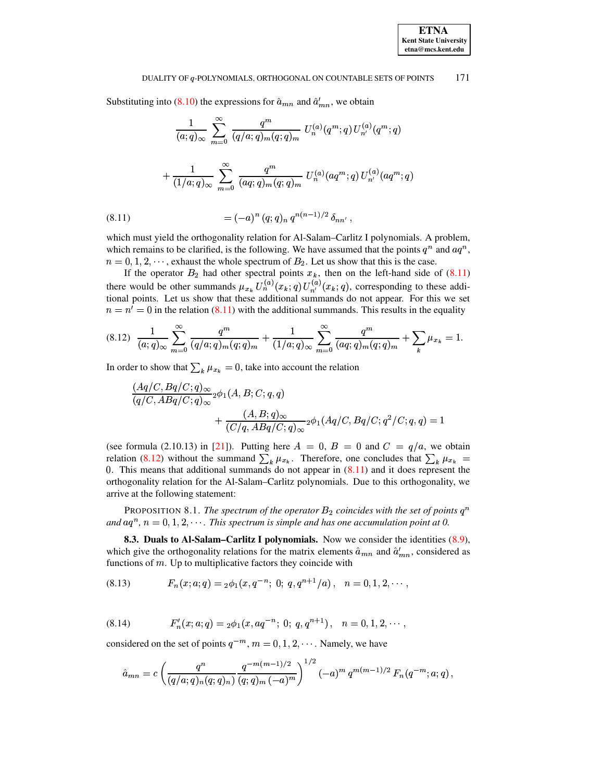Substituting into (8.10) the expressions for  $\hat{a}_{mn}$  and  $\hat{a}'_{mn}$ , we obtain

$$
\frac{1}{(a;q)_{\infty}} \sum_{m=0}^{\infty} \frac{q^m}{(q/a;q)_m (q;q)_m} U_n^{(a)}(q^m;q) U_{n'}^{(a)}(q^m;q)
$$

$$
+ \frac{1}{(1/a;q)_{\infty}} \sum_{m=0}^{\infty} \frac{q^m}{(aq;q)_m (q;q)_m} U_n^{(a)}(aq^m;q) U_{n'}^{(a)}(aq^m;q)
$$

<span id="page-63-0"></span>(8.11) 
$$
= (-a)^n (q;q)_n q^{n(n-1)/2} \delta_{nn'},
$$

which must yield the orthogonality relation for Al-Salam-Carlitz I polynomials. A problem, which remains to be clarified, is the following. We have assumed that the points  $q^n$  and  $aq^n$ ,  $n = 0, 1, 2, \dots$ , exhaust the whole spectrum of  $B_2$ . Let us show that this is the case.

If the operator  $B_2$  had other spectral points  $x_k$ , then on the left-hand side of (8.11)<br>there would be other summands  $\mu_{x_k} U_n^{(a)}(x_k; q) U_{n'}^{(a)}(x_k; q)$ , corresponding to these additional points. Let us show that these additional summands do not appear. For this we set  $n = n' = 0$  in the relation (8.11) with the additional summands. This results in the equality

$$
(8.12) \frac{1}{(a;q)_{\infty}} \sum_{m=0}^{\infty} \frac{q^m}{(q/a;q)_m (q;q)_m} + \frac{1}{(1/a;q)_{\infty}} \sum_{m=0}^{\infty} \frac{q^m}{(aq;q)_m (q;q)_m} + \sum_{k} \mu_{x_k} = 1.
$$

In order to show that  $\sum_{k} \mu_{x_k} = 0$ , take into account the relation

<span id="page-63-1"></span>
$$
\frac{(Aq/C, Bq/C;q)_\infty}{(q/C, ABq/C;q)_\infty} {}_2\phi_1(A, B; C; q, q)
$$
  
+ 
$$
\frac{(A, B; q)_\infty}{(C/q, ABq/C;q)_\infty} {}_2\phi_1(Aq/C, Bq/C;q^2/C; q, q) = 1
$$

(see formula (2.10.13) in [21]). Putting here  $A = 0$ ,  $B = 0$  and  $C = q/a$ , we obtain relation (8.12) without the summand  $\sum_k \mu_{x_k}$ . Therefore, one concludes that  $\sum_k \mu_{x_k}$ 0. This means that additional summands do not appear in  $(8.11)$  and it does represent the orthogonality relation for the Al-Salam-Carlitz polynomials. Due to this orthogonality, we arrive at the following statement:

PROPOSITION 8.1. The spectrum of the operator  $B_2$  coincides with the set of points  $q^n$ and  $aq^n$ ,  $n = 0, 1, 2, \cdots$ . This spectrum is simple and has one accumulation point at 0.

8.3. Duals to Al-Salam-Carlitz I polynomials. Now we consider the identities (8.9), which give the orthogonality relations for the matrix elements  $\hat{a}_{mn}$  and  $\hat{a}'_{mn}$ , considered as functions of  $m$ . Up to multiplicative factors they coincide with

<span id="page-63-2"></span>
$$
(8.13) \tFn(x; a; q) = {}_2\phi_1(x, q^{-n}; 0; q, q^{n+1}/a), \quad n = 0, 1, 2, \cdots,
$$

<span id="page-63-3"></span>(8.14) 
$$
F'_n(x;a;q) = {}_2\phi_1(x,aq^{-n}; 0; q,q^{n+1}), \quad n = 0,1,2,\cdots,
$$

considered on the set of points  $q^{-m}$ ,  $m = 0, 1, 2, \cdots$ . Namely, we have

$$
\hat{a}_{mn} = c \left( \frac{q^n}{(q/a;q)_n (q;q)_n} \frac{q^{-m(m-1)/2}}{(q;q)_m (-a)^m} \right)^{1/2} (-a)^m q^{m(m-1)/2} F_n(q^{-m};a;q)
$$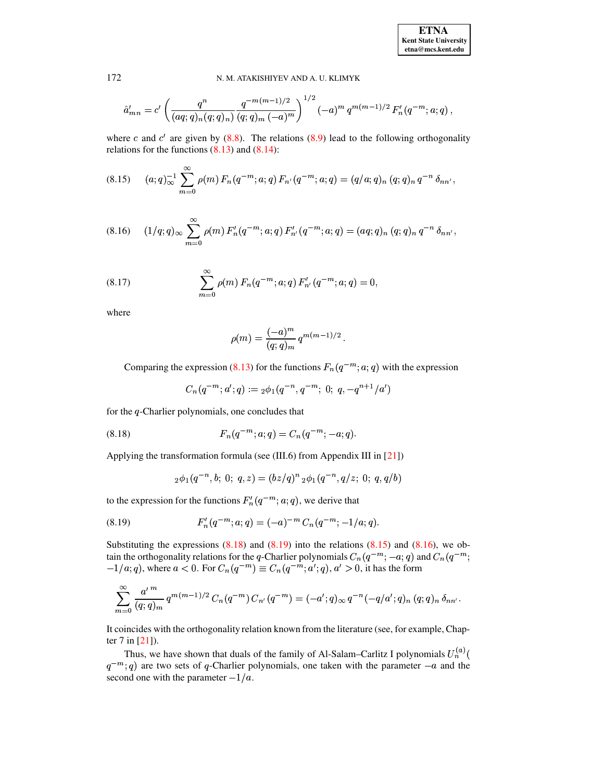**ETNA Kent State University**  $etna@mcs. kent.edu$ 

#### <span id="page-64-2"></span>N. M. ATAKISHIYEV AND A. U. KLIMYK

$$
\hat{a}'_{mn} = c' \left( \frac{q^n}{(aq;q)_n(q;q)_n} \frac{q^{-m(m-1)/2}}{(q;q)_m (-a)^m} \right)^{1/2} (-a)^m q^{m(m-1)/2} F'_n(q^{-m};a;q),
$$

where c and c' are given by  $(8.8)$ . The relations  $(8.9)$  lead to the following orthogonality relations for the functions  $(8.13)$  and  $(8.14)$ :

$$
(8.15) \quad (a;q)_\infty^{-1} \sum_{m=0}^\infty \rho(m) \, F_n(q^{-m};a;q) \, F_{n'}(q^{-m};a;q) = (q/a;q)_n \, (q;q)_n \, q^{-n} \, \delta_{nn'}
$$

<span id="page-64-3"></span>
$$
(8.16) \quad (1/q;q)_{\infty} \sum_{m=0}^{\infty} \rho(m) F'_n(q^{-m};a;q) F'_{n'}(q^{-m};a;q) = (aq;q)_n (q;q)_n q^{-n} \delta_{nn'} ,
$$

<span id="page-64-4"></span>(8.17) 
$$
\sum_{m=0}^{\infty} \rho(m) F_n(q^{-m}; a; q) F'_{n'}(q^{-m}; a; q) = 0,
$$

where

$$
\rho(m) = \frac{(-a)^m}{(q;q)_m} q^{m(m-1)/2}
$$

Comparing the expression (8.13) for the functions  $F_n(q^{-m}; a; q)$  with the expression

<span id="page-64-0"></span>
$$
C_n(q^{-m};a';q) := {}_2\phi_1(q^{-n},q^{-m}; 0; q,-q^{n+1}/a')
$$

for the  $q$ -Charlier polynomials, one concludes that

(8.18) 
$$
F_n(q^{-m}; a; q) = C_n(q^{-m}; -a; q).
$$

Applying the transformation formula (see (III.6) from Appendix III in [21])

<span id="page-64-1"></span>
$$
{}_2\phi_1(q^{-n},b;\;0;\;q,z)=(bz/q)^n\,{}_2\phi_1(q^{-n},q/z;\;0;\;q,q/b)
$$

to the expression for the functions  $F_n'(q^{-m}; a; q)$ , we derive that

(8.19) 
$$
F'_n(q^{-m}; a; q) = (-a)^{-m} C_n(q^{-m}; -1/a; q)
$$

Substituting the expressions  $(8.18)$  and  $(8.19)$  into the relations  $(8.15)$  and  $(8.16)$ , we obtain the orthogonality relations for the q-Charlier polynomials  $C_n(q^{-m};-a;q)$  and  $C_n(q^{-m};$  $-1/a$ ; q), where  $a < 0$ . For  $C_n(q^{-m}) \equiv C_n(q^{-m}; a'; q)$ ,  $a' > 0$ , it has the form

$$
\sum_{m=0}^{\infty} \frac{a'^m}{(q;q)_m} q^{m(m-1)/2} C_n(q^{-m}) C_{n'}(q^{-m}) = (-a';q)_{\infty} q^{-n} (-q/a';q)_n (q;q)_n \delta_{nn'}
$$

It coincides with the orthogonality relation known from the literature (see, for example, Chapter  $7$  in  $[21]$ ).

Thus, we have shown that duals of the family of Al-Salam–Carlitz I polynomials  $U_n^{(a)}$  $q^{-m}$ ; q) are two sets of q-Charlier polynomials, one taken with the parameter  $-a$  and the second one with the parameter  $-1/a$ .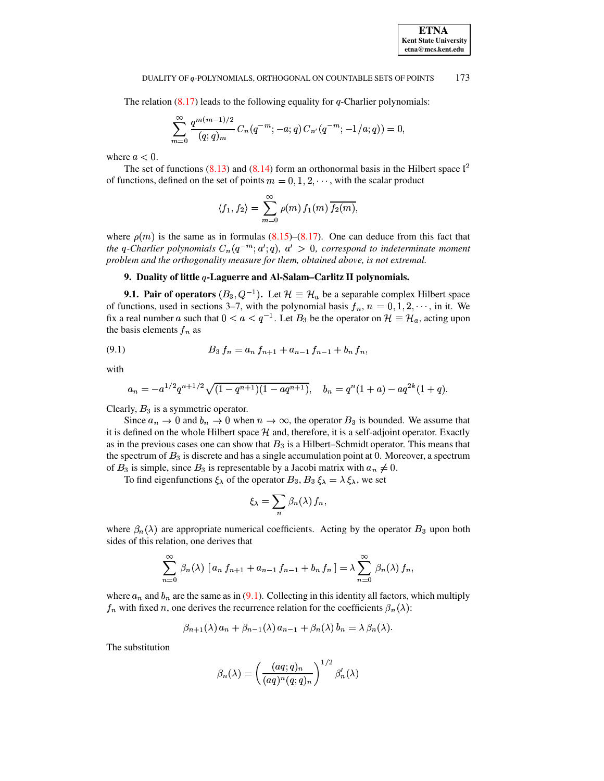The relation  $(8.17)$  leads to the following equality for q-Charlier polynomials:

$$
\sum_{m=0}^{\infty} \frac{q^{m(m-1)/2}}{(q;q)_m} C_n(q^{-m};-a;q) C_{n'}(q^{-m};-1/a;q)) = 0
$$

where  $a < 0$ .

The set of functions (8.13) and (8.14) form an orthonormal basis in the Hilbert space  $l^2$ of functions, defined on the set of points  $m = 0, 1, 2, \dots$ , with the scalar product

$$
\langle f_1, f_2 \rangle = \sum_{m=0}^{\infty} \rho(m) f_1(m) \overline{f_2(m)},
$$

where  $\rho(m)$  is the same as in formulas (8.15)–(8.17). One can deduce from this fact that the q-Charlier polynomials  $C_n(q^{-m};a';q)$ ,  $a' > 0$ , correspond to indeterminate moment problem and the orthogonality measure for them, obtained above, is not extremal.

# 9. Duality of little  $q$ -Laguerre and Al-Salam-Carlitz II polynomials.

**9.1. Pair of operators**  $(B_3, Q^{-1})$ . Let  $\mathcal{H} \equiv \mathcal{H}_a$  be a separable complex Hilbert space of functions, used in sections 3–7, with the polynomial basis  $f_n$ ,  $n = 0, 1, 2, \dots$ , in it. We fix a real number a such that  $0 < a < q^{-1}$ . Let  $B_3$  be the operator on  $\mathcal{H} \equiv \mathcal{H}_a$ , acting upon the basis elements  $f_n$  as

<span id="page-65-0"></span>
$$
(9.1) \t B_3 f_n = a_n f_{n+1} + a_{n-1} f_{n-1} + b_n f_n,
$$

with

$$
a_n = -a^{1/2}q^{n+1/2}\sqrt{(1-q^{n+1})(1-aq^{n+1})}, \quad b_n = q^n(1+a) - aq^{2k}(1+q).
$$

Clearly,  $B_3$  is a symmetric operator.

Since  $a_n \to 0$  and  $b_n \to 0$  when  $n \to \infty$ , the operator  $B_3$  is bounded. We assume that it is defined on the whole Hilbert space  $H$  and, therefore, it is a self-adjoint operator. Exactly as in the previous cases one can show that  $B_3$  is a Hilbert–Schmidt operator. This means that the spectrum of  $B_3$  is discrete and has a single accumulation point at 0. Moreover, a spectrum of  $B_3$  is simple, since  $B_3$  is representable by a Jacobi matrix with  $a_n \neq 0$ .

To find eigenfunctions  $\xi_{\lambda}$  of the operator  $B_3$ ,  $B_3 \xi_{\lambda} = \lambda \xi_{\lambda}$ , we set

$$
\xi_{\lambda} = \sum_{n} \beta_{n}(\lambda) f_{n},
$$

where  $\beta_n(\lambda)$  are appropriate numerical coefficients. Acting by the operator  $B_3$  upon both sides of this relation, one derives that

$$
\sum_{n=0}^{\infty} \beta_n(\lambda) \left[ a_n f_{n+1} + a_{n-1} f_{n-1} + b_n f_n \right] = \lambda \sum_{n=0}^{\infty} \beta_n(\lambda) f_n,
$$

where  $a_n$  and  $b_n$  are the same as in (9.1). Collecting in this identity all factors, which multiply  $f_n$  with fixed n, one derives the recurrence relation for the coefficients  $\beta_n(\lambda)$ :

$$
\beta_{n+1}(\lambda) a_n + \beta_{n-1}(\lambda) a_{n-1} + \beta_n(\lambda) b_n = \lambda \beta_n(\lambda).
$$

The substitution

$$
\beta_n(\lambda) = \left(\frac{(aq;q)_n}{(aq)^n(q;q)_n}\right)^{1/2} \beta'_n(\lambda)
$$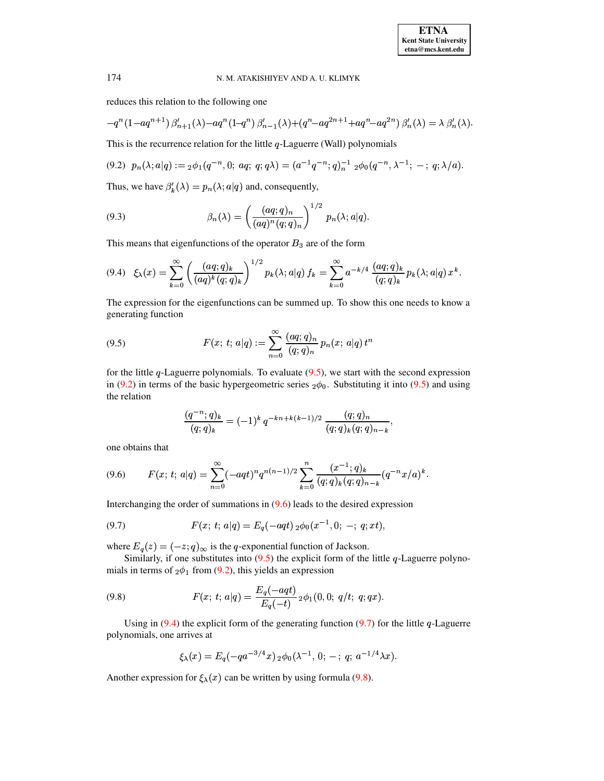reduces this relation to the following one

$$
-q^n(1-aq^{n+1})\,\beta'_{n+1}(\lambda)-aq^n(1-q^n)\,\beta'_{n-1}(\lambda)+(q^n-aq^{2n+1}+aq^n-aq^{2n})\,\beta'_n(\lambda)=\lambda\,\beta'_n(\lambda).
$$

<span id="page-66-1"></span>This is the recurrence relation for the little  $q$ -Laguerre (Wall) polynomials

$$
(9.2) \ \ p_n(\lambda; a|q) :=_2 \phi_1(q^{-n}, 0; \ aq; \ q; q\lambda) = (a^{-1}q^{-n}; q)_n^{-1} \ _2 \phi_0(q^{-n}, \lambda^{-1}; -; \ q; \lambda/a).
$$

<span id="page-66-6"></span>Thus, we have  $\beta'_k(\lambda) = p_n(\lambda; a|q)$  and, consequently,

(9.3) 
$$
\beta_n(\lambda) = \left(\frac{(aq;q)_n}{(aq)^n(q;q)_n}\right)^{1/2} p_n(\lambda;a|q).
$$

<span id="page-66-3"></span>This means that eigenfunctions of the operator  $B_3$  are of the form

$$
(9.4) \quad \xi_{\lambda}(x) = \sum_{k=0}^{\infty} \left( \frac{(aq;q)_k}{(aq)^k(q;q)_k} \right)^{1/2} p_k(\lambda; a|q) f_k = \sum_{k=0}^{\infty} a^{-k/4} \frac{(aq;q)_k}{(q;q)_k} p_k(\lambda; a|q) x^k.
$$

<span id="page-66-0"></span>The expression for the eigenfunctions can be summed up. To show this one needs to know a generating function

(9.5) 
$$
F(x; t; a|q) := \sum_{n=0}^{\infty} \frac{(aq; q)_n}{(q; q)_n} p_n(x; a|q) t^n
$$

for the little  $q$ -Laguerre polynomials. To evaluate  $(9.5)$ , we start with the second expression in [\(9.2\)](#page-66-1) in terms of the basic hypergeometric series  $_2\phi_0$ . Substituting it into [\(9.5\)](#page-66-0) and using the relation

<span id="page-66-4"></span>
$$
\frac{(q^{-n};q)_k}{(q;q)_k} = (-1)^k q^{-kn+k(k-1)/2} \frac{(q;q)_n}{(q;q)_k (q;q)_{n-k}},
$$

<span id="page-66-2"></span>one obtains that

$$
(9.6) \qquad F(x;\,t;\,a|q) = \sum_{n=0}^{\infty} (-aqt)^n q^{n(n-1)/2} \sum_{k=0}^n \frac{(x^{-1};q)_k}{(q;q)_k (q;q)_{n-k}} (q^{-n}x/a)^k.
$$

Interchanging the order of summations in  $(9.6)$  leads to the desired expression

(9.7) 
$$
F(x; t; a|q) = E_q(-aqt) \, {}_2\phi_0(x^{-1}, 0; -; q; xt),
$$

where  $E_q(z) = (-z; q)_{\infty}$  is the q-exponential function of Jackson.

Similarly, if one substitutes into  $(9.5)$  the explicit form of the little q-Laguerre polynomials in terms of  $_2\phi_1$  from [\(9.2\)](#page-66-1), this yields an expression

(9.8) 
$$
F(x; t; a|q) = \frac{E_q(-aqt)}{E_q(-t)} \, {}_2\phi_1(0,0; q/t; q; qx).
$$

Using in  $(9.4)$  the explicit form of the generating function  $(9.7)$  for the little q-Laguerre polynomials, one arrives at

<span id="page-66-5"></span>
$$
\xi_{\lambda}(x) = E_q(-qa^{-3/4}x) \, \partial_0(\lambda^{-1}, 0; -; q; a^{-1/4}\lambda x).
$$

Another expression for  $\xi_{\lambda}(x)$  can be written by using formula [\(9.8\)](#page-66-5).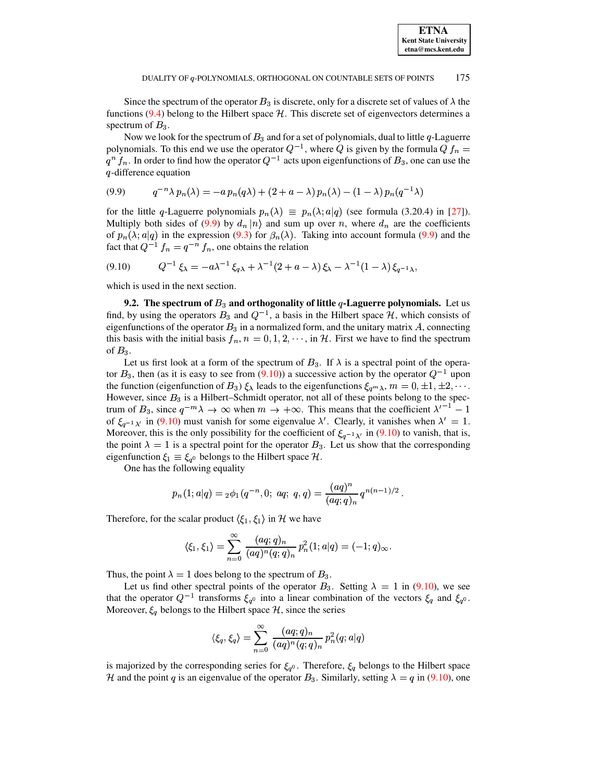Since the spectrum of the operator  $B_3$  is discrete, only for a discrete set of values of  $\lambda$  the functions (9.4) belong to the Hilbert space  $H$ . This discrete set of eigenvectors determines a spectrum of  $B_3$ .

Now we look for the spectrum of  $B_3$  and for a set of polynomials, dual to little q-Laguerre polynomials. To this end we use the operator  $Q^{-1}$ , where Q is given by the formula  $Q f_n =$  $q^n$   $f_n$ . In order to find how the operator  $Q^{-1}$  acts upon eigenfunctions of  $B_3$ , one can use the  $q$ -difference equation

<span id="page-67-0"></span>
$$
(9.9) \qquad q^{-n}\lambda \, p_n(\lambda) = -a \, p_n(q\lambda) + (2 + a - \lambda) \, p_n(\lambda) - (1 - \lambda) \, p_n(q^{-1}\lambda)
$$

for the little q-Laguerre polynomials  $p_n(\lambda) \equiv p_n(\lambda; a|q)$  (see formula (3.20.4) in [27]). Multiply both sides of (9.9) by  $d_n |n\rangle$  and sum up over n, where  $d_n$  are the coefficients of  $p_n(\lambda; a|q)$  in the expression (9.3) for  $\beta_n(\lambda)$ . Taking into account formula (9.9) and the fact that  $Q^{-1} f_n = q^{-n} f_n$ , one obtains the relation

<span id="page-67-1"></span>
$$
(9.10) \tQ^{-1}\xi_{\lambda} = -a\lambda^{-1}\xi_{q\lambda} + \lambda^{-1}(2+a-\lambda)\xi_{\lambda} - \lambda^{-1}(1-\lambda)\xi_{q^{-1}\lambda},
$$

which is used in the next section.

**9.2.** The spectrum of  $B_3$  and orthogonality of little q-Laguerre polynomials. Let us find, by using the operators  $B_3$  and  $Q^{-1}$ , a basis in the Hilbert space H, which consists of eigenfunctions of the operator  $B_3$  in a normalized form, and the unitary matrix  $A$ , connecting this basis with the initial basis  $f_n$ ,  $n = 0, 1, 2, \dots$ , in H. First we have to find the spectrum of  $B_3$ .

Let us first look at a form of the spectrum of  $B_3$ . If  $\lambda$  is a spectral point of the operator  $B_3$ , then (as it is easy to see from (9.10)) a successive action by the operator  $Q^{-1}$  upon the function (eigenfunction of  $B_3$ )  $\xi_{\lambda}$  leads to the eigenfunctions  $\xi_{q^m\lambda}$ ,  $m = 0, \pm 1, \pm 2, \cdots$ . However, since  $B_3$  is a Hilbert-Schmidt operator, not all of these points belong to the spectrum of  $B_3$ , since  $q^{-m}\lambda \to \infty$  when  $m \to +\infty$ . This means that the coefficient  $\lambda^{r-1} - 1$ of  $\xi_{q^{-1}\lambda'}$  in (9.10) must vanish for some eigenvalue  $\lambda'$ . Clearly, it vanishes when  $\lambda' = 1$ . Moreover, this is the only possibility for the coefficient of  $\xi_{q^{-1}\lambda}$  in (9.10) to vanish, that is, the point  $\lambda = 1$  is a spectral point for the operator  $B_3$ . Let us show that the corresponding eigenfunction  $\xi_1 \equiv \xi_{q^0}$  belongs to the Hilbert space H.

One has the following equality

$$
p_n(1;a|q) = {}_2\phi_1(q^{-n},0; aq; q,q) = \frac{(aq)^n}{(aq;q)_n} q^{n(n-1)/2}.
$$

Therefore, for the scalar product  $\langle \xi_1, \xi_1 \rangle$  in H we have

$$
\langle \xi_1, \xi_1 \rangle = \sum_{n=0}^{\infty} \frac{(aq;q)_n}{(aq)^n (q;q)_n} p_n^2(1;a|q) = (-1;q)_{\infty}.
$$

Thus, the point  $\lambda = 1$  does belong to the spectrum of  $B_3$ .

Let us find other spectral points of the operator  $B_3$ . Setting  $\lambda = 1$  in (9.10), we see that the operator  $Q^{-1}$  transforms  $\xi_{q^0}$  into a linear combination of the vectors  $\xi_q$  and  $\xi_{q^0}$ . Moreover,  $\xi_q$  belongs to the Hilbert space  $H$ , since the series

$$
\langle \xi_q, \xi_q \rangle = \sum_{n=0}^{\infty} \frac{(aq;q)_n}{(aq)^n (q;q)_n} p_n^2(q;a|q)
$$

is majorized by the corresponding series for  $\xi_{q}$ . Therefore,  $\xi_{q}$  belongs to the Hilbert space H and the point q is an eigenvalue of the operator  $B_3$ . Similarly, setting  $\lambda = q$  in (9.10), one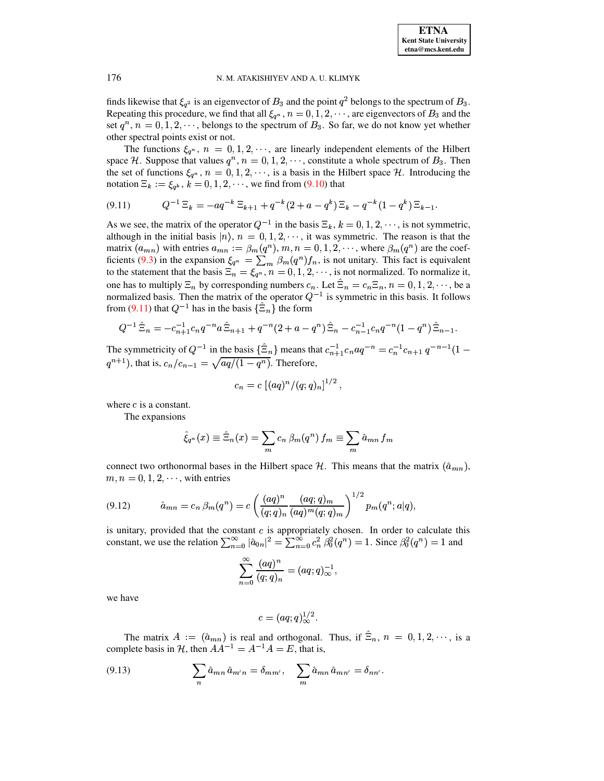finds likewise that  $\xi_{q^2}$  is an eigenvector of  $B_3$  and the point  $q^2$  belongs to the spectrum of  $B_3$ . Repeating this procedure, we find that all  $\xi_{q^n}$ ,  $n = 0, 1, 2, \dots$ , are eigenvectors of  $B_3$  and the set  $q^n$ ,  $n = 0, 1, 2, \dots$ , belongs to the spectrum of  $B_3$ . So far, we do not know yet whether other spectral points exist or not.

The functions  $\xi_{q^n}$ ,  $n = 0, 1, 2, \dots$ , are linearly independent elements of the Hilbert space H. Suppose that values  $q^n$ ,  $n = 0, 1, 2, \dots$ , constitute a whole spectrum of  $B_3$ . Then the set of functions  $\xi_{q^n}$ ,  $n = 0, 1, 2, \dots$ , is a basis in the Hilbert space H. Introducing the notation  $\Xi_k := \xi_{q^k}, k = 0, 1, 2, \dots$ , we find from (9.10) that

<span id="page-68-0"></span>
$$
(9.11) \tQ^{-1} \Xi_k = -aq^{-k} \Xi_{k+1} + q^{-k} (2 + a - q^k) \Xi_k - q^{-k} (1 - q^k) \Xi_{k-1}
$$

As we see, the matrix of the operator  $Q^{-1}$  in the basis  $\Xi_k$ ,  $k = 0, 1, 2, \dots$ , is not symmetric, although in the initial basis  $|n\rangle$ ,  $n = 0, 1, 2, \dots$ , it was symmetric. The reason is that the matrix  $(a_{mn})$  with entries  $a_{mn} := \beta_m(q^n), m, n = 0, 1, 2, \dots$ , where  $\beta_m(q^n)$  are the coefficients (9.3) in the expansion  $\xi_{q^n} = \sum_m \beta_m(q^n) f_n$ , is not unitary. This fact is equivalent to the statement that the basis  $\Xi_n = \xi_{q^n}$ ,  $n = 0, 1, 2, \cdots$ , is not normalized. To normalize it, one has to multiply  $\Xi_n$  by corresponding numbers  $c_n$ . Let  $\widehat{\Xi}_n = c_n \Xi_n$ ,  $n = 0, 1, 2, \cdots$ , be a normalized basis. Then the matrix of the operator  $Q^{-1}$  is symmetric in this basis. It follows from (9.11) that  $Q^{-1}$  has in the basis  $\{\hat{\Xi}_n\}$  the form

$$
Q^{-1}\hat{\Xi}_n = -c_{n+1}^{-1}c_n q^{-n} a \hat{\Xi}_{n+1} + q^{-n} (2 + a - q^n) \hat{\Xi}_n - c_{n-1}^{-1} c_n q^{-n} (1 - q^n) \hat{\Xi}_{n-1}.
$$

The symmetricity of  $Q^{-1}$  in the basis  $\{\hat{\Xi}_n\}$  means that  $c_{n+1}^{-1}c_n a q^{-n} = c_n^{-1}c_{n+1} q^{-n-1} (1$  $q^{n+1}$ ), that is,  $c_n/c_{n-1} = \sqrt{\frac{aq}{(1-q^n)}}$ . Therefore,

$$
c_n = c \left[ (aq)^n / (q;q)_n \right]^{1/2}
$$

where  $c$  is a constant.

The expansions

<span id="page-68-1"></span>
$$
\hat{\xi}_{q^n}(x) \equiv \hat{\Xi}_n(x) = \sum_m c_n \,\beta_m(q^n) \, f_m \equiv \sum_m \hat{a}_{mn} \, f_m
$$

connect two orthonormal bases in the Hilbert space  $H$ . This means that the matrix  $(\hat{a}_{mn})$ ,  $m, n = 0, 1, 2, \dots$ , with entries

$$
(9.12) \qquad \hat{a}_{mn} = c_n \beta_m(q^n) = c \left( \frac{(aq)^n}{(q;q)_n} \frac{(aq;q)_m}{(aq)^m (q;q)_m} \right)^{1/2} p_m(q^n;a|q)
$$

is unitary, provided that the constant  $c$  is appropriately chosen. In order to calculate this constant, we use the relation  $\sum_{n=0}^{\infty} |\hat{a}_{0n}|^2 = \sum_{n=0}^{\infty} c_n^2 \beta_0^2(q^n) = 1$ . Since  $\beta_0^2(q^n) = 1$  and

$$
\sum_{n=0}^{\infty} \frac{(aq)^n}{(q;q)_n} = (aq;q)_\infty^{-1},
$$

we have

<span id="page-68-2"></span>
$$
c=(aq;q)^{1/2}_{\infty}.
$$

The matrix  $A := (\hat{a}_{mn})$  is real and orthogonal. Thus, if  $\hat{\Xi}_n$ ,  $n = 0, 1, 2, \dots$ , is a complete basis in H, then  $AA^{-1} = A^{-1}A = E$ , that is,

(9.13) 
$$
\sum_{n} \hat{a}_{mn} \hat{a}_{m'n} = \delta_{mm'}, \quad \sum_{m} \hat{a}_{mn} \hat{a}_{mn'} = \delta_{nn'}
$$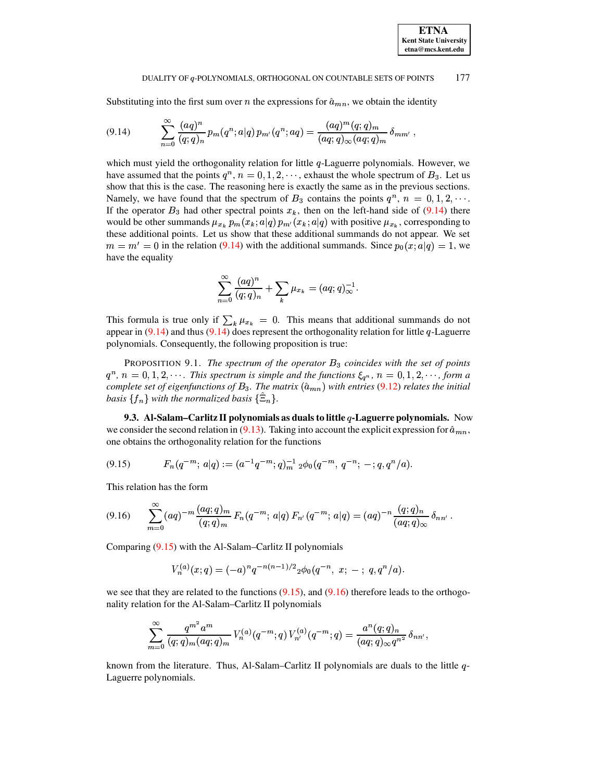Substituting into the first sum over *n* the expressions for  $\hat{a}_{mn}$ , we obtain the identity

$$
(9.14) \qquad \sum_{n=0}^{\infty} \frac{(aq)^n}{(q;q)_n} p_m(q^n;a|q) p_{m'}(q^n;aq) = \frac{(aq)^m (q;q)_m}{(aq;q)_{\infty} (aq;q)_m} \delta_{mm'} ,
$$

which must yield the orthogonality relation for little  $q$ -Laguerre polynomials. However, we have assumed that the points  $q^n$ ,  $n = 0, 1, 2, \dots$ , exhaust the whole spectrum of  $B_3$ . Let us show that this is the case. The reasoning here is exactly the same as in the previous sections. Namely, we have found that the spectrum of  $B_3$  contains the points  $q^n$ ,  $n = 0, 1, 2, \cdots$ . If the operator  $B_3$  had other spectral points  $x_k$ , then on the left-hand side of [\(9.14\)](#page-69-0) there would be other summands  $\mu_{x_k} p_m(x_k; a|q) p_{m'}(x_k; a|q)$  with positive  $\mu_{x_k}$ , corresponding to these additional points. Let us show that these additional summands do not appear. We set  $m = m' = 0$  in the relation [\(9.14\)](#page-69-0) with the additional summands. Since  $p_0(x; a|q) = 1$ , we have the equality

<span id="page-69-0"></span>
$$
\sum_{n=0}^\infty\frac{(aq)^n}{(q;q)_n}+\sum_k\mu_{x_k}=(aq;q)_\infty^{-1}.
$$

This formula is true only if  $\sum_{k} \mu_{x_k} = 0$ . This means that additional summands do not appear in  $(9.14)$  and thus  $(9.14)$  does represent the orthogonality relation for little q-Laguerre polynomials. Consequently, the following proposition is true:

PROPOSITION 9.1. *The spectrum of the operator* \_ *coincides with the set of points*  $q^n$ ,  $n = 0, 1, 2, \cdots$ . This spectrum is simple and the functions  $\xi_{q^n}$ ,  $n = 0, 1, 2, \cdots$ , form a *complete* set of eigenfunctions of  $B_3$ . The matrix  $(\hat{a}_{mn})$  with entries [\(9.12\)](#page-68-1) relates the initial *basis*  $\{f_n\}$  *with the normalized basis*  $\{\Xi_n\}$ *.* 

<span id="page-69-1"></span>**9.3. Al-Salam–Carlitz II polynomials as duals to little -Laguerre polynomials.** Now we consider the second relation in [\(9.13\)](#page-68-2). Taking into account the explicit expression for  $\hat{a}_{mn}$ . one obtains the orthogonality relation for the functions

$$
(9.15) \tFn(q-m; a|q) := (a-1q-m; q)m-1 2 \phi_0(q-m, q-n; -; q, qn/a).
$$

<span id="page-69-2"></span>This relation has the form

$$
(9.16) \qquad \sum_{m=0}^{\infty} (aq)^{-m} \frac{(aq;q)_m}{(q;q)_m} F_n(q^{-m};a|q) F_{n'}(q^{-m};a|q) = (aq)^{-n} \frac{(q;q)_n}{(aq;q)_\infty} \delta_{nn'}.
$$

Comparing [\(9.15\)](#page-69-1) with the Al-Salam–Carlitz II polynomials

$$
V_n^{(a)}(x;q)=(-a)^nq^{-n(n-1)/2}{}_2\phi_0(q^{-n},\;x;\; -\;;\; q,q^n/a).
$$

we see that they are related to the functions  $(9.15)$ , and  $(9.16)$  therefore leads to the orthogonality relation for the Al-Salam–Carlitz II polynomials

$$
\sum _{m=0}^\infty \frac {q^{m^2} a^m}{(q;q)_m (aq;q)_m}\, V^{(a)}_n(q^{-m};q)\, V^{(a)}_{n'}(q^{-m};q)=\frac {a^n (q;q)_n}{(aq;q)_{\infty}q^{n^2}}\, \delta_{nn'},
$$

known from the literature. Thus, Al-Salam–Carlitz II polynomials are duals to the little  $q$ -Laguerre polynomials.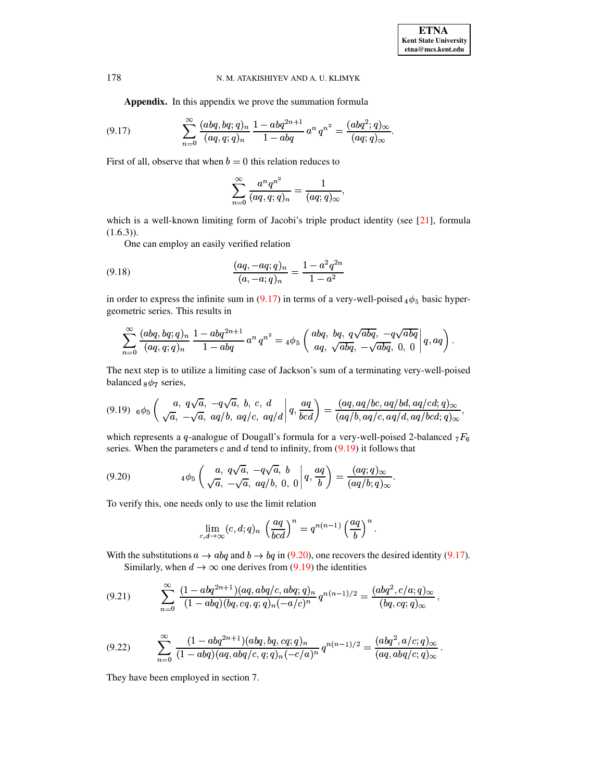Appendix. In this appendix we prove the summation formula

(9.17) 
$$
\sum_{n=0}^{\infty} \frac{(abq, bq;q)_n}{(aq,q;q)_n} \frac{1 - abq^{2n+1}}{1 - abq} a^n q^{n^2} = \frac{(abq^2;q)_{\infty}}{(aq;q)_{\infty}}
$$

First of all, observe that when  $b = 0$  this relation reduces to

<span id="page-70-3"></span><span id="page-70-0"></span>
$$
\sum_{n=0}^{\infty} \frac{a^n q^{n^2}}{(aq, q; q)_n} = \frac{1}{(aq; q)_{\infty}},
$$

which is a well-known limiting form of Jacobi's triple product identity (see  $[21]$ , formula  $(1.6.3)$ .

One can employ an easily verified relation

(9.18) 
$$
\frac{(aq, -aq; q)_n}{(a, -a; q)_n} = \frac{1 - a^2 q^{2n}}{1 - a^2}
$$

in order to express the infinite sum in (9.17) in terms of a very-well-poised  $_4\phi_5$  basic hypergeometric series. This results in

$$
\sum_{n=0}^{\infty} \frac{(abq, bq; q)_n}{(aq, q; q)_n} \frac{1 - abq^{2n+1}}{1 - abq} a^n q^{n^2} = 4\phi_5 \left( \frac{abq, bq, q\sqrt{abq}, -q\sqrt{abq}}{aq, \sqrt{abq}, -\sqrt{abq}}, 0, 0 \right) q, aq
$$

<span id="page-70-1"></span>The next step is to utilize a limiting case of Jackson's sum of a terminating very-well-poised balanced  $_8\phi_7$  series,

$$
(9.19) \quad 6\phi_5\left(\begin{array}{cc}a, q\sqrt{a}, -q\sqrt{a}, b, c, d\sqrt{a}, \frac{aq}{bc} \end{array}\Big|q, \frac{aq}{bcd}\right) = \frac{(aq, aq/bc, aq/bd, aq/cd; q)_{\infty}}{(aq/b, aq/c, aq/d, aq/bcd; q)_{\infty}},
$$

which represents a q-analogue of Dougall's formula for a very-well-poised 2-balanced  $_7F_6$ series. When the parameters  $c$  and  $d$  tend to infinity, from (9.19) it follows that

(9.20) 
$$
4\phi_5 \left( \frac{a}{\sqrt{a}}, \frac{q\sqrt{a}}{-\sqrt{a}}, \frac{-q\sqrt{a}}{aq/b}, \frac{b}{0}, 0 \right) q, \frac{aq}{b} = \frac{(aq;q)_{\infty}}{(aq/b;q)_{\infty}}
$$

To verify this, one needs only to use the limit relation

<span id="page-70-2"></span>
$$
\lim_{c,d\to\infty}(c,d;q)_n\left(\frac{aq}{bcd}\right)^n=q^{n(n-1)}\left(\frac{aq}{b}\right)^n.
$$

With the substitutions  $a \to abq$  and  $b \to bq$  in (9.20), one recovers the desired identity (9.17). Similarly, when  $d \to \infty$  one derives from (9.19) the identities

$$
(9.21) \qquad \sum_{n=0}^{\infty} \frac{(1 - abq^{2n+1})(aq, abq/c, abq;q)_n}{(1 - abq)(bq, cq, q;q)_n (-a/c)^n} q^{n(n-1)/2} = \frac{(abq^2, c/a; q)_{\infty}}{(bq, cq; q)_{\infty}}
$$

$$
(9.22) \qquad \sum_{n=0}^{\infty} \frac{(1-abq^{2n+1})(abq, bq, cq; q)_n}{(1-abq)(aq, abq/c, q; q)_n(-c/a)^n} q^{n(n-1)/2} = \frac{(abq^2, a/c; q)_{\infty}}{(aq, abq/c; q)_{\infty}}.
$$

They have been employed in section 7.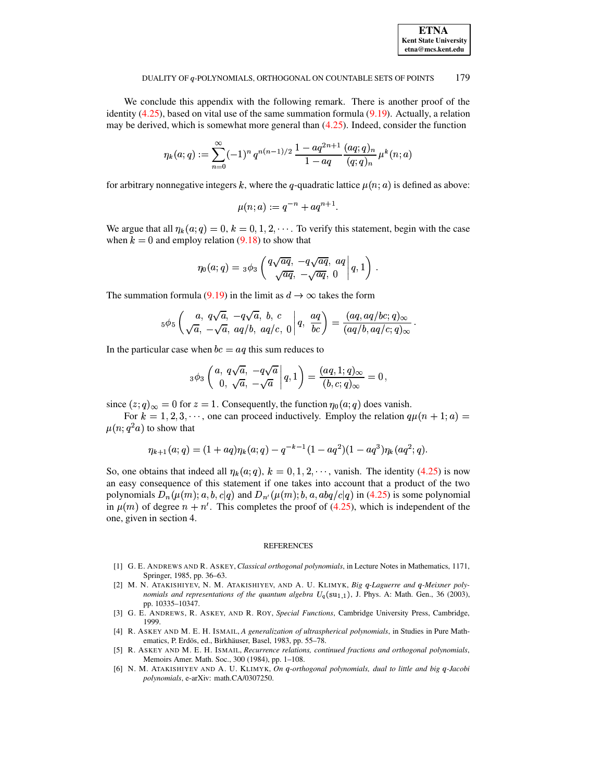

We conclude this appendix with the following remark. There is another proof of the identity  $(4.25)$ , based on vital use of the same summation formula  $(9.19)$ . Actually, a relation may be derived, which is somewhat more general than  $(4.25)$ . Indeed, consider the function

$$
\eta_k(a;q):=\sum_{n=0}^\infty (-1)^n\,q^{n(n-1)/2}\,\frac{1-aq^{2n+1}}{1-aq}\frac{(aq;q)_n}{(q;q)_n}\,\mu^k(n;a)
$$

for arbitrary nonnegative integers k, where the q-quadratic lattice  $\mu(n; a)$  is defined as above:

$$
\mu(n;a):=q^{-n}+aq^{n+1}.
$$

We argue that all  $\eta_k(a;q) = 0, k = 0, 1, 2, \cdots$ . To verify this statement, begin with the case when  $k = 0$  and employ relation (9.18) to show that

$$
\eta_0(a;q) = 3\phi_3\left(\frac{q\sqrt{aq},\ -q\sqrt{aq},\ aq}{\sqrt{aq},\ -\sqrt{aq},\ 0}\Bigg|q,1\right).
$$

The summation formula (9.19) in the limit as  $d \to \infty$  takes the form

$$
{}_5\phi_5\left(\frac{a}{\sqrt{a}},\frac{q\sqrt{a}}{-\sqrt{a}},\frac{-q\sqrt{a}}{aq/b},\frac{b}{aq/c},\frac{ca}{q}\right)=\frac{(aq,aq/bc;q)_{\infty}}{(aq/b,aq/c;q)_{\infty}}
$$

In the particular case when  $bc = aq$  this sum reduces to

$$
{}_3\phi_3\left(\begin{matrix} a,\ q\sqrt{a},\ -q\sqrt{a} \cr 0,\ \sqrt{a},\ -\sqrt{a} \end{matrix}\bigg|q,1\right)=\frac{(aq,1;q)_\infty}{(b,c;q)_\infty}=0\,,
$$

since  $(z, q)_{\infty} = 0$  for  $z = 1$ . Consequently, the function  $\eta_0(a; q)$  does vanish.

For  $k = 1, 2, 3, \dots$ , one can proceed inductively. Employ the relation  $q\mu(n + 1; a)$  $\mu(n; q^2 a)$  to show that

$$
\eta_{k+1}(a;q) = (1+aq)\eta_k(a;q) - q^{-k-1}(1-aq^2)(1-aq^3)\eta_k(aq^2;q).
$$

So, one obtains that indeed all  $\eta_k(a; q)$ ,  $k = 0, 1, 2, \dots$ , vanish. The identity (4.25) is now an easy consequence of this statement if one takes into account that a product of the two polynomials  $D_n(\mu(m); a, b, c|q)$  and  $D_{n'}(\mu(m); b, a, abq/c|q)$  in (4.25) is some polynomial in  $\mu(m)$  of degree  $n + n'$ . This completes the proof of (4.25), which is independent of the one, given in section 4.

#### **REFERENCES**

- [1] G. E. ANDREWS AND R. ASKEY, Classical orthogonal polynomials, in Lecture Notes in Mathematics, 1171, Springer, 1985, pp. 36-63.
- <span id="page-71-0"></span>[2] M. N. ATAKISHIYEV, N. M. ATAKISHIYEV, AND A. U. KLIMYK, Big q-Laguerre and q-Meixner polynomials and representations of the quantum algebra  $U_q(su_{1,1})$ , J. Phys. A: Math. Gen., 36 (2003), pp. 10335-10347.
- [3] G. E. ANDREWS, R. ASKEY, AND R. ROY, Special Functions, Cambridge University Press, Cambridge, 1999.
- [4] R. ASKEY AND M. E. H. ISMAIL, A generalization of ultraspherical polynomials, in Studies in Pure Mathematics, P. Erdös, ed., Birkhäuser, Basel, 1983, pp. 55-78.
- [5] R. ASKEY AND M. E. H. ISMAIL, Recurrence relations, continued fractions and orthogonal polynomials, Memoirs Amer. Math. Soc., 300 (1984), pp. 1-108.
- [6] N. M. ATAKISHIYEV AND A. U. KLIMYK, On q-orthogonal polynomials, dual to little and big q-Jacobi polynomials, e-arXiv: math.CA/0307250.